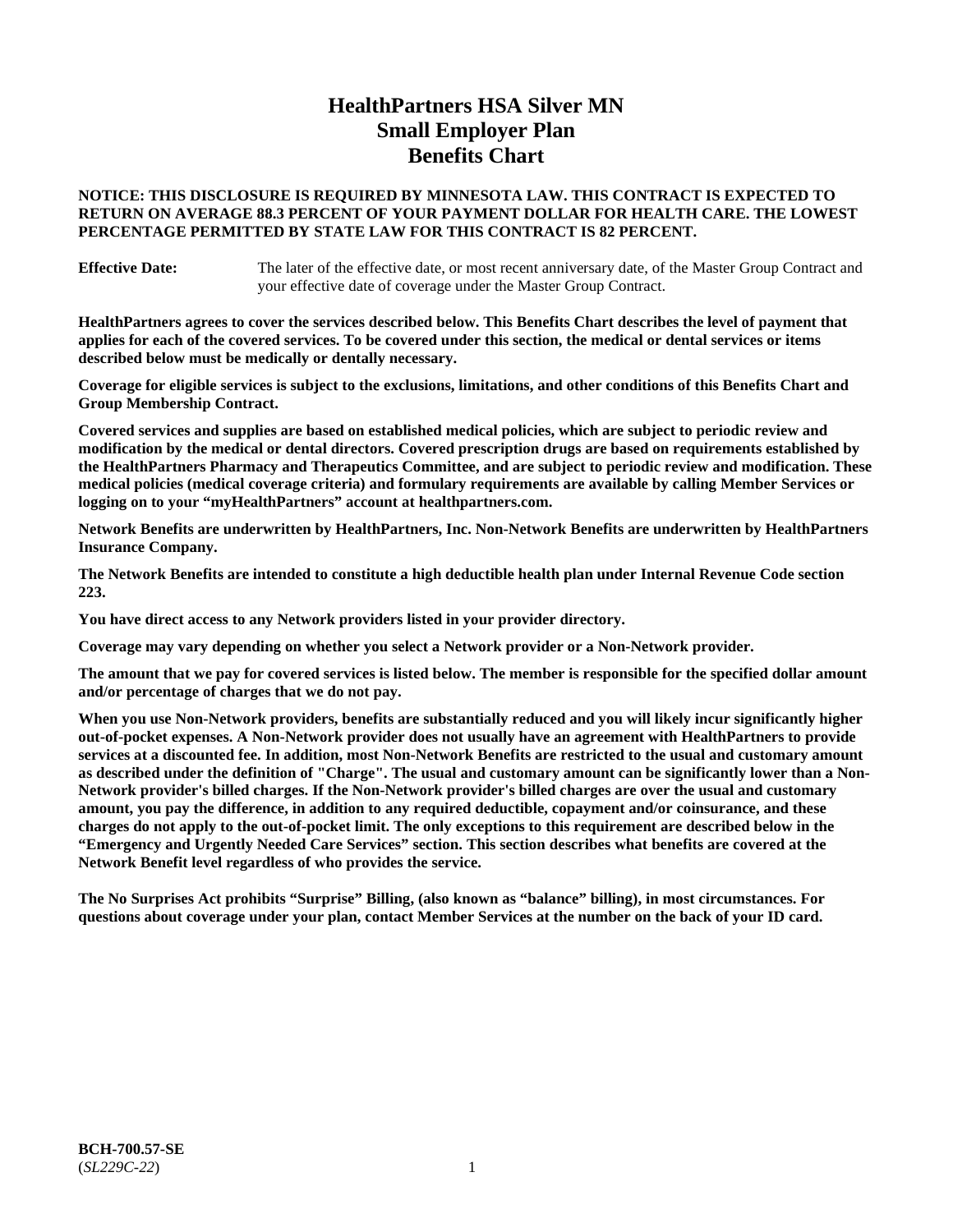# **HealthPartners HSA Silver MN Small Employer Plan Benefits Chart**

# **NOTICE: THIS DISCLOSURE IS REQUIRED BY MINNESOTA LAW. THIS CONTRACT IS EXPECTED TO RETURN ON AVERAGE 88.3 PERCENT OF YOUR PAYMENT DOLLAR FOR HEALTH CARE. THE LOWEST PERCENTAGE PERMITTED BY STATE LAW FOR THIS CONTRACT IS 82 PERCENT.**

**Effective Date:** The later of the effective date, or most recent anniversary date, of the Master Group Contract and your effective date of coverage under the Master Group Contract.

**HealthPartners agrees to cover the services described below. This Benefits Chart describes the level of payment that applies for each of the covered services. To be covered under this section, the medical or dental services or items described below must be medically or dentally necessary.**

**Coverage for eligible services is subject to the exclusions, limitations, and other conditions of this Benefits Chart and Group Membership Contract.**

**Covered services and supplies are based on established medical policies, which are subject to periodic review and modification by the medical or dental directors. Covered prescription drugs are based on requirements established by the HealthPartners Pharmacy and Therapeutics Committee, and are subject to periodic review and modification. These medical policies (medical coverage criteria) and formulary requirements are available by calling Member Services or logging on to your "myHealthPartners" account at [healthpartners.com.](https://www.healthpartners.com/hp/index.html)**

**Network Benefits are underwritten by HealthPartners, Inc. Non-Network Benefits are underwritten by HealthPartners Insurance Company.** 

**The Network Benefits are intended to constitute a high deductible health plan under Internal Revenue Code section 223.** 

**You have direct access to any Network providers listed in your provider directory.**

**Coverage may vary depending on whether you select a Network provider or a Non-Network provider.**

**The amount that we pay for covered services is listed below. The member is responsible for the specified dollar amount and/or percentage of charges that we do not pay.**

**When you use Non-Network providers, benefits are substantially reduced and you will likely incur significantly higher out-of-pocket expenses. A Non-Network provider does not usually have an agreement with HealthPartners to provide services at a discounted fee. In addition, most Non-Network Benefits are restricted to the usual and customary amount as described under the definition of "Charge". The usual and customary amount can be significantly lower than a Non-Network provider's billed charges. If the Non-Network provider's billed charges are over the usual and customary amount, you pay the difference, in addition to any required deductible, copayment and/or coinsurance, and these charges do not apply to the out-of-pocket limit. The only exceptions to this requirement are described below in the "Emergency and Urgently Needed Care Services" section. This section describes what benefits are covered at the Network Benefit level regardless of who provides the service.**

**The No Surprises Act prohibits "Surprise" Billing, (also known as "balance" billing), in most circumstances. For questions about coverage under your plan, contact Member Services at the number on the back of your ID card.**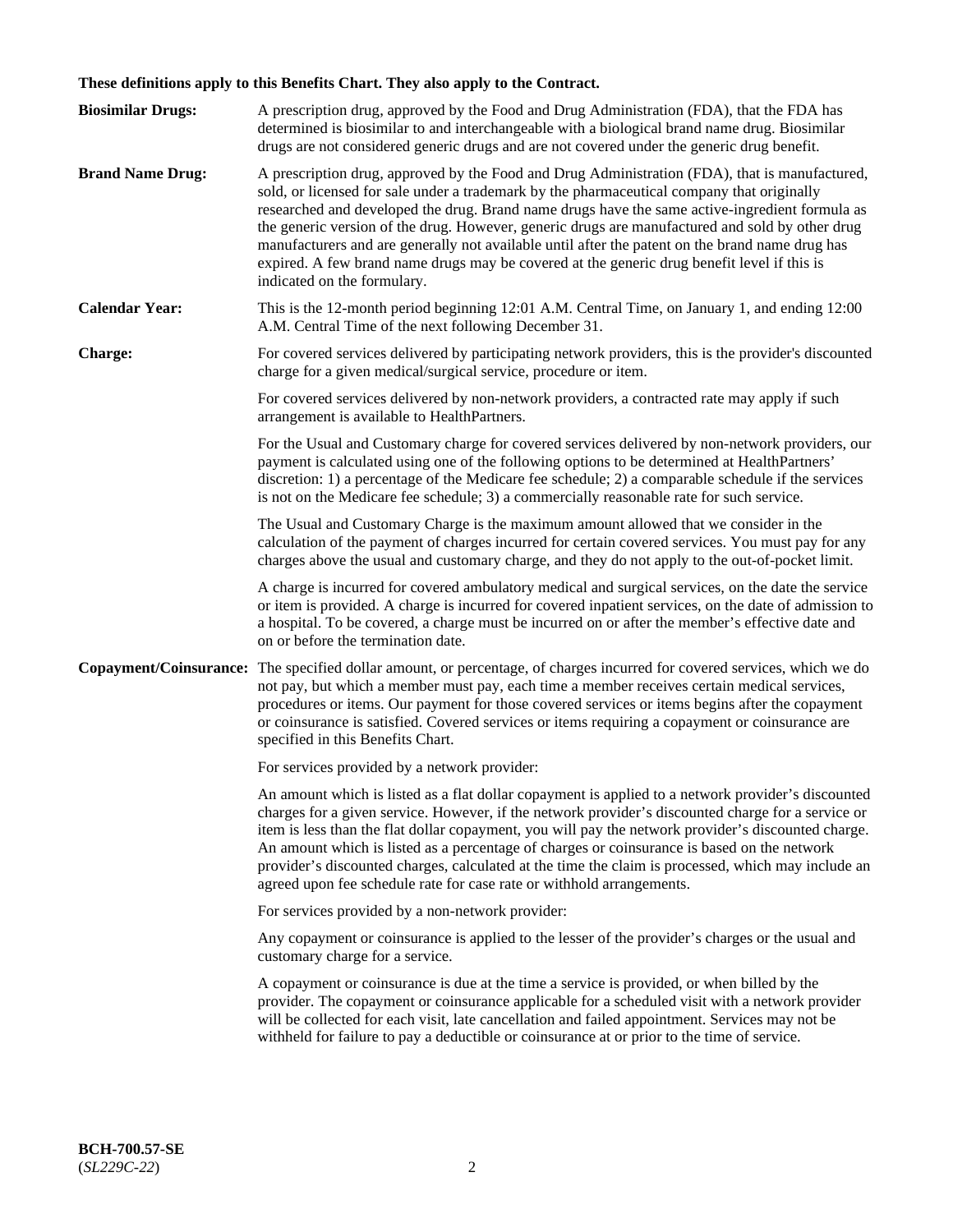# **These definitions apply to this Benefits Chart. They also apply to the Contract.**

| <b>Biosimilar Drugs:</b> | A prescription drug, approved by the Food and Drug Administration (FDA), that the FDA has<br>determined is biosimilar to and interchangeable with a biological brand name drug. Biosimilar<br>drugs are not considered generic drugs and are not covered under the generic drug benefit.                                                                                                                                                                                                                                                                                                                                           |
|--------------------------|------------------------------------------------------------------------------------------------------------------------------------------------------------------------------------------------------------------------------------------------------------------------------------------------------------------------------------------------------------------------------------------------------------------------------------------------------------------------------------------------------------------------------------------------------------------------------------------------------------------------------------|
| <b>Brand Name Drug:</b>  | A prescription drug, approved by the Food and Drug Administration (FDA), that is manufactured,<br>sold, or licensed for sale under a trademark by the pharmaceutical company that originally<br>researched and developed the drug. Brand name drugs have the same active-ingredient formula as<br>the generic version of the drug. However, generic drugs are manufactured and sold by other drug<br>manufacturers and are generally not available until after the patent on the brand name drug has<br>expired. A few brand name drugs may be covered at the generic drug benefit level if this is<br>indicated on the formulary. |
| <b>Calendar Year:</b>    | This is the 12-month period beginning 12:01 A.M. Central Time, on January 1, and ending 12:00<br>A.M. Central Time of the next following December 31.                                                                                                                                                                                                                                                                                                                                                                                                                                                                              |
| <b>Charge:</b>           | For covered services delivered by participating network providers, this is the provider's discounted<br>charge for a given medical/surgical service, procedure or item.                                                                                                                                                                                                                                                                                                                                                                                                                                                            |
|                          | For covered services delivered by non-network providers, a contracted rate may apply if such<br>arrangement is available to HealthPartners.                                                                                                                                                                                                                                                                                                                                                                                                                                                                                        |
|                          | For the Usual and Customary charge for covered services delivered by non-network providers, our<br>payment is calculated using one of the following options to be determined at HealthPartners'<br>discretion: 1) a percentage of the Medicare fee schedule; 2) a comparable schedule if the services<br>is not on the Medicare fee schedule; 3) a commercially reasonable rate for such service.                                                                                                                                                                                                                                  |
|                          | The Usual and Customary Charge is the maximum amount allowed that we consider in the<br>calculation of the payment of charges incurred for certain covered services. You must pay for any<br>charges above the usual and customary charge, and they do not apply to the out-of-pocket limit.                                                                                                                                                                                                                                                                                                                                       |
|                          | A charge is incurred for covered ambulatory medical and surgical services, on the date the service<br>or item is provided. A charge is incurred for covered inpatient services, on the date of admission to<br>a hospital. To be covered, a charge must be incurred on or after the member's effective date and<br>on or before the termination date.                                                                                                                                                                                                                                                                              |
| Copayment/Coinsurance:   | The specified dollar amount, or percentage, of charges incurred for covered services, which we do<br>not pay, but which a member must pay, each time a member receives certain medical services,<br>procedures or items. Our payment for those covered services or items begins after the copayment<br>or coinsurance is satisfied. Covered services or items requiring a copayment or coinsurance are<br>specified in this Benefits Chart.                                                                                                                                                                                        |
|                          | For services provided by a network provider:                                                                                                                                                                                                                                                                                                                                                                                                                                                                                                                                                                                       |
|                          | An amount which is listed as a flat dollar copayment is applied to a network provider's discounted<br>charges for a given service. However, if the network provider's discounted charge for a service or<br>item is less than the flat dollar copayment, you will pay the network provider's discounted charge.<br>An amount which is listed as a percentage of charges or coinsurance is based on the network<br>provider's discounted charges, calculated at the time the claim is processed, which may include an<br>agreed upon fee schedule rate for case rate or withhold arrangements.                                      |
|                          | For services provided by a non-network provider:                                                                                                                                                                                                                                                                                                                                                                                                                                                                                                                                                                                   |
|                          | Any copayment or coinsurance is applied to the lesser of the provider's charges or the usual and<br>customary charge for a service.                                                                                                                                                                                                                                                                                                                                                                                                                                                                                                |
|                          | A copayment or coinsurance is due at the time a service is provided, or when billed by the<br>provider. The copayment or coinsurance applicable for a scheduled visit with a network provider<br>will be collected for each visit, late cancellation and failed appointment. Services may not be<br>withheld for failure to pay a deductible or coinsurance at or prior to the time of service.                                                                                                                                                                                                                                    |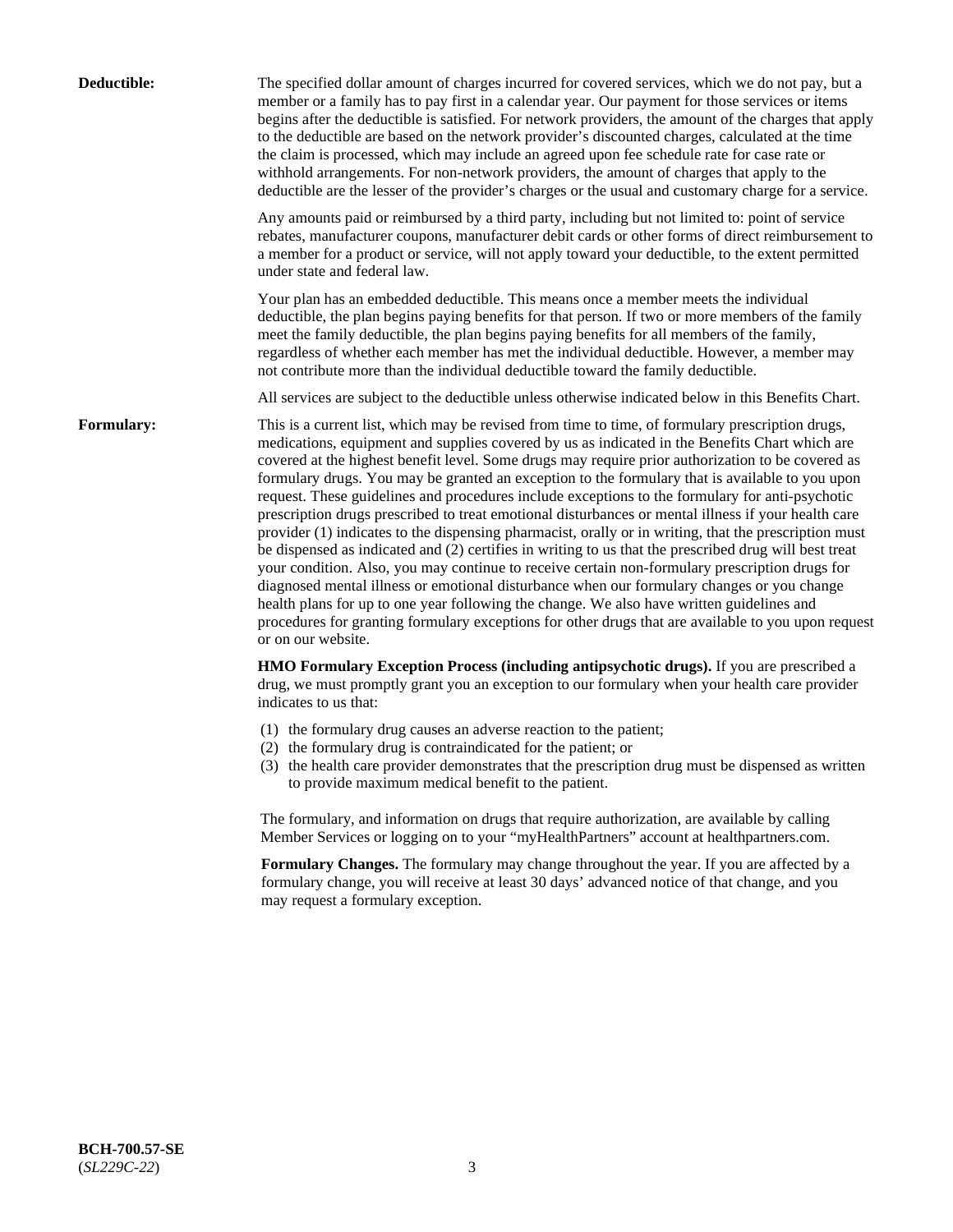| Deductible: | The specified dollar amount of charges incurred for covered services, which we do not pay, but a<br>member or a family has to pay first in a calendar year. Our payment for those services or items<br>begins after the deductible is satisfied. For network providers, the amount of the charges that apply<br>to the deductible are based on the network provider's discounted charges, calculated at the time<br>the claim is processed, which may include an agreed upon fee schedule rate for case rate or<br>withhold arrangements. For non-network providers, the amount of charges that apply to the<br>deductible are the lesser of the provider's charges or the usual and customary charge for a service.                                                                                                                                                                                                                                                                                                                                                                                                                                                                                                                                             |
|-------------|------------------------------------------------------------------------------------------------------------------------------------------------------------------------------------------------------------------------------------------------------------------------------------------------------------------------------------------------------------------------------------------------------------------------------------------------------------------------------------------------------------------------------------------------------------------------------------------------------------------------------------------------------------------------------------------------------------------------------------------------------------------------------------------------------------------------------------------------------------------------------------------------------------------------------------------------------------------------------------------------------------------------------------------------------------------------------------------------------------------------------------------------------------------------------------------------------------------------------------------------------------------|
|             | Any amounts paid or reimbursed by a third party, including but not limited to: point of service<br>rebates, manufacturer coupons, manufacturer debit cards or other forms of direct reimbursement to<br>a member for a product or service, will not apply toward your deductible, to the extent permitted<br>under state and federal law.                                                                                                                                                                                                                                                                                                                                                                                                                                                                                                                                                                                                                                                                                                                                                                                                                                                                                                                        |
|             | Your plan has an embedded deductible. This means once a member meets the individual<br>deductible, the plan begins paying benefits for that person. If two or more members of the family<br>meet the family deductible, the plan begins paying benefits for all members of the family,<br>regardless of whether each member has met the individual deductible. However, a member may<br>not contribute more than the individual deductible toward the family deductible.                                                                                                                                                                                                                                                                                                                                                                                                                                                                                                                                                                                                                                                                                                                                                                                         |
|             | All services are subject to the deductible unless otherwise indicated below in this Benefits Chart.                                                                                                                                                                                                                                                                                                                                                                                                                                                                                                                                                                                                                                                                                                                                                                                                                                                                                                                                                                                                                                                                                                                                                              |
| Formulary:  | This is a current list, which may be revised from time to time, of formulary prescription drugs,<br>medications, equipment and supplies covered by us as indicated in the Benefits Chart which are<br>covered at the highest benefit level. Some drugs may require prior authorization to be covered as<br>formulary drugs. You may be granted an exception to the formulary that is available to you upon<br>request. These guidelines and procedures include exceptions to the formulary for anti-psychotic<br>prescription drugs prescribed to treat emotional disturbances or mental illness if your health care<br>provider (1) indicates to the dispensing pharmacist, orally or in writing, that the prescription must<br>be dispensed as indicated and (2) certifies in writing to us that the prescribed drug will best treat<br>your condition. Also, you may continue to receive certain non-formulary prescription drugs for<br>diagnosed mental illness or emotional disturbance when our formulary changes or you change<br>health plans for up to one year following the change. We also have written guidelines and<br>procedures for granting formulary exceptions for other drugs that are available to you upon request<br>or on our website. |
|             | HMO Formulary Exception Process (including antipsychotic drugs). If you are prescribed a<br>drug, we must promptly grant you an exception to our formulary when your health care provider<br>indicates to us that:                                                                                                                                                                                                                                                                                                                                                                                                                                                                                                                                                                                                                                                                                                                                                                                                                                                                                                                                                                                                                                               |
|             | (1) the formulary drug causes an adverse reaction to the patient;<br>(2) the formulary drug is contraindicated for the patient; or<br>(3) the health care provider demonstrates that the prescription drug must be dispensed as written<br>to provide maximum medical benefit to the patient.                                                                                                                                                                                                                                                                                                                                                                                                                                                                                                                                                                                                                                                                                                                                                                                                                                                                                                                                                                    |
|             | The formulary, and information on drugs that require authorization, are available by calling<br>Member Services or logging on to your "myHealthPartners" account at healthpartners.com.                                                                                                                                                                                                                                                                                                                                                                                                                                                                                                                                                                                                                                                                                                                                                                                                                                                                                                                                                                                                                                                                          |
|             | Formulary Changes. The formulary may change throughout the year. If you are affected by a<br>formulary change, you will receive at least 30 days' advanced notice of that change, and you<br>may request a formulary exception.                                                                                                                                                                                                                                                                                                                                                                                                                                                                                                                                                                                                                                                                                                                                                                                                                                                                                                                                                                                                                                  |
|             |                                                                                                                                                                                                                                                                                                                                                                                                                                                                                                                                                                                                                                                                                                                                                                                                                                                                                                                                                                                                                                                                                                                                                                                                                                                                  |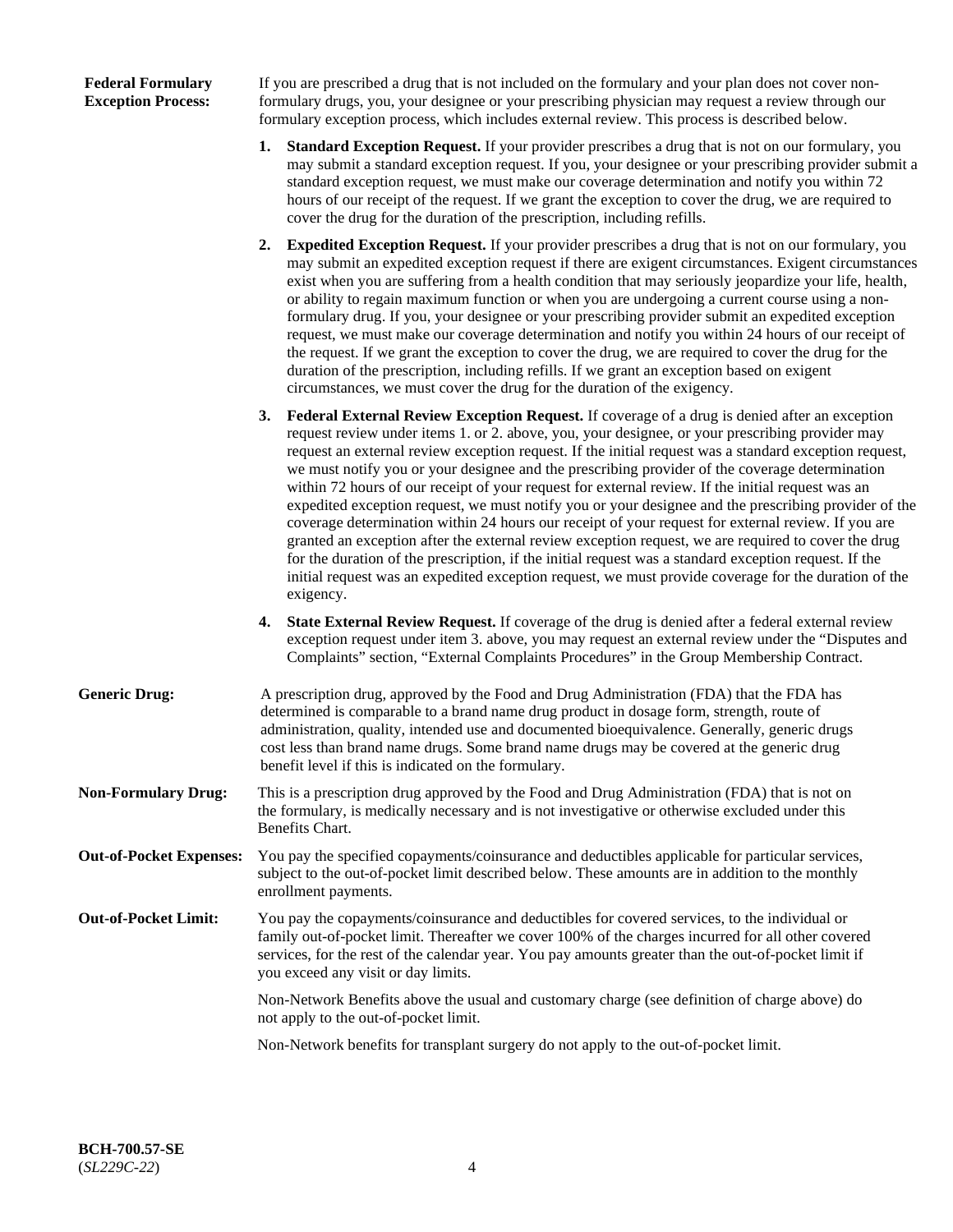# **Federal Formulary Exception Process:**

If you are prescribed a drug that is not included on the formulary and your plan does not cover nonformulary drugs, you, your designee or your prescribing physician may request a review through our formulary exception process, which includes external review. This process is described below.

- **1. Standard Exception Request.** If your provider prescribes a drug that is not on our formulary, you may submit a standard exception request. If you, your designee or your prescribing provider submit a standard exception request, we must make our coverage determination and notify you within 72 hours of our receipt of the request. If we grant the exception to cover the drug, we are required to cover the drug for the duration of the prescription, including refills.
- **2. Expedited Exception Request.** If your provider prescribes a drug that is not on our formulary, you may submit an expedited exception request if there are exigent circumstances. Exigent circumstances exist when you are suffering from a health condition that may seriously jeopardize your life, health, or ability to regain maximum function or when you are undergoing a current course using a nonformulary drug. If you, your designee or your prescribing provider submit an expedited exception request, we must make our coverage determination and notify you within 24 hours of our receipt of the request. If we grant the exception to cover the drug, we are required to cover the drug for the duration of the prescription, including refills. If we grant an exception based on exigent circumstances, we must cover the drug for the duration of the exigency.
- **3. Federal External Review Exception Request.** If coverage of a drug is denied after an exception request review under items 1. or 2. above, you, your designee, or your prescribing provider may request an external review exception request. If the initial request was a standard exception request, we must notify you or your designee and the prescribing provider of the coverage determination within 72 hours of our receipt of your request for external review. If the initial request was an expedited exception request, we must notify you or your designee and the prescribing provider of the coverage determination within 24 hours our receipt of your request for external review. If you are granted an exception after the external review exception request, we are required to cover the drug for the duration of the prescription, if the initial request was a standard exception request. If the initial request was an expedited exception request, we must provide coverage for the duration of the exigency.
- **4. State External Review Request.** If coverage of the drug is denied after a federal external review exception request under item 3. above, you may request an external review under the "Disputes and Complaints" section, "External Complaints Procedures" in the Group Membership Contract.
- **Generic Drug:** A prescription drug, approved by the Food and Drug Administration (FDA) that the FDA has determined is comparable to a brand name drug product in dosage form, strength, route of administration, quality, intended use and documented bioequivalence. Generally, generic drugs cost less than brand name drugs. Some brand name drugs may be covered at the generic drug benefit level if this is indicated on the formulary.
- **Non-Formulary Drug:** This is a prescription drug approved by the Food and Drug Administration (FDA) that is not on the formulary, is medically necessary and is not investigative or otherwise excluded under this Benefits Chart.
- **Out-of-Pocket Expenses:** You pay the specified copayments/coinsurance and deductibles applicable for particular services, subject to the out-of-pocket limit described below. These amounts are in addition to the monthly enrollment payments.
- **Out-of-Pocket Limit:** You pay the copayments/coinsurance and deductibles for covered services, to the individual or family out-of-pocket limit. Thereafter we cover 100% of the charges incurred for all other covered services, for the rest of the calendar year. You pay amounts greater than the out-of-pocket limit if you exceed any visit or day limits.

Non-Network Benefits above the usual and customary charge (see definition of charge above) do not apply to the out-of-pocket limit.

Non-Network benefits for transplant surgery do not apply to the out-of-pocket limit.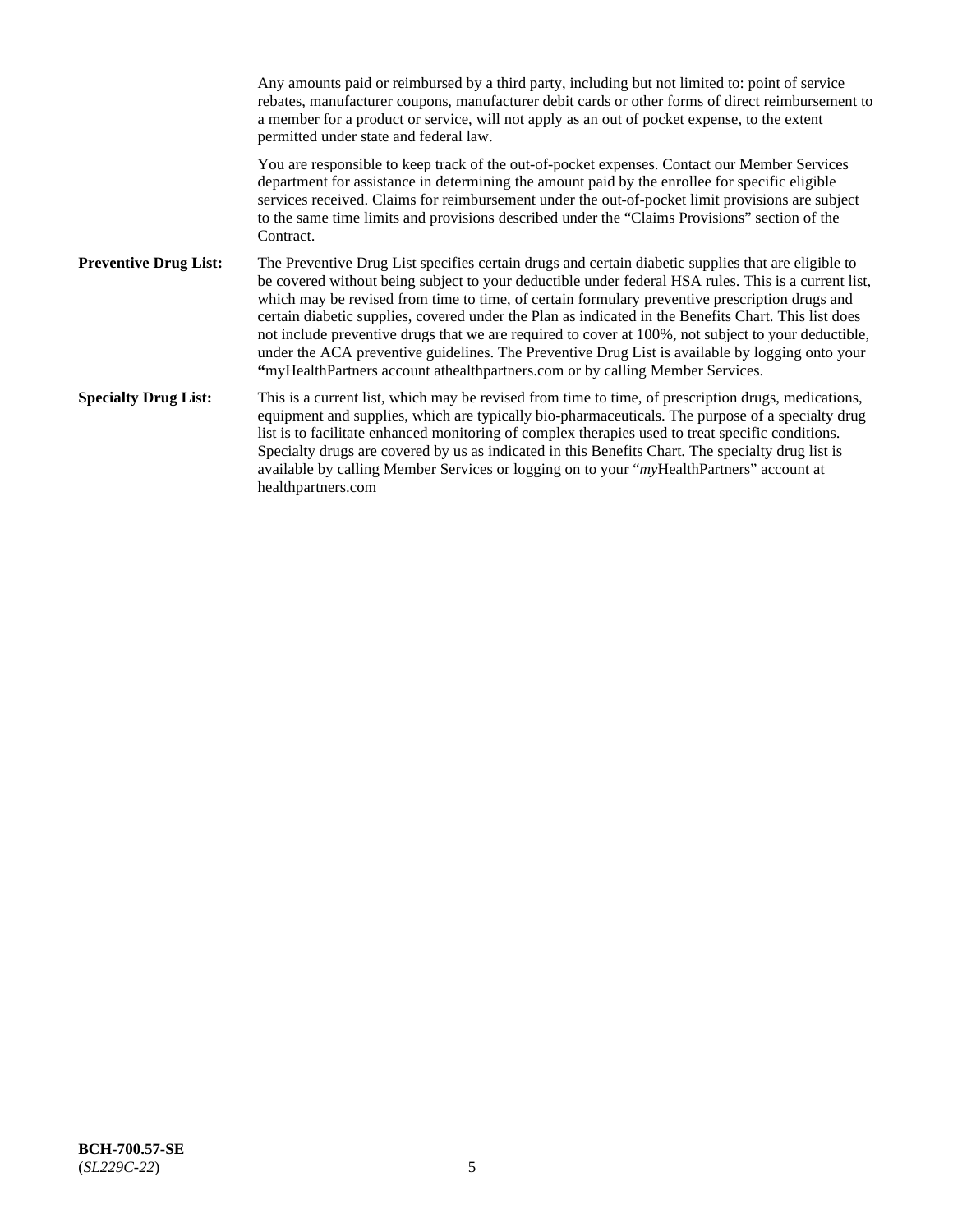Any amounts paid or reimbursed by a third party, including but not limited to: point of service rebates, manufacturer coupons, manufacturer debit cards or other forms of direct reimbursement to a member for a product or service, will not apply as an out of pocket expense, to the extent permitted under state and federal law. You are responsible to keep track of the out-of-pocket expenses. Contact our Member Services department for assistance in determining the amount paid by the enrollee for specific eligible services received. Claims for reimbursement under the out-of-pocket limit provisions are subject to the same time limits and provisions described under the "Claims Provisions" section of the **Contract Preventive Drug List:** The Preventive Drug List specifies certain drugs and certain diabetic supplies that are eligible to be covered without being subject to your deductible under federal HSA rules. This is a current list, which may be revised from time to time, of certain formulary preventive prescription drugs and certain diabetic supplies, covered under the Plan as indicated in the Benefits Chart. This list does not include preventive drugs that we are required to cover at 100%, not subject to your deductible, under the ACA preventive guidelines. The Preventive Drug List is available by logging onto your **"**myHealthPartners account athealthpartners.com or by calling Member Services. **Specialty Drug List:** This is a current list, which may be revised from time to time, of prescription drugs, medications, equipment and supplies, which are typically bio-pharmaceuticals. The purpose of a specialty drug list is to facilitate enhanced monitoring of complex therapies used to treat specific conditions. Specialty drugs are covered by us as indicated in this Benefits Chart. The specialty drug list is available by calling Member Services or logging on to your "*my*HealthPartners" account at [healthpartners.com](https://www.healthpartners.com/hp/index.html)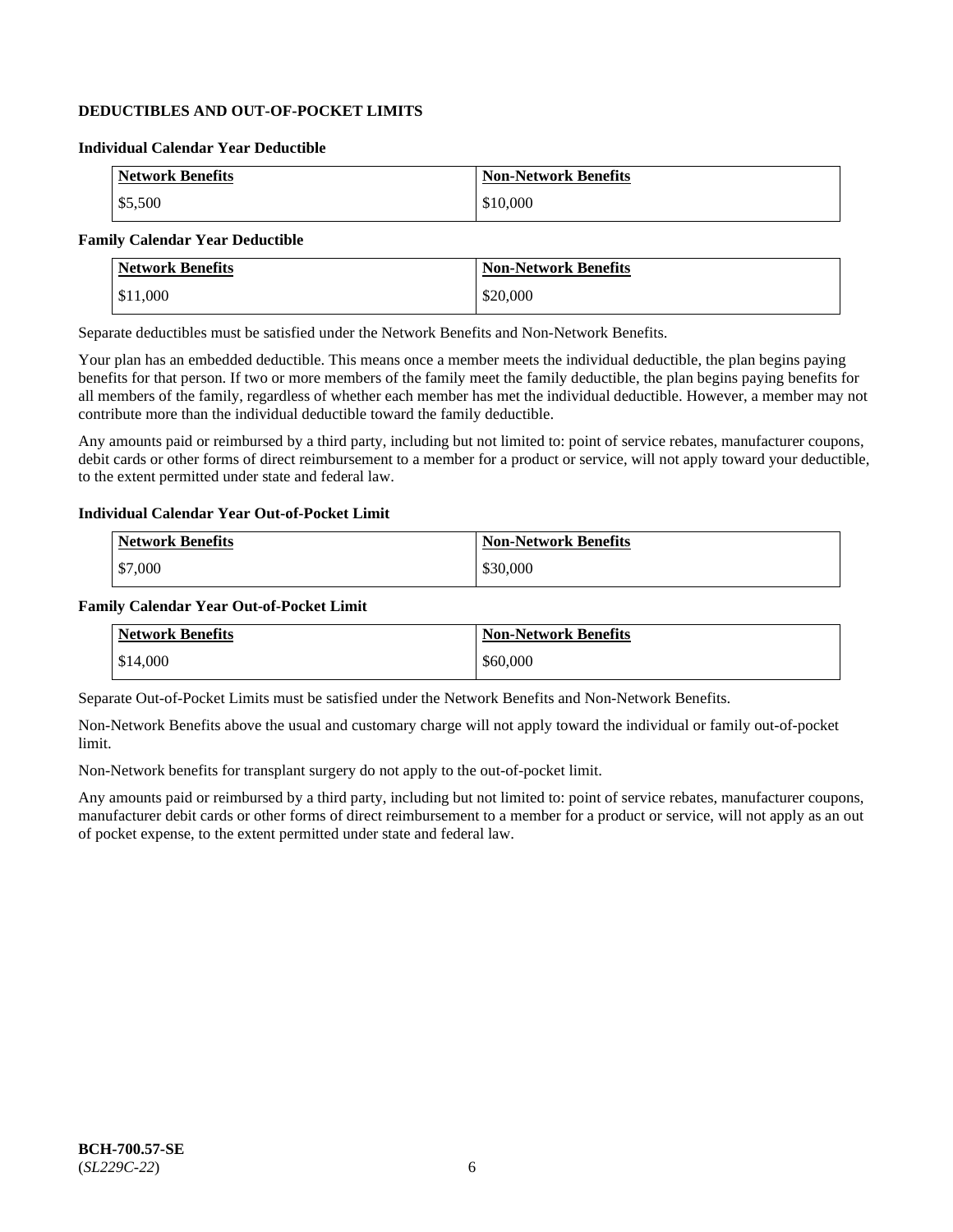# **DEDUCTIBLES AND OUT-OF-POCKET LIMITS**

# **Individual Calendar Year Deductible**

| <b>Network Benefits</b> | <b>Non-Network Benefits</b> |
|-------------------------|-----------------------------|
| \$5,500                 | \$10,000                    |

# **Family Calendar Year Deductible**

| <b>Network Benefits</b> | <b>Non-Network Benefits</b> |
|-------------------------|-----------------------------|
| \$11,000                | \$20,000                    |

Separate deductibles must be satisfied under the Network Benefits and Non-Network Benefits.

Your plan has an embedded deductible. This means once a member meets the individual deductible, the plan begins paying benefits for that person. If two or more members of the family meet the family deductible, the plan begins paying benefits for all members of the family, regardless of whether each member has met the individual deductible. However, a member may not contribute more than the individual deductible toward the family deductible.

Any amounts paid or reimbursed by a third party, including but not limited to: point of service rebates, manufacturer coupons, debit cards or other forms of direct reimbursement to a member for a product or service, will not apply toward your deductible, to the extent permitted under state and federal law.

### **Individual Calendar Year Out-of-Pocket Limit**

| <b>Network Benefits</b> | <b>Non-Network Benefits</b> |
|-------------------------|-----------------------------|
| \$7,000                 | \$30,000                    |

### **Family Calendar Year Out-of-Pocket Limit**

| <b>Network Benefits</b> | <b>Non-Network Benefits</b> |
|-------------------------|-----------------------------|
| \$14,000                | \$60,000                    |

Separate Out-of-Pocket Limits must be satisfied under the Network Benefits and Non-Network Benefits.

Non-Network Benefits above the usual and customary charge will not apply toward the individual or family out-of-pocket limit.

Non-Network benefits for transplant surgery do not apply to the out-of-pocket limit.

Any amounts paid or reimbursed by a third party, including but not limited to: point of service rebates, manufacturer coupons, manufacturer debit cards or other forms of direct reimbursement to a member for a product or service, will not apply as an out of pocket expense, to the extent permitted under state and federal law.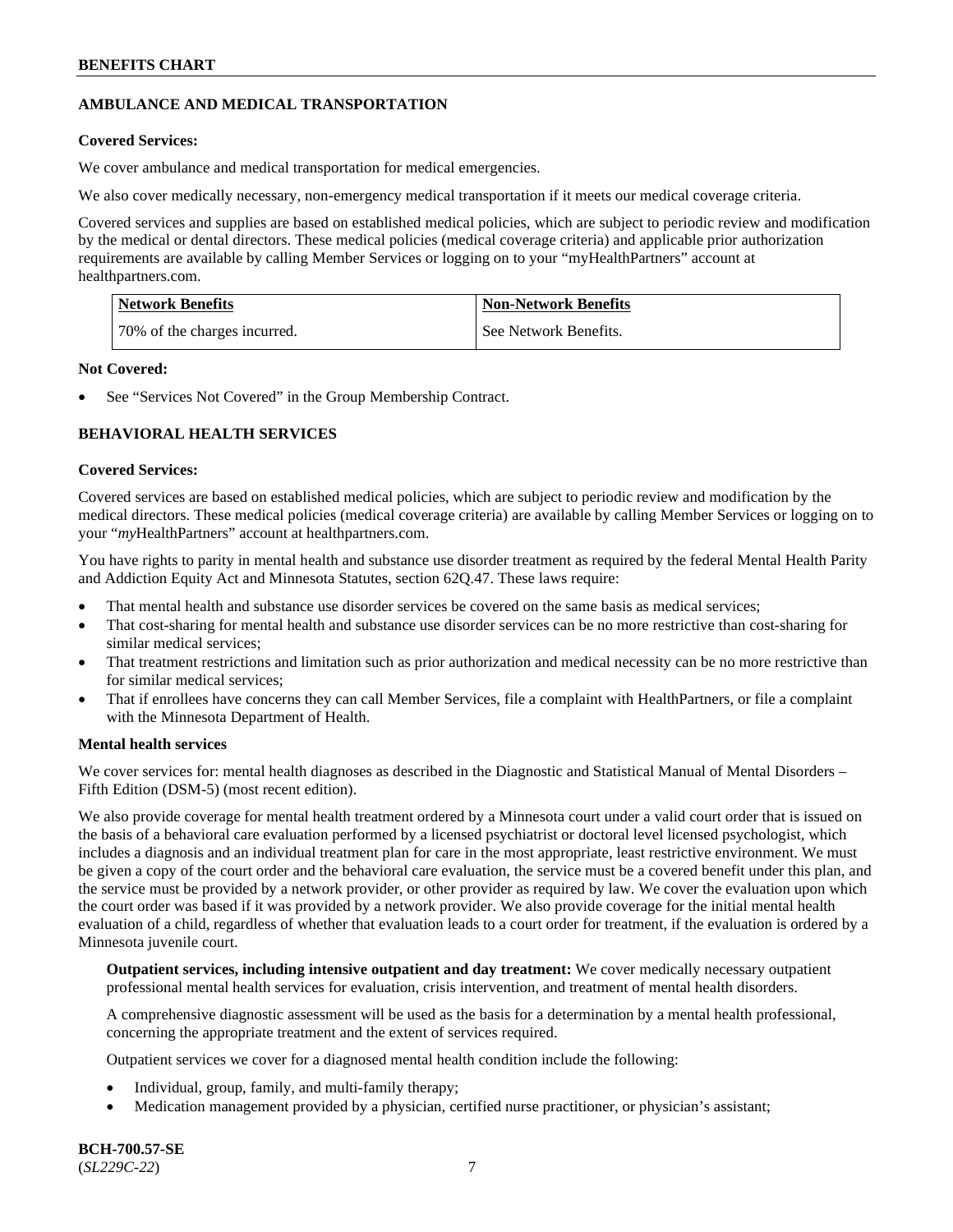# **AMBULANCE AND MEDICAL TRANSPORTATION**

# **Covered Services:**

We cover ambulance and medical transportation for medical emergencies.

We also cover medically necessary, non-emergency medical transportation if it meets our medical coverage criteria.

Covered services and supplies are based on established medical policies, which are subject to periodic review and modification by the medical or dental directors. These medical policies (medical coverage criteria) and applicable prior authorization requirements are available by calling Member Services or logging on to your "myHealthPartners" account at [healthpartners.com.](https://www.healthpartners.com/hp/index.html)

| Network Benefits             | <b>Non-Network Benefits</b> |
|------------------------------|-----------------------------|
| 70% of the charges incurred. | See Network Benefits.       |

### **Not Covered:**

See "Services Not Covered" in the Group Membership Contract.

# **BEHAVIORAL HEALTH SERVICES**

### **Covered Services:**

Covered services are based on established medical policies, which are subject to periodic review and modification by the medical directors. These medical policies (medical coverage criteria) are available by calling Member Services or logging on to your "*my*HealthPartners" account at [healthpartners.com.](http://www.healthpartners.com/)

You have rights to parity in mental health and substance use disorder treatment as required by the federal Mental Health Parity and Addiction Equity Act and Minnesota Statutes, section 62Q.47. These laws require:

- That mental health and substance use disorder services be covered on the same basis as medical services;
- That cost-sharing for mental health and substance use disorder services can be no more restrictive than cost-sharing for similar medical services;
- That treatment restrictions and limitation such as prior authorization and medical necessity can be no more restrictive than for similar medical services;
- That if enrollees have concerns they can call Member Services, file a complaint with HealthPartners, or file a complaint with the Minnesota Department of Health.

# **Mental health services**

We cover services for: mental health diagnoses as described in the Diagnostic and Statistical Manual of Mental Disorders – Fifth Edition (DSM-5) (most recent edition).

We also provide coverage for mental health treatment ordered by a Minnesota court under a valid court order that is issued on the basis of a behavioral care evaluation performed by a licensed psychiatrist or doctoral level licensed psychologist, which includes a diagnosis and an individual treatment plan for care in the most appropriate, least restrictive environment. We must be given a copy of the court order and the behavioral care evaluation, the service must be a covered benefit under this plan, and the service must be provided by a network provider, or other provider as required by law. We cover the evaluation upon which the court order was based if it was provided by a network provider. We also provide coverage for the initial mental health evaluation of a child, regardless of whether that evaluation leads to a court order for treatment, if the evaluation is ordered by a Minnesota juvenile court.

**Outpatient services, including intensive outpatient and day treatment:** We cover medically necessary outpatient professional mental health services for evaluation, crisis intervention, and treatment of mental health disorders.

A comprehensive diagnostic assessment will be used as the basis for a determination by a mental health professional, concerning the appropriate treatment and the extent of services required.

Outpatient services we cover for a diagnosed mental health condition include the following:

- Individual, group, family, and multi-family therapy;
- Medication management provided by a physician, certified nurse practitioner, or physician's assistant;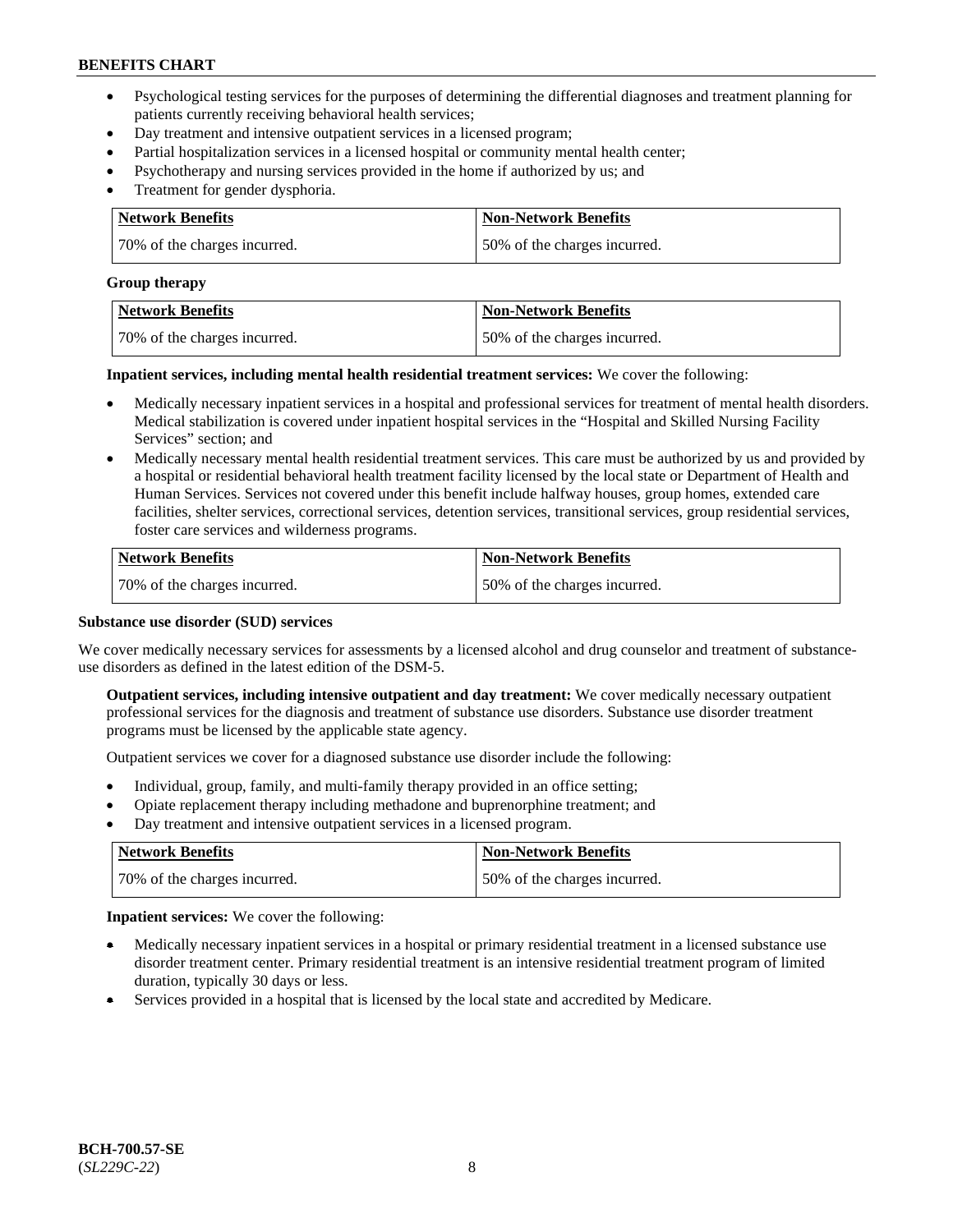- Psychological testing services for the purposes of determining the differential diagnoses and treatment planning for patients currently receiving behavioral health services;
- Day treatment and intensive outpatient services in a licensed program;
- Partial hospitalization services in a licensed hospital or community mental health center;
- Psychotherapy and nursing services provided in the home if authorized by us; and
- Treatment for gender dysphoria.

| <b>Network Benefits</b>      | Non-Network Benefits         |
|------------------------------|------------------------------|
| 70% of the charges incurred. | 50% of the charges incurred. |

#### **Group therapy**

| Network Benefits             | <b>Non-Network Benefits</b>  |
|------------------------------|------------------------------|
| 70% of the charges incurred. | 50% of the charges incurred. |

**Inpatient services, including mental health residential treatment services:** We cover the following:

- Medically necessary inpatient services in a hospital and professional services for treatment of mental health disorders. Medical stabilization is covered under inpatient hospital services in the "Hospital and Skilled Nursing Facility Services" section; and
- Medically necessary mental health residential treatment services. This care must be authorized by us and provided by a hospital or residential behavioral health treatment facility licensed by the local state or Department of Health and Human Services. Services not covered under this benefit include halfway houses, group homes, extended care facilities, shelter services, correctional services, detention services, transitional services, group residential services, foster care services and wilderness programs.

| Network Benefits             | <b>Non-Network Benefits</b>  |
|------------------------------|------------------------------|
| 70% of the charges incurred. | 50% of the charges incurred. |

### **Substance use disorder (SUD) services**

We cover medically necessary services for assessments by a licensed alcohol and drug counselor and treatment of substanceuse disorders as defined in the latest edition of the DSM-5.

**Outpatient services, including intensive outpatient and day treatment:** We cover medically necessary outpatient professional services for the diagnosis and treatment of substance use disorders. Substance use disorder treatment programs must be licensed by the applicable state agency.

Outpatient services we cover for a diagnosed substance use disorder include the following:

- Individual, group, family, and multi-family therapy provided in an office setting;
- Opiate replacement therapy including methadone and buprenorphine treatment; and
- Day treatment and intensive outpatient services in a licensed program.

| Network Benefits             | <b>Non-Network Benefits</b>  |
|------------------------------|------------------------------|
| 70% of the charges incurred. | 50% of the charges incurred. |

**Inpatient services:** We cover the following:

- Medically necessary inpatient services in a hospital or primary residential treatment in a licensed substance use disorder treatment center. Primary residential treatment is an intensive residential treatment program of limited duration, typically 30 days or less.
- Services provided in a hospital that is licensed by the local state and accredited by Medicare.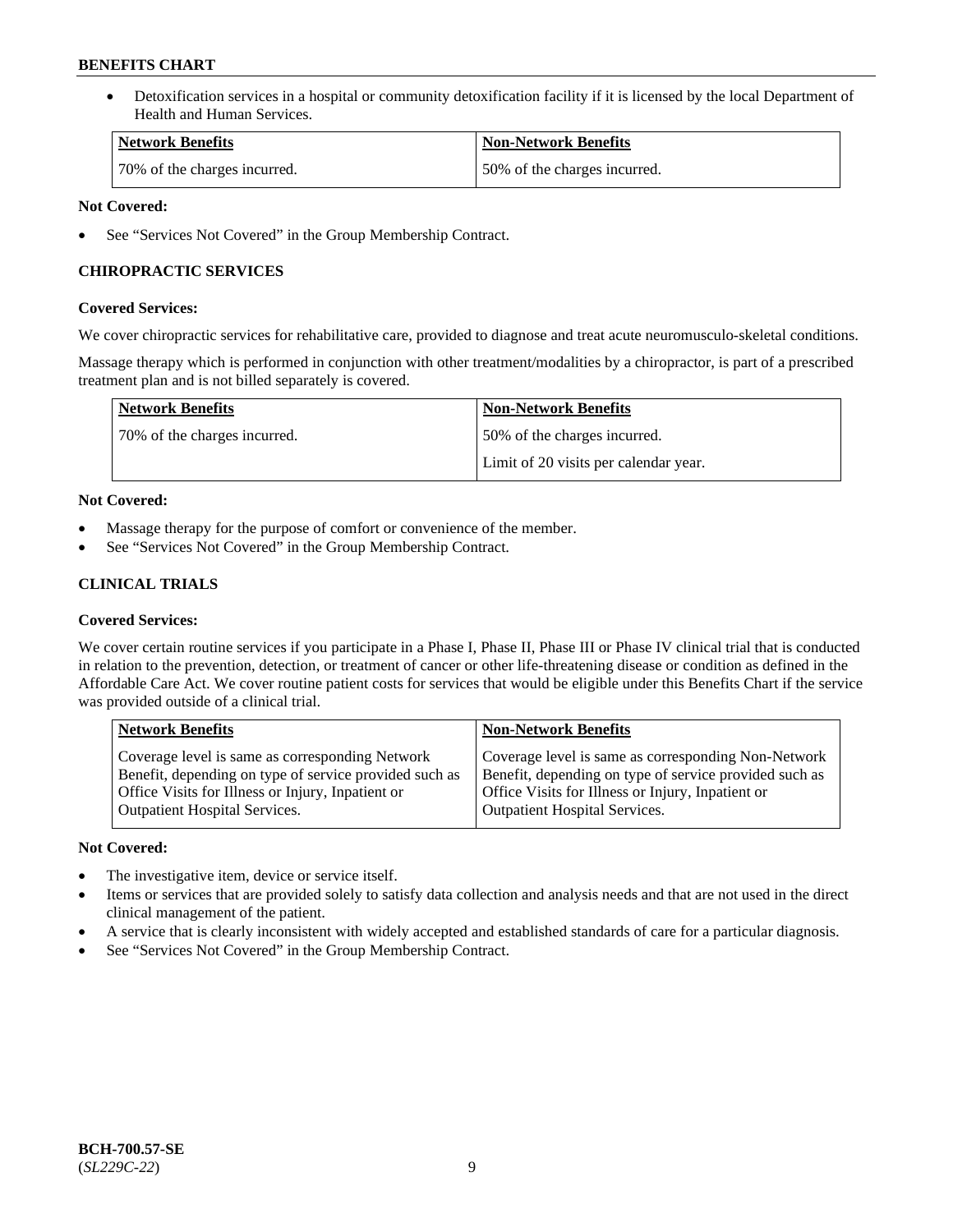• Detoxification services in a hospital or community detoxification facility if it is licensed by the local Department of Health and Human Services.

| <b>Network Benefits</b>      | <b>Non-Network Benefits</b>  |
|------------------------------|------------------------------|
| 70% of the charges incurred. | 50% of the charges incurred. |

# **Not Covered:**

See "Services Not Covered" in the Group Membership Contract.

# **CHIROPRACTIC SERVICES**

# **Covered Services:**

We cover chiropractic services for rehabilitative care, provided to diagnose and treat acute neuromusculo-skeletal conditions.

Massage therapy which is performed in conjunction with other treatment/modalities by a chiropractor, is part of a prescribed treatment plan and is not billed separately is covered.

| <b>Network Benefits</b>      | <b>Non-Network Benefits</b>           |
|------------------------------|---------------------------------------|
| 70% of the charges incurred. | 50% of the charges incurred.          |
|                              | Limit of 20 visits per calendar year. |

# **Not Covered:**

- Massage therapy for the purpose of comfort or convenience of the member.
- See "Services Not Covered" in the Group Membership Contract.

# **CLINICAL TRIALS**

# **Covered Services:**

We cover certain routine services if you participate in a Phase I, Phase II, Phase III or Phase IV clinical trial that is conducted in relation to the prevention, detection, or treatment of cancer or other life-threatening disease or condition as defined in the Affordable Care Act. We cover routine patient costs for services that would be eligible under this Benefits Chart if the service was provided outside of a clinical trial.

| <b>Network Benefits</b>                                                                                                                                                                                | <b>Non-Network Benefits</b>                                                                                                                                                                         |
|--------------------------------------------------------------------------------------------------------------------------------------------------------------------------------------------------------|-----------------------------------------------------------------------------------------------------------------------------------------------------------------------------------------------------|
| Coverage level is same as corresponding Network<br>Benefit, depending on type of service provided such as<br>Office Visits for Illness or Injury, Inpatient or<br><b>Outpatient Hospital Services.</b> | Coverage level is same as corresponding Non-Network<br>Benefit, depending on type of service provided such as<br>Office Visits for Illness or Injury, Inpatient or<br>Outpatient Hospital Services. |
|                                                                                                                                                                                                        |                                                                                                                                                                                                     |

# **Not Covered:**

- The investigative item, device or service itself.
- Items or services that are provided solely to satisfy data collection and analysis needs and that are not used in the direct clinical management of the patient.
- A service that is clearly inconsistent with widely accepted and established standards of care for a particular diagnosis.
- See "Services Not Covered" in the Group Membership Contract.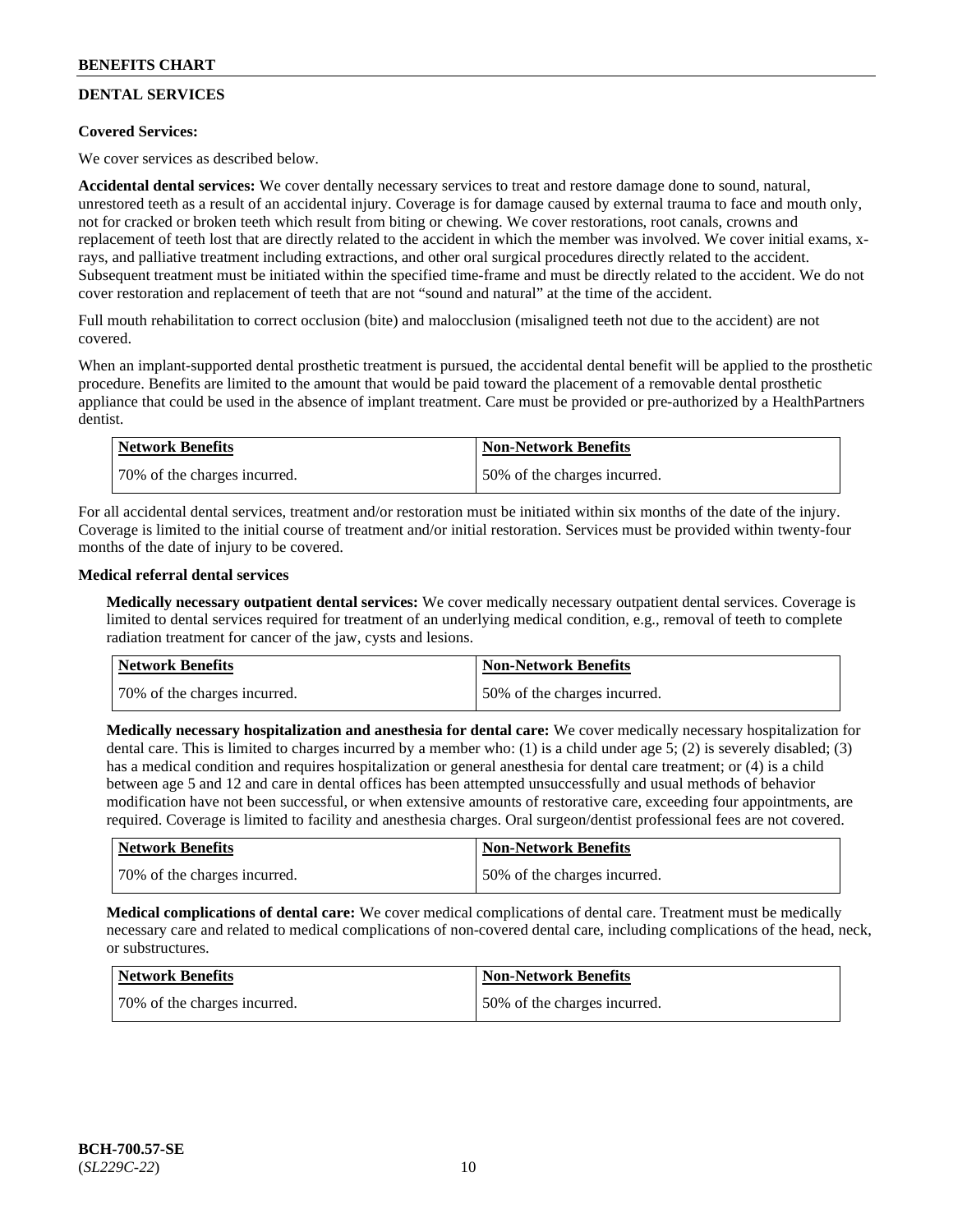# **DENTAL SERVICES**

# **Covered Services:**

We cover services as described below.

**Accidental dental services:** We cover dentally necessary services to treat and restore damage done to sound, natural, unrestored teeth as a result of an accidental injury. Coverage is for damage caused by external trauma to face and mouth only, not for cracked or broken teeth which result from biting or chewing. We cover restorations, root canals, crowns and replacement of teeth lost that are directly related to the accident in which the member was involved. We cover initial exams, xrays, and palliative treatment including extractions, and other oral surgical procedures directly related to the accident. Subsequent treatment must be initiated within the specified time-frame and must be directly related to the accident. We do not cover restoration and replacement of teeth that are not "sound and natural" at the time of the accident.

Full mouth rehabilitation to correct occlusion (bite) and malocclusion (misaligned teeth not due to the accident) are not covered.

When an implant-supported dental prosthetic treatment is pursued, the accidental dental benefit will be applied to the prosthetic procedure. Benefits are limited to the amount that would be paid toward the placement of a removable dental prosthetic appliance that could be used in the absence of implant treatment. Care must be provided or pre-authorized by a HealthPartners dentist.

| Network Benefits             | <b>Non-Network Benefits</b>  |
|------------------------------|------------------------------|
| 70% of the charges incurred. | 50% of the charges incurred. |

For all accidental dental services, treatment and/or restoration must be initiated within six months of the date of the injury. Coverage is limited to the initial course of treatment and/or initial restoration. Services must be provided within twenty-four months of the date of injury to be covered.

# **Medical referral dental services**

**Medically necessary outpatient dental services:** We cover medically necessary outpatient dental services. Coverage is limited to dental services required for treatment of an underlying medical condition, e.g., removal of teeth to complete radiation treatment for cancer of the jaw, cysts and lesions.

| Network Benefits             | <b>Non-Network Benefits</b>  |
|------------------------------|------------------------------|
| 70% of the charges incurred. | 50% of the charges incurred. |

**Medically necessary hospitalization and anesthesia for dental care:** We cover medically necessary hospitalization for dental care. This is limited to charges incurred by a member who: (1) is a child under age 5; (2) is severely disabled; (3) has a medical condition and requires hospitalization or general anesthesia for dental care treatment; or (4) is a child between age 5 and 12 and care in dental offices has been attempted unsuccessfully and usual methods of behavior modification have not been successful, or when extensive amounts of restorative care, exceeding four appointments, are required. Coverage is limited to facility and anesthesia charges. Oral surgeon/dentist professional fees are not covered.

| Network Benefits             | <b>Non-Network Benefits</b>  |
|------------------------------|------------------------------|
| 70% of the charges incurred. | 50% of the charges incurred. |

**Medical complications of dental care:** We cover medical complications of dental care. Treatment must be medically necessary care and related to medical complications of non-covered dental care, including complications of the head, neck, or substructures.

| Network Benefits             | Non-Network Benefits         |
|------------------------------|------------------------------|
| 70% of the charges incurred. | 50% of the charges incurred. |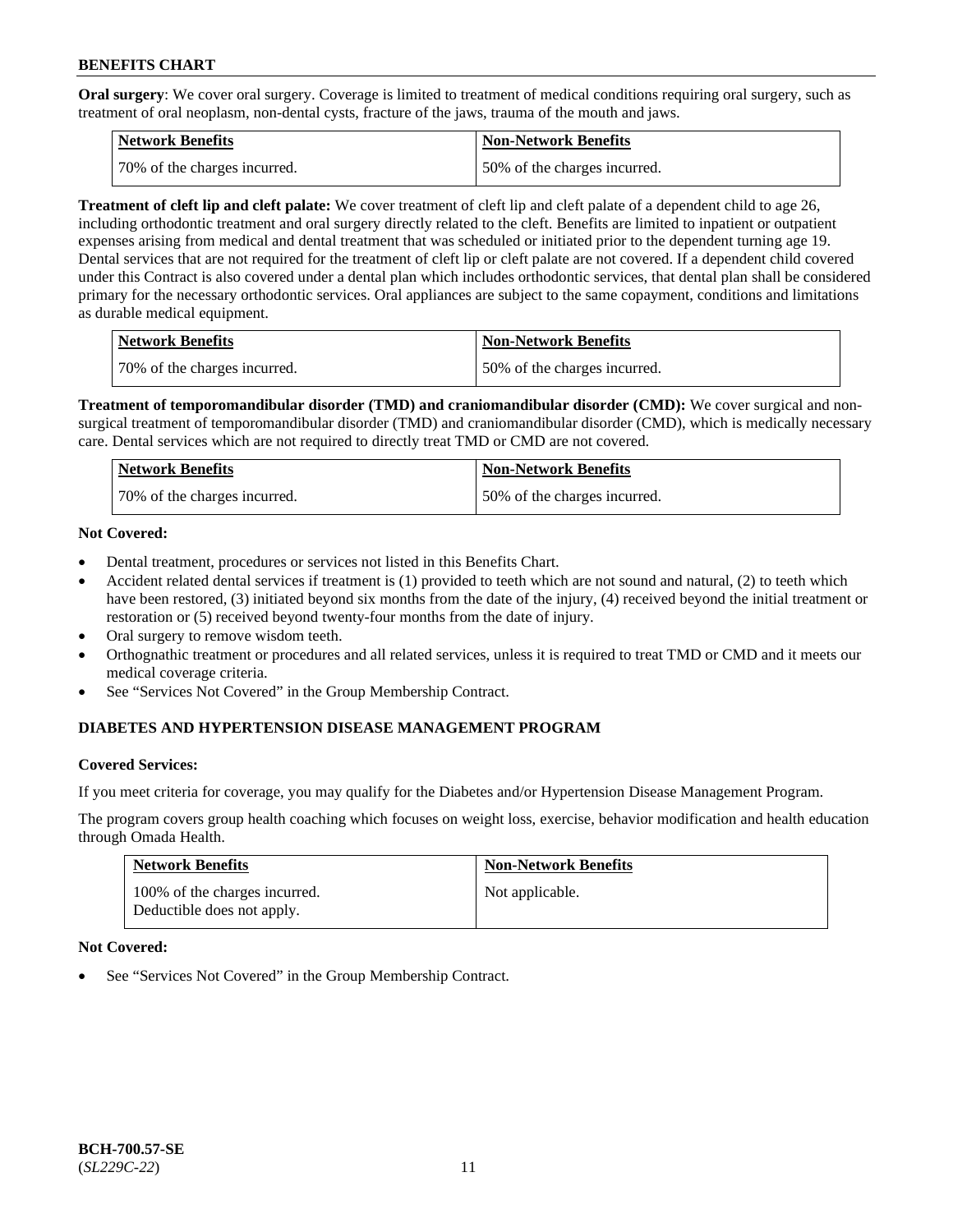**Oral surgery**: We cover oral surgery. Coverage is limited to treatment of medical conditions requiring oral surgery, such as treatment of oral neoplasm, non-dental cysts, fracture of the jaws, trauma of the mouth and jaws.

| Network Benefits             | <b>Non-Network Benefits</b>  |
|------------------------------|------------------------------|
| 70% of the charges incurred. | 50% of the charges incurred. |

**Treatment of cleft lip and cleft palate:** We cover treatment of cleft lip and cleft palate of a dependent child to age 26, including orthodontic treatment and oral surgery directly related to the cleft. Benefits are limited to inpatient or outpatient expenses arising from medical and dental treatment that was scheduled or initiated prior to the dependent turning age 19. Dental services that are not required for the treatment of cleft lip or cleft palate are not covered. If a dependent child covered under this Contract is also covered under a dental plan which includes orthodontic services, that dental plan shall be considered primary for the necessary orthodontic services. Oral appliances are subject to the same copayment, conditions and limitations as durable medical equipment.

| <b>Network Benefits</b>      | <b>Non-Network Benefits</b>  |
|------------------------------|------------------------------|
| 70% of the charges incurred. | 50% of the charges incurred. |

**Treatment of temporomandibular disorder (TMD) and craniomandibular disorder (CMD):** We cover surgical and nonsurgical treatment of temporomandibular disorder (TMD) and craniomandibular disorder (CMD), which is medically necessary care. Dental services which are not required to directly treat TMD or CMD are not covered.

| <b>Network Benefits</b>      | <b>Non-Network Benefits</b>  |
|------------------------------|------------------------------|
| 70% of the charges incurred. | 50% of the charges incurred. |

# **Not Covered:**

- Dental treatment, procedures or services not listed in this Benefits Chart.
- Accident related dental services if treatment is (1) provided to teeth which are not sound and natural, (2) to teeth which have been restored, (3) initiated beyond six months from the date of the injury, (4) received beyond the initial treatment or restoration or (5) received beyond twenty-four months from the date of injury.
- Oral surgery to remove wisdom teeth.
- Orthognathic treatment or procedures and all related services, unless it is required to treat TMD or CMD and it meets our medical coverage criteria.
- See "Services Not Covered" in the Group Membership Contract.

# **DIABETES AND HYPERTENSION DISEASE MANAGEMENT PROGRAM**

# **Covered Services:**

If you meet criteria for coverage, you may qualify for the Diabetes and/or Hypertension Disease Management Program.

The program covers group health coaching which focuses on weight loss, exercise, behavior modification and health education through Omada Health.

| <b>Network Benefits</b>                                     | <b>Non-Network Benefits</b> |
|-------------------------------------------------------------|-----------------------------|
| 100% of the charges incurred.<br>Deductible does not apply. | Not applicable.             |

# **Not Covered:**

See "Services Not Covered" in the Group Membership Contract.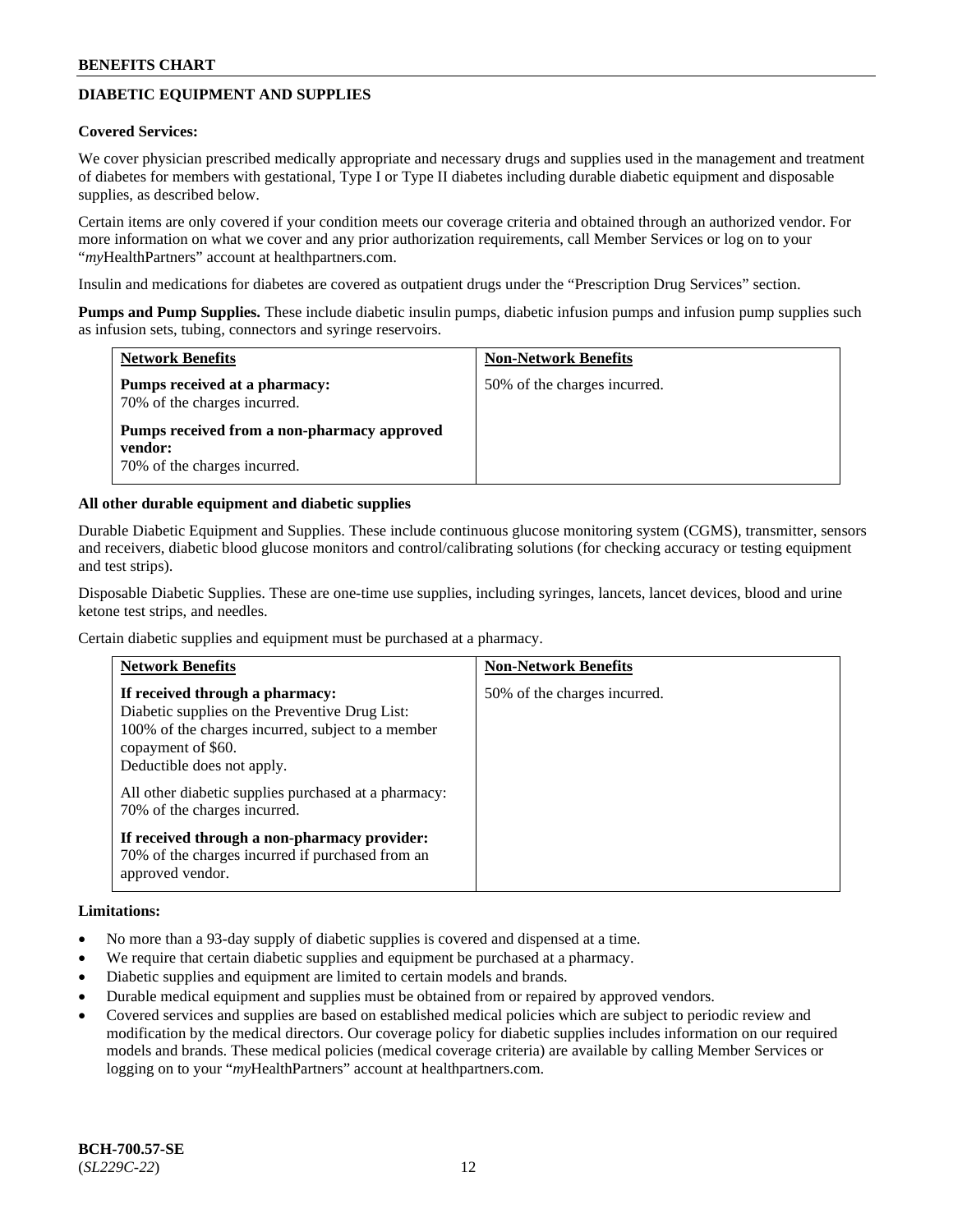# **DIABETIC EQUIPMENT AND SUPPLIES**

#### **Covered Services:**

We cover physician prescribed medically appropriate and necessary drugs and supplies used in the management and treatment of diabetes for members with gestational, Type I or Type II diabetes including durable diabetic equipment and disposable supplies, as described below.

Certain items are only covered if your condition meets our coverage criteria and obtained through an authorized vendor. For more information on what we cover and any prior authorization requirements, call Member Services or log on to your "*my*HealthPartners" account at [healthpartners.com.](http://www.healthpartners.com/)

Insulin and medications for diabetes are covered as outpatient drugs under the "Prescription Drug Services" section.

**Pumps and Pump Supplies.** These include diabetic insulin pumps, diabetic infusion pumps and infusion pump supplies such as infusion sets, tubing, connectors and syringe reservoirs.

| <b>Network Benefits</b>                                                                | <b>Non-Network Benefits</b>  |
|----------------------------------------------------------------------------------------|------------------------------|
| Pumps received at a pharmacy:<br>70% of the charges incurred.                          | 50% of the charges incurred. |
| Pumps received from a non-pharmacy approved<br>vendor:<br>70% of the charges incurred. |                              |

### **All other durable equipment and diabetic supplies**

Durable Diabetic Equipment and Supplies. These include continuous glucose monitoring system (CGMS), transmitter, sensors and receivers, diabetic blood glucose monitors and control/calibrating solutions (for checking accuracy or testing equipment and test strips).

Disposable Diabetic Supplies. These are one-time use supplies, including syringes, lancets, lancet devices, blood and urine ketone test strips, and needles.

Certain diabetic supplies and equipment must be purchased at a pharmacy.

| <b>Network Benefits</b>                                                                                                                                                                    | <b>Non-Network Benefits</b>  |
|--------------------------------------------------------------------------------------------------------------------------------------------------------------------------------------------|------------------------------|
| If received through a pharmacy:<br>Diabetic supplies on the Preventive Drug List:<br>100% of the charges incurred, subject to a member<br>copayment of \$60.<br>Deductible does not apply. | 50% of the charges incurred. |
| All other diabetic supplies purchased at a pharmacy:<br>70% of the charges incurred.                                                                                                       |                              |
| If received through a non-pharmacy provider:<br>70% of the charges incurred if purchased from an<br>approved vendor.                                                                       |                              |

#### **Limitations:**

- No more than a 93-day supply of diabetic supplies is covered and dispensed at a time.
- We require that certain diabetic supplies and equipment be purchased at a pharmacy.
- Diabetic supplies and equipment are limited to certain models and brands.
- Durable medical equipment and supplies must be obtained from or repaired by approved vendors.
- Covered services and supplies are based on established medical policies which are subject to periodic review and modification by the medical directors. Our coverage policy for diabetic supplies includes information on our required models and brands. These medical policies (medical coverage criteria) are available by calling Member Services or logging on to your "*my*HealthPartners" account at [healthpartners.com.](http://www.healthpartners.com/)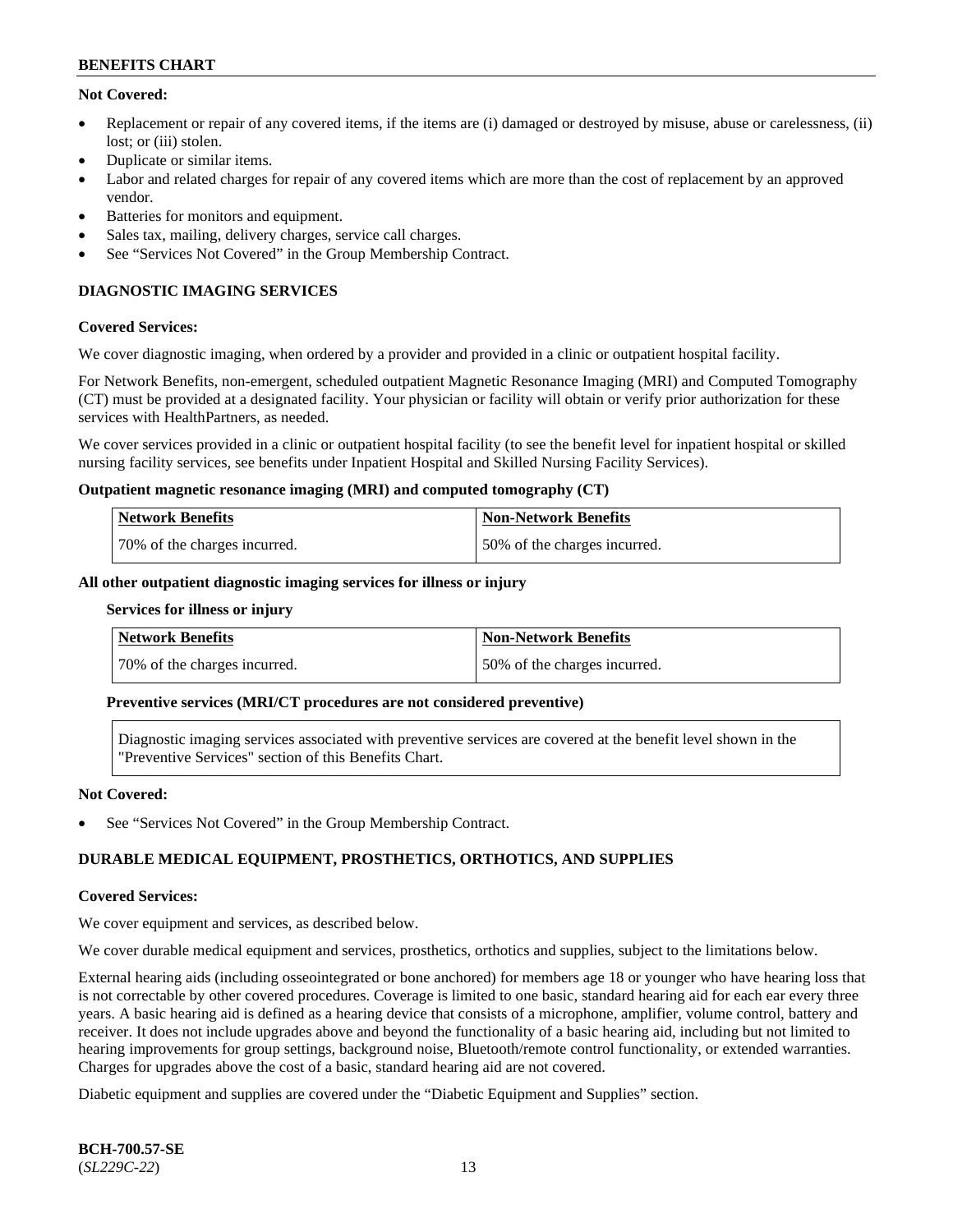# **Not Covered:**

- Replacement or repair of any covered items, if the items are (i) damaged or destroyed by misuse, abuse or carelessness, (ii) lost: or (iii) stolen.
- Duplicate or similar items.
- Labor and related charges for repair of any covered items which are more than the cost of replacement by an approved vendor.
- Batteries for monitors and equipment.
- Sales tax, mailing, delivery charges, service call charges.
- See "Services Not Covered" in the Group Membership Contract.

# **DIAGNOSTIC IMAGING SERVICES**

#### **Covered Services:**

We cover diagnostic imaging, when ordered by a provider and provided in a clinic or outpatient hospital facility.

For Network Benefits, non-emergent, scheduled outpatient Magnetic Resonance Imaging (MRI) and Computed Tomography (CT) must be provided at a designated facility. Your physician or facility will obtain or verify prior authorization for these services with HealthPartners, as needed.

We cover services provided in a clinic or outpatient hospital facility (to see the benefit level for inpatient hospital or skilled nursing facility services, see benefits under Inpatient Hospital and Skilled Nursing Facility Services).

#### **Outpatient magnetic resonance imaging (MRI) and computed tomography (CT)**

| Network Benefits             | <b>Non-Network Benefits</b>  |
|------------------------------|------------------------------|
| 70% of the charges incurred. | 50% of the charges incurred. |

#### **All other outpatient diagnostic imaging services for illness or injury**

#### **Services for illness or injury**

| Network Benefits             | <b>Non-Network Benefits</b>  |
|------------------------------|------------------------------|
| 70% of the charges incurred. | 50% of the charges incurred. |

### **Preventive services (MRI/CT procedures are not considered preventive)**

Diagnostic imaging services associated with preventive services are covered at the benefit level shown in the "Preventive Services" section of this Benefits Chart.

#### **Not Covered:**

See "Services Not Covered" in the Group Membership Contract.

# **DURABLE MEDICAL EQUIPMENT, PROSTHETICS, ORTHOTICS, AND SUPPLIES**

#### **Covered Services:**

We cover equipment and services, as described below.

We cover durable medical equipment and services, prosthetics, orthotics and supplies, subject to the limitations below.

External hearing aids (including osseointegrated or bone anchored) for members age 18 or younger who have hearing loss that is not correctable by other covered procedures. Coverage is limited to one basic, standard hearing aid for each ear every three years. A basic hearing aid is defined as a hearing device that consists of a microphone, amplifier, volume control, battery and receiver. It does not include upgrades above and beyond the functionality of a basic hearing aid, including but not limited to hearing improvements for group settings, background noise, Bluetooth/remote control functionality, or extended warranties. Charges for upgrades above the cost of a basic, standard hearing aid are not covered.

Diabetic equipment and supplies are covered under the "Diabetic Equipment and Supplies" section.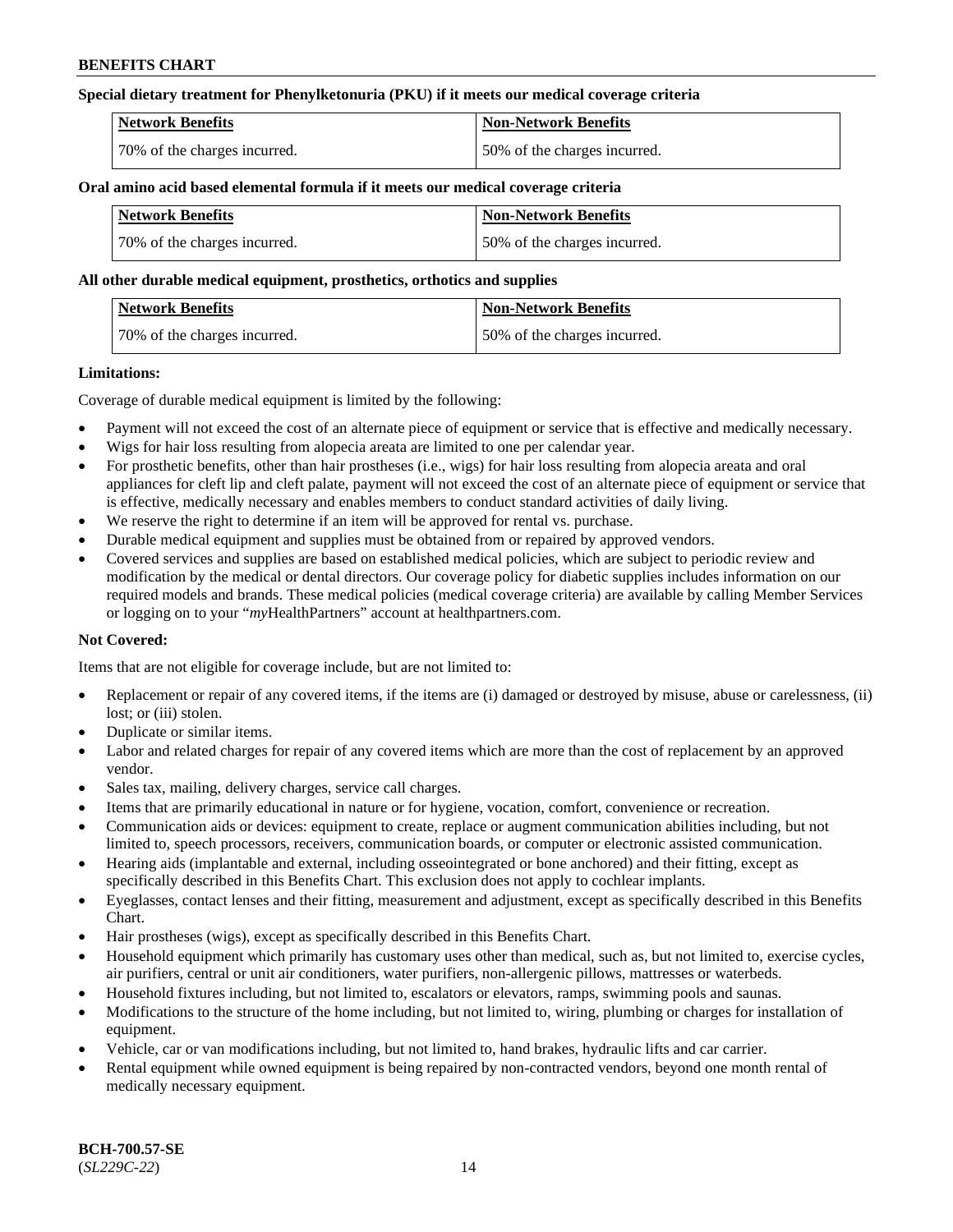# **Special dietary treatment for Phenylketonuria (PKU) if it meets our medical coverage criteria**

| <b>Network Benefits</b>      | <b>Non-Network Benefits</b>  |
|------------------------------|------------------------------|
| 70% of the charges incurred. | 50% of the charges incurred. |

### **Oral amino acid based elemental formula if it meets our medical coverage criteria**

| Network Benefits             | <b>Non-Network Benefits</b>  |
|------------------------------|------------------------------|
| 70% of the charges incurred. | 50% of the charges incurred. |

#### **All other durable medical equipment, prosthetics, orthotics and supplies**

| Network Benefits             | <b>Non-Network Benefits</b>  |
|------------------------------|------------------------------|
| 70% of the charges incurred. | 50% of the charges incurred. |

### **Limitations:**

Coverage of durable medical equipment is limited by the following:

- Payment will not exceed the cost of an alternate piece of equipment or service that is effective and medically necessary.
- Wigs for hair loss resulting from alopecia areata are limited to one per calendar year.
- For prosthetic benefits, other than hair prostheses (i.e., wigs) for hair loss resulting from alopecia areata and oral appliances for cleft lip and cleft palate, payment will not exceed the cost of an alternate piece of equipment or service that is effective, medically necessary and enables members to conduct standard activities of daily living.
- We reserve the right to determine if an item will be approved for rental vs. purchase.
- Durable medical equipment and supplies must be obtained from or repaired by approved vendors.
- Covered services and supplies are based on established medical policies, which are subject to periodic review and modification by the medical or dental directors. Our coverage policy for diabetic supplies includes information on our required models and brands. These medical policies (medical coverage criteria) are available by calling Member Services or logging on to your "*my*HealthPartners" account a[t healthpartners.com.](https://www.healthpartners.com/hp/index.html)

# **Not Covered:**

Items that are not eligible for coverage include, but are not limited to:

- Replacement or repair of any covered items, if the items are (i) damaged or destroyed by misuse, abuse or carelessness, (ii) lost; or (iii) stolen.
- Duplicate or similar items.
- Labor and related charges for repair of any covered items which are more than the cost of replacement by an approved vendor.
- Sales tax, mailing, delivery charges, service call charges.
- Items that are primarily educational in nature or for hygiene, vocation, comfort, convenience or recreation.
- Communication aids or devices: equipment to create, replace or augment communication abilities including, but not limited to, speech processors, receivers, communication boards, or computer or electronic assisted communication.
- Hearing aids (implantable and external, including osseointegrated or bone anchored) and their fitting, except as specifically described in this Benefits Chart. This exclusion does not apply to cochlear implants.
- Eyeglasses, contact lenses and their fitting, measurement and adjustment, except as specifically described in this Benefits Chart.
- Hair prostheses (wigs), except as specifically described in this Benefits Chart.
- Household equipment which primarily has customary uses other than medical, such as, but not limited to, exercise cycles, air purifiers, central or unit air conditioners, water purifiers, non-allergenic pillows, mattresses or waterbeds.
- Household fixtures including, but not limited to, escalators or elevators, ramps, swimming pools and saunas.
- Modifications to the structure of the home including, but not limited to, wiring, plumbing or charges for installation of equipment.
- Vehicle, car or van modifications including, but not limited to, hand brakes, hydraulic lifts and car carrier.
- Rental equipment while owned equipment is being repaired by non-contracted vendors, beyond one month rental of medically necessary equipment.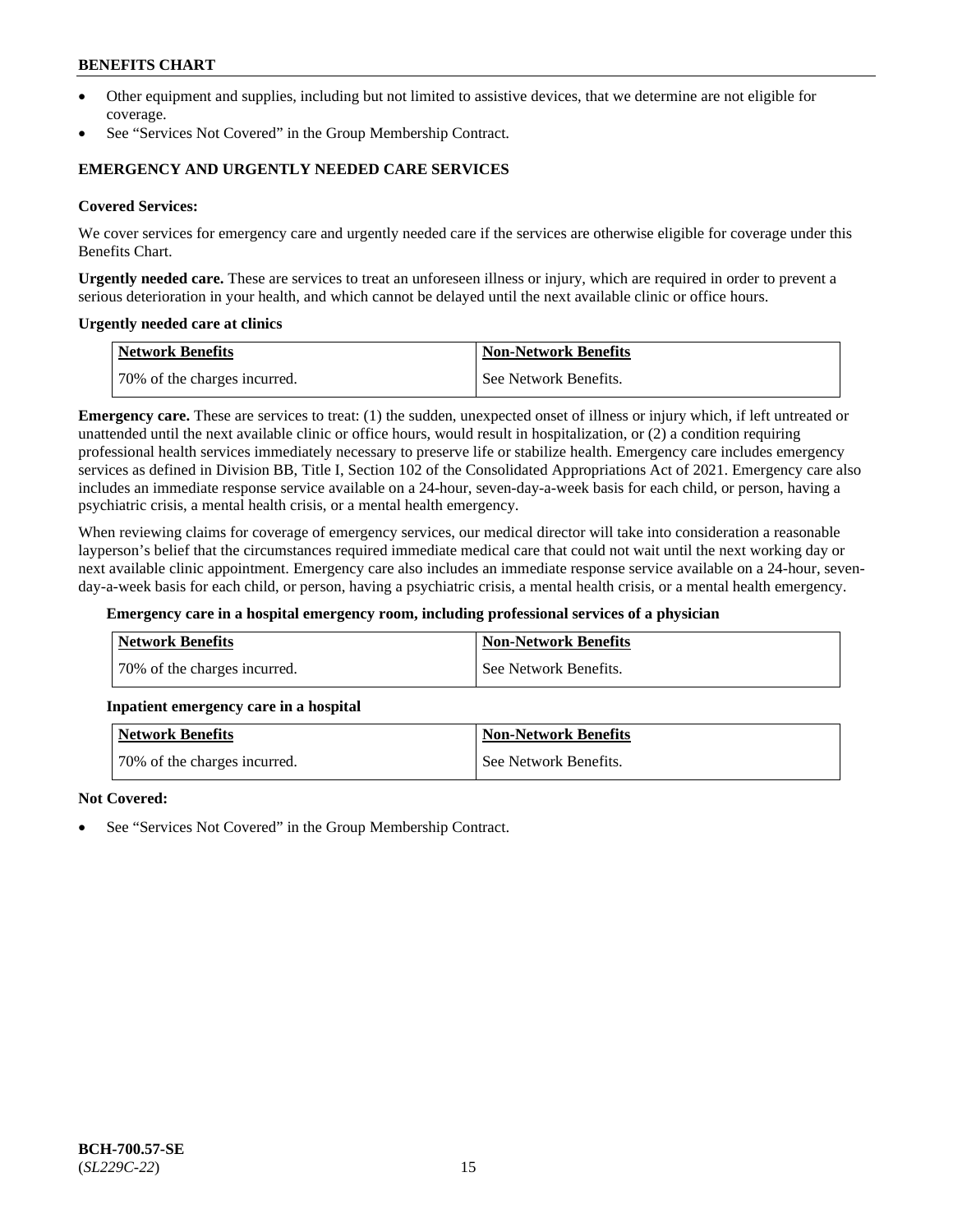- Other equipment and supplies, including but not limited to assistive devices, that we determine are not eligible for coverage.
- See "Services Not Covered" in the Group Membership Contract.

# **EMERGENCY AND URGENTLY NEEDED CARE SERVICES**

### **Covered Services:**

We cover services for emergency care and urgently needed care if the services are otherwise eligible for coverage under this Benefits Chart.

**Urgently needed care.** These are services to treat an unforeseen illness or injury, which are required in order to prevent a serious deterioration in your health, and which cannot be delayed until the next available clinic or office hours.

### **Urgently needed care at clinics**

| Network Benefits             | <b>Non-Network Benefits</b> |
|------------------------------|-----------------------------|
| 70% of the charges incurred. | l See Network Benefits.     |

**Emergency care.** These are services to treat: (1) the sudden, unexpected onset of illness or injury which, if left untreated or unattended until the next available clinic or office hours, would result in hospitalization, or (2) a condition requiring professional health services immediately necessary to preserve life or stabilize health. Emergency care includes emergency services as defined in Division BB, Title I, Section 102 of the Consolidated Appropriations Act of 2021. Emergency care also includes an immediate response service available on a 24-hour, seven-day-a-week basis for each child, or person, having a psychiatric crisis, a mental health crisis, or a mental health emergency.

When reviewing claims for coverage of emergency services, our medical director will take into consideration a reasonable layperson's belief that the circumstances required immediate medical care that could not wait until the next working day or next available clinic appointment. Emergency care also includes an immediate response service available on a 24-hour, sevenday-a-week basis for each child, or person, having a psychiatric crisis, a mental health crisis, or a mental health emergency.

#### **Emergency care in a hospital emergency room, including professional services of a physician**

| Network Benefits              | <b>Non-Network Benefits</b> |
|-------------------------------|-----------------------------|
| 170% of the charges incurred. | See Network Benefits.       |

#### **Inpatient emergency care in a hospital**

| <b>Network Benefits</b>      | <b>Non-Network Benefits</b> |
|------------------------------|-----------------------------|
| 70% of the charges incurred. | See Network Benefits.       |

#### **Not Covered:**

See "Services Not Covered" in the Group Membership Contract.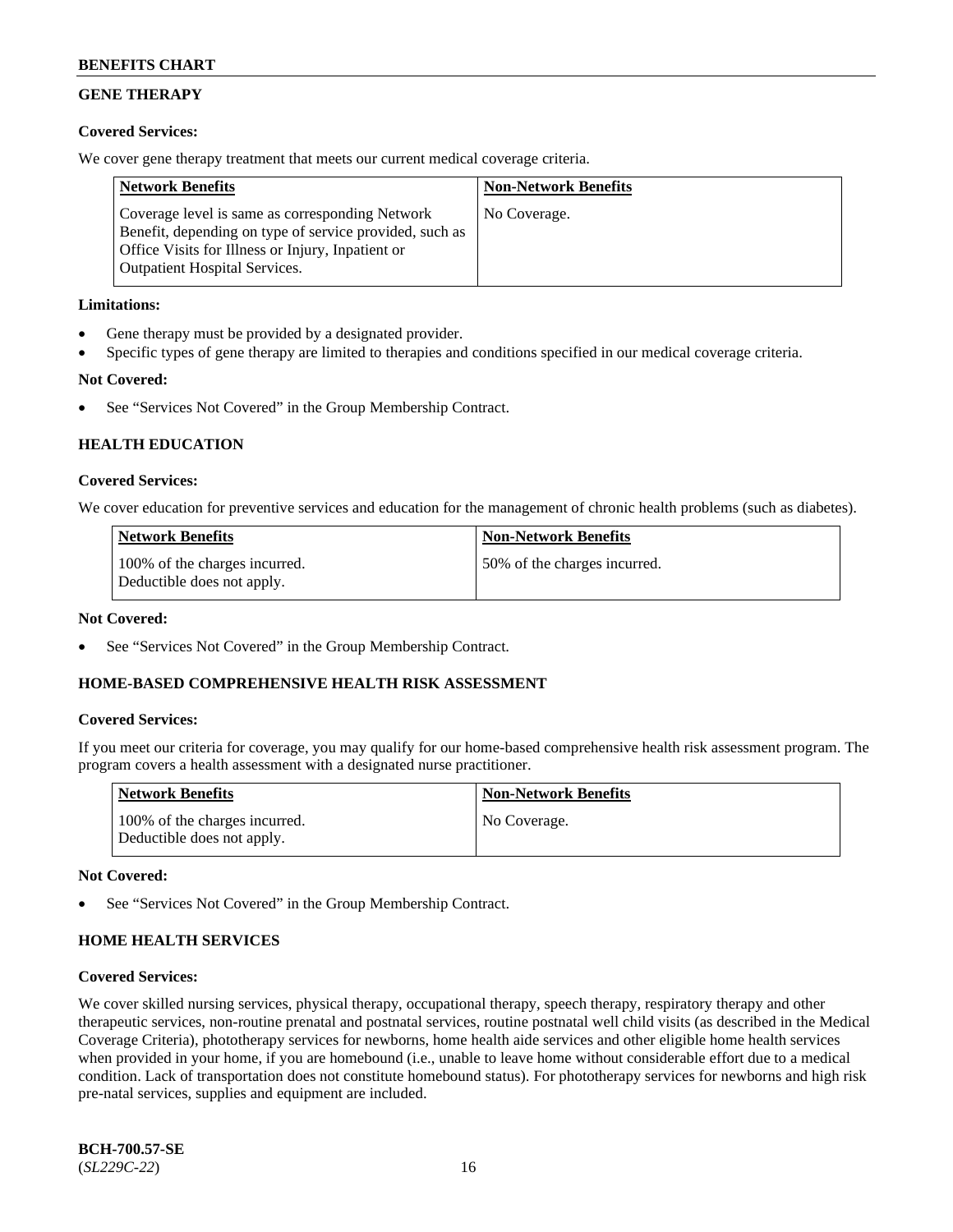# **GENE THERAPY**

# **Covered Services:**

We cover gene therapy treatment that meets our current medical coverage criteria.

| <b>Network Benefits</b>                                                                                                                                                                                 | <b>Non-Network Benefits</b> |
|---------------------------------------------------------------------------------------------------------------------------------------------------------------------------------------------------------|-----------------------------|
| Coverage level is same as corresponding Network<br>Benefit, depending on type of service provided, such as<br>Office Visits for Illness or Injury, Inpatient or<br><b>Outpatient Hospital Services.</b> | No Coverage.                |

# **Limitations:**

- Gene therapy must be provided by a designated provider.
- Specific types of gene therapy are limited to therapies and conditions specified in our medical coverage criteria.

### **Not Covered:**

See "Services Not Covered" in the Group Membership Contract.

# **HEALTH EDUCATION**

### **Covered Services:**

We cover education for preventive services and education for the management of chronic health problems (such as diabetes).

| <b>Network Benefits</b>                                     | <b>Non-Network Benefits</b>  |
|-------------------------------------------------------------|------------------------------|
| 100% of the charges incurred.<br>Deductible does not apply. | 50% of the charges incurred. |

#### **Not Covered:**

See "Services Not Covered" in the Group Membership Contract.

# **HOME-BASED COMPREHENSIVE HEALTH RISK ASSESSMENT**

#### **Covered Services:**

If you meet our criteria for coverage, you may qualify for our home-based comprehensive health risk assessment program. The program covers a health assessment with a designated nurse practitioner.

| <b>Network Benefits</b>                                     | <b>Non-Network Benefits</b> |
|-------------------------------------------------------------|-----------------------------|
| 100% of the charges incurred.<br>Deductible does not apply. | No Coverage.                |

#### **Not Covered:**

See "Services Not Covered" in the Group Membership Contract.

# **HOME HEALTH SERVICES**

#### **Covered Services:**

We cover skilled nursing services, physical therapy, occupational therapy, speech therapy, respiratory therapy and other therapeutic services, non-routine prenatal and postnatal services, routine postnatal well child visits (as described in the Medical Coverage Criteria), phototherapy services for newborns, home health aide services and other eligible home health services when provided in your home, if you are homebound (i.e., unable to leave home without considerable effort due to a medical condition. Lack of transportation does not constitute homebound status). For phototherapy services for newborns and high risk pre-natal services, supplies and equipment are included.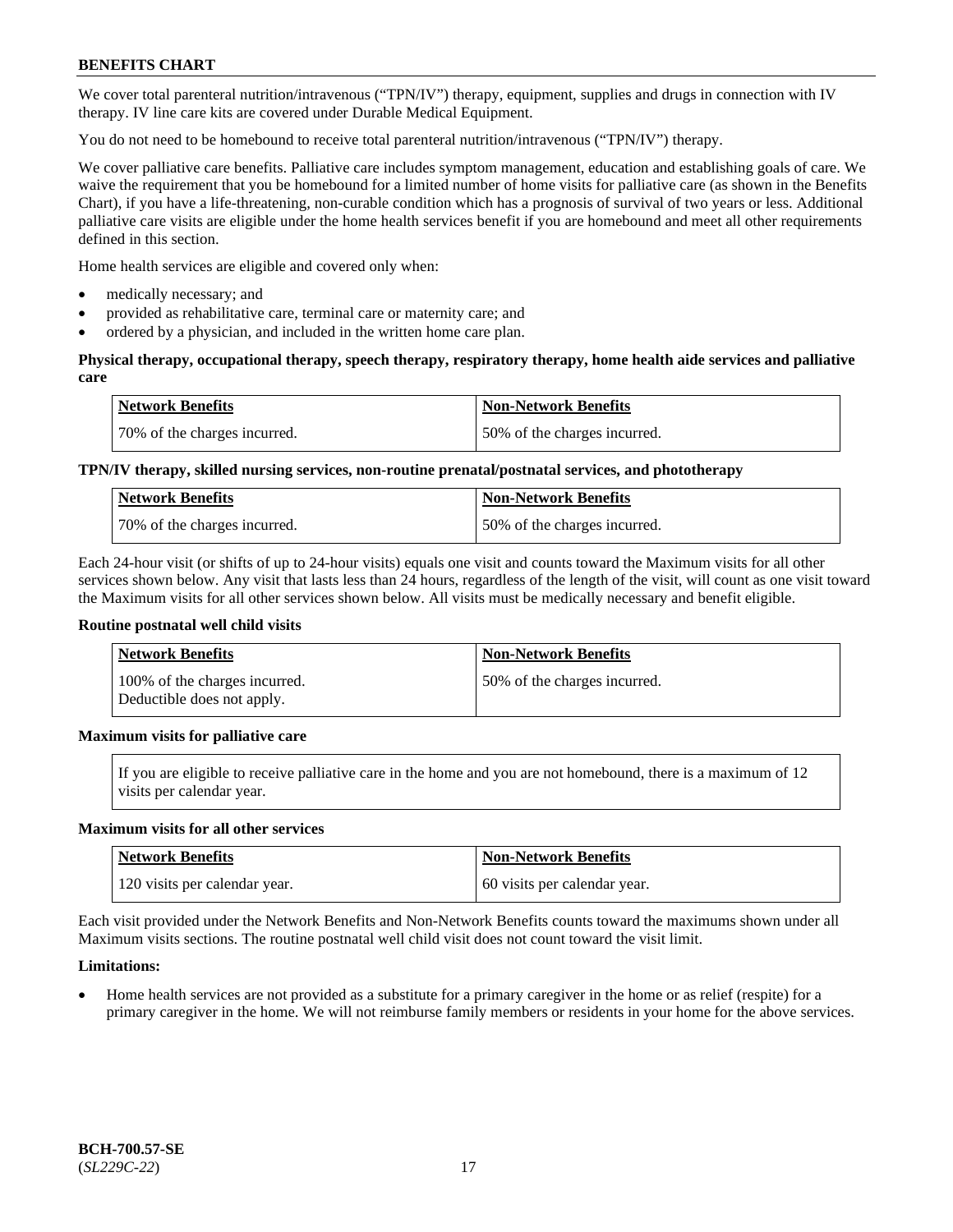We cover total parenteral nutrition/intravenous ("TPN/IV") therapy, equipment, supplies and drugs in connection with IV therapy. IV line care kits are covered under Durable Medical Equipment.

You do not need to be homebound to receive total parenteral nutrition/intravenous ("TPN/IV") therapy.

We cover palliative care benefits. Palliative care includes symptom management, education and establishing goals of care. We waive the requirement that you be homebound for a limited number of home visits for palliative care (as shown in the Benefits Chart), if you have a life-threatening, non-curable condition which has a prognosis of survival of two years or less. Additional palliative care visits are eligible under the home health services benefit if you are homebound and meet all other requirements defined in this section.

Home health services are eligible and covered only when:

- medically necessary; and
- provided as rehabilitative care, terminal care or maternity care; and
- ordered by a physician, and included in the written home care plan.

### **Physical therapy, occupational therapy, speech therapy, respiratory therapy, home health aide services and palliative care**

| <b>Network Benefits</b>      | Non-Network Benefits         |
|------------------------------|------------------------------|
| 70% of the charges incurred. | 50% of the charges incurred. |

# **TPN/IV therapy, skilled nursing services, non-routine prenatal/postnatal services, and phototherapy**

| <b>Network Benefits</b>      | <b>Non-Network Benefits</b>  |
|------------------------------|------------------------------|
| 70% of the charges incurred. | 50% of the charges incurred. |

Each 24-hour visit (or shifts of up to 24-hour visits) equals one visit and counts toward the Maximum visits for all other services shown below. Any visit that lasts less than 24 hours, regardless of the length of the visit, will count as one visit toward the Maximum visits for all other services shown below. All visits must be medically necessary and benefit eligible.

#### **Routine postnatal well child visits**

| <b>Network Benefits</b>                                     | <b>Non-Network Benefits</b>  |
|-------------------------------------------------------------|------------------------------|
| 100% of the charges incurred.<br>Deductible does not apply. | 50% of the charges incurred. |

# **Maximum visits for palliative care**

If you are eligible to receive palliative care in the home and you are not homebound, there is a maximum of 12 visits per calendar year.

#### **Maximum visits for all other services**

| <b>Network Benefits</b>       | <b>Non-Network Benefits</b>  |
|-------------------------------|------------------------------|
| 120 visits per calendar year. | 60 visits per calendar year. |

Each visit provided under the Network Benefits and Non-Network Benefits counts toward the maximums shown under all Maximum visits sections. The routine postnatal well child visit does not count toward the visit limit.

# **Limitations:**

• Home health services are not provided as a substitute for a primary caregiver in the home or as relief (respite) for a primary caregiver in the home. We will not reimburse family members or residents in your home for the above services.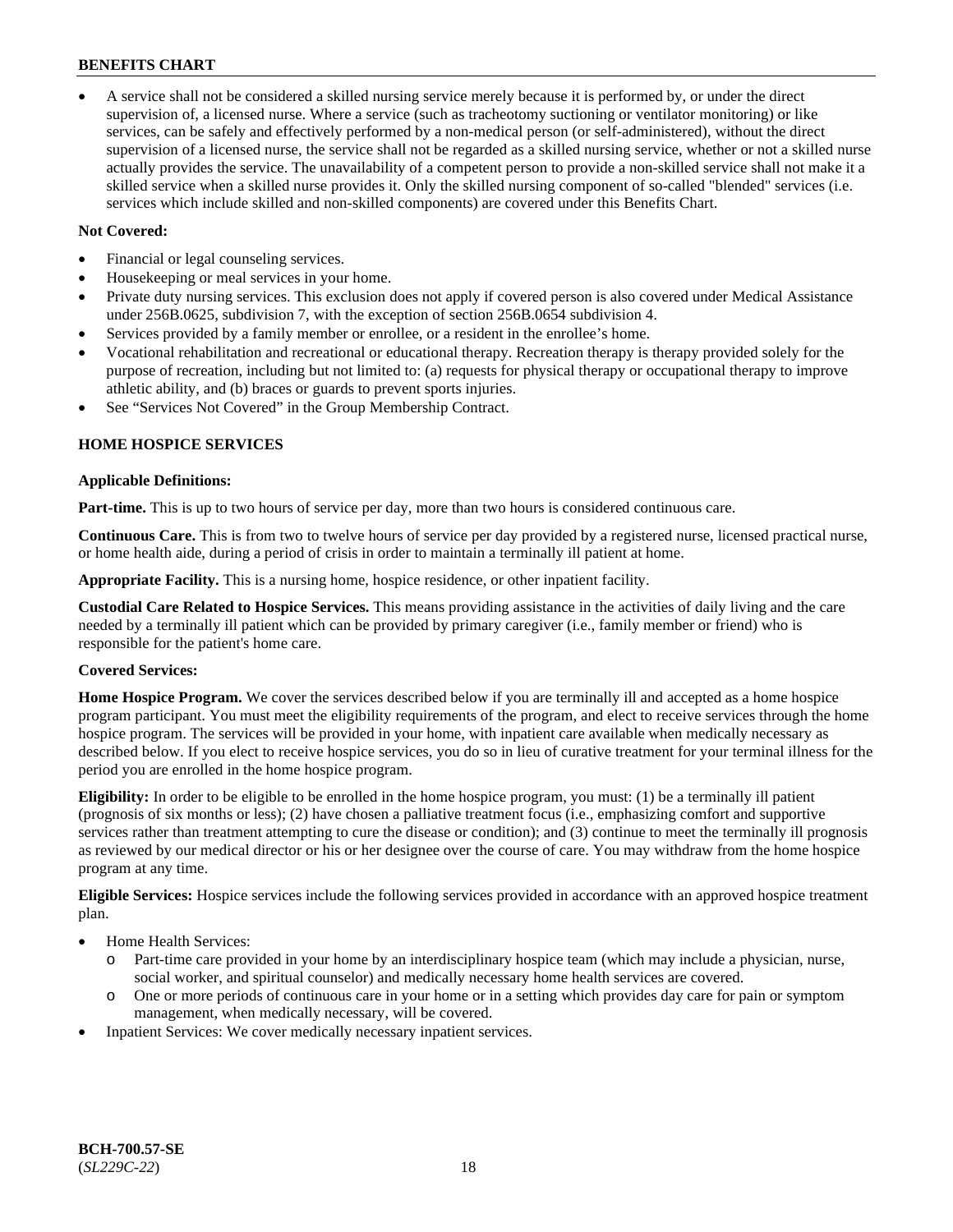• A service shall not be considered a skilled nursing service merely because it is performed by, or under the direct supervision of, a licensed nurse. Where a service (such as tracheotomy suctioning or ventilator monitoring) or like services, can be safely and effectively performed by a non-medical person (or self-administered), without the direct supervision of a licensed nurse, the service shall not be regarded as a skilled nursing service, whether or not a skilled nurse actually provides the service. The unavailability of a competent person to provide a non-skilled service shall not make it a skilled service when a skilled nurse provides it. Only the skilled nursing component of so-called "blended" services (i.e. services which include skilled and non-skilled components) are covered under this Benefits Chart.

### **Not Covered:**

- Financial or legal counseling services.
- Housekeeping or meal services in your home.
- Private duty nursing services. This exclusion does not apply if covered person is also covered under Medical Assistance under 256B.0625, subdivision 7, with the exception of section 256B.0654 subdivision 4.
- Services provided by a family member or enrollee, or a resident in the enrollee's home.
- Vocational rehabilitation and recreational or educational therapy. Recreation therapy is therapy provided solely for the purpose of recreation, including but not limited to: (a) requests for physical therapy or occupational therapy to improve athletic ability, and (b) braces or guards to prevent sports injuries.
- See "Services Not Covered" in the Group Membership Contract.

# **HOME HOSPICE SERVICES**

#### **Applicable Definitions:**

**Part-time.** This is up to two hours of service per day, more than two hours is considered continuous care.

**Continuous Care.** This is from two to twelve hours of service per day provided by a registered nurse, licensed practical nurse, or home health aide, during a period of crisis in order to maintain a terminally ill patient at home.

**Appropriate Facility.** This is a nursing home, hospice residence, or other inpatient facility.

**Custodial Care Related to Hospice Services.** This means providing assistance in the activities of daily living and the care needed by a terminally ill patient which can be provided by primary caregiver (i.e., family member or friend) who is responsible for the patient's home care.

# **Covered Services:**

**Home Hospice Program.** We cover the services described below if you are terminally ill and accepted as a home hospice program participant. You must meet the eligibility requirements of the program, and elect to receive services through the home hospice program. The services will be provided in your home, with inpatient care available when medically necessary as described below. If you elect to receive hospice services, you do so in lieu of curative treatment for your terminal illness for the period you are enrolled in the home hospice program.

**Eligibility:** In order to be eligible to be enrolled in the home hospice program, you must: (1) be a terminally ill patient (prognosis of six months or less); (2) have chosen a palliative treatment focus (i.e., emphasizing comfort and supportive services rather than treatment attempting to cure the disease or condition); and (3) continue to meet the terminally ill prognosis as reviewed by our medical director or his or her designee over the course of care. You may withdraw from the home hospice program at any time.

**Eligible Services:** Hospice services include the following services provided in accordance with an approved hospice treatment plan.

- Home Health Services:
	- o Part-time care provided in your home by an interdisciplinary hospice team (which may include a physician, nurse, social worker, and spiritual counselor) and medically necessary home health services are covered.
	- o One or more periods of continuous care in your home or in a setting which provides day care for pain or symptom management, when medically necessary, will be covered.
- Inpatient Services: We cover medically necessary inpatient services.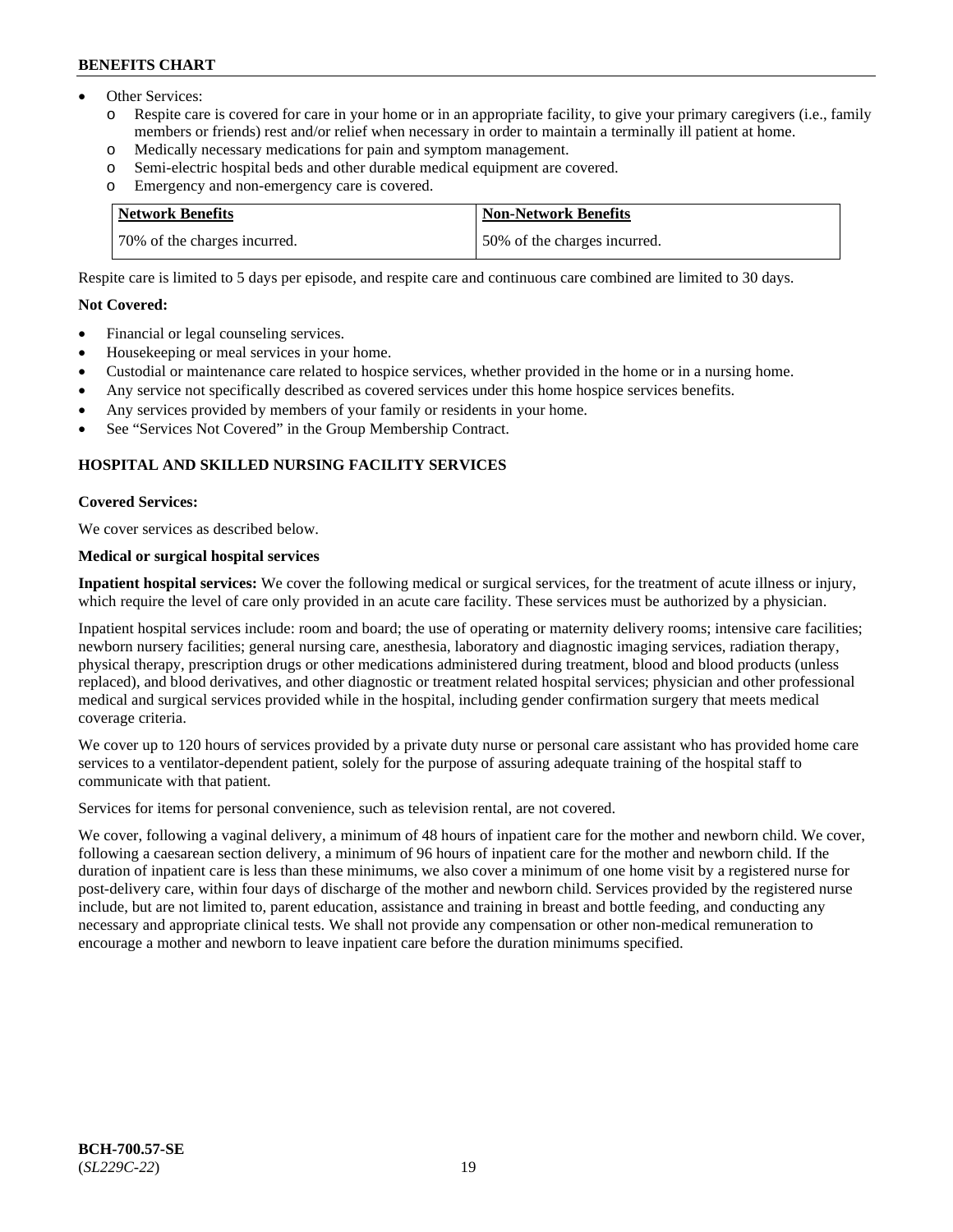- Other Services:
	- Respite care is covered for care in your home or in an appropriate facility, to give your primary caregivers (i.e., family members or friends) rest and/or relief when necessary in order to maintain a terminally ill patient at home.
	- o Medically necessary medications for pain and symptom management.
	- o Semi-electric hospital beds and other durable medical equipment are covered.
	- Emergency and non-emergency care is covered.

| <b>Network Benefits</b>      | Non-Network Benefits         |
|------------------------------|------------------------------|
| 70% of the charges incurred. | 50% of the charges incurred. |

Respite care is limited to 5 days per episode, and respite care and continuous care combined are limited to 30 days.

#### **Not Covered:**

- Financial or legal counseling services.
- Housekeeping or meal services in your home.
- Custodial or maintenance care related to hospice services, whether provided in the home or in a nursing home.
- Any service not specifically described as covered services under this home hospice services benefits.
- Any services provided by members of your family or residents in your home.
- See "Services Not Covered" in the Group Membership Contract.

# **HOSPITAL AND SKILLED NURSING FACILITY SERVICES**

#### **Covered Services:**

We cover services as described below.

# **Medical or surgical hospital services**

**Inpatient hospital services:** We cover the following medical or surgical services, for the treatment of acute illness or injury, which require the level of care only provided in an acute care facility. These services must be authorized by a physician.

Inpatient hospital services include: room and board; the use of operating or maternity delivery rooms; intensive care facilities; newborn nursery facilities; general nursing care, anesthesia, laboratory and diagnostic imaging services, radiation therapy, physical therapy, prescription drugs or other medications administered during treatment, blood and blood products (unless replaced), and blood derivatives, and other diagnostic or treatment related hospital services; physician and other professional medical and surgical services provided while in the hospital, including gender confirmation surgery that meets medical coverage criteria.

We cover up to 120 hours of services provided by a private duty nurse or personal care assistant who has provided home care services to a ventilator-dependent patient, solely for the purpose of assuring adequate training of the hospital staff to communicate with that patient.

Services for items for personal convenience, such as television rental, are not covered.

We cover, following a vaginal delivery, a minimum of 48 hours of inpatient care for the mother and newborn child. We cover, following a caesarean section delivery, a minimum of 96 hours of inpatient care for the mother and newborn child. If the duration of inpatient care is less than these minimums, we also cover a minimum of one home visit by a registered nurse for post-delivery care, within four days of discharge of the mother and newborn child. Services provided by the registered nurse include, but are not limited to, parent education, assistance and training in breast and bottle feeding, and conducting any necessary and appropriate clinical tests. We shall not provide any compensation or other non-medical remuneration to encourage a mother and newborn to leave inpatient care before the duration minimums specified.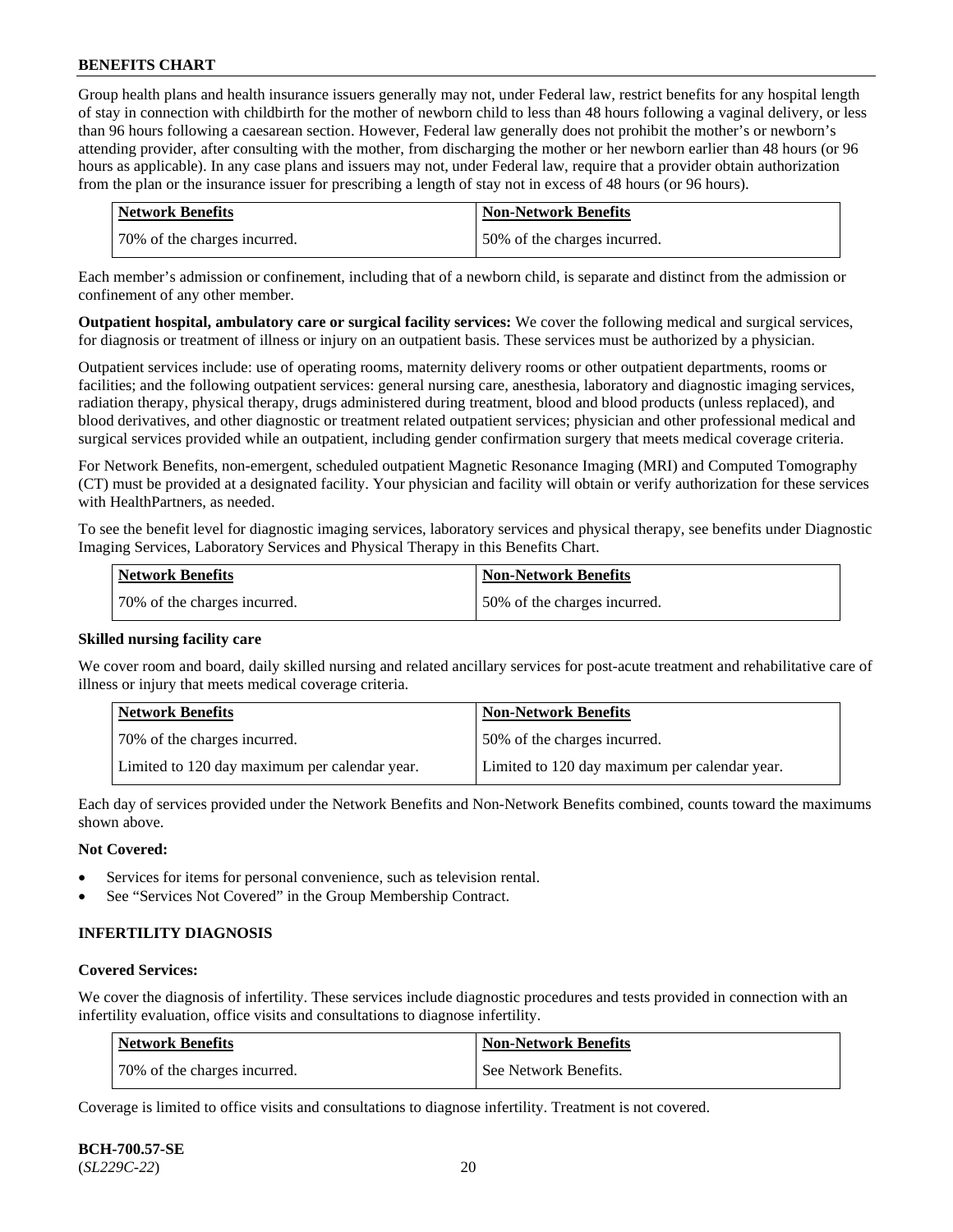Group health plans and health insurance issuers generally may not, under Federal law, restrict benefits for any hospital length of stay in connection with childbirth for the mother of newborn child to less than 48 hours following a vaginal delivery, or less than 96 hours following a caesarean section. However, Federal law generally does not prohibit the mother's or newborn's attending provider, after consulting with the mother, from discharging the mother or her newborn earlier than 48 hours (or 96 hours as applicable). In any case plans and issuers may not, under Federal law, require that a provider obtain authorization from the plan or the insurance issuer for prescribing a length of stay not in excess of 48 hours (or 96 hours).

| Network Benefits             | <b>Non-Network Benefits</b>  |
|------------------------------|------------------------------|
| 70% of the charges incurred. | 50% of the charges incurred. |

Each member's admission or confinement, including that of a newborn child, is separate and distinct from the admission or confinement of any other member.

**Outpatient hospital, ambulatory care or surgical facility services:** We cover the following medical and surgical services, for diagnosis or treatment of illness or injury on an outpatient basis. These services must be authorized by a physician.

Outpatient services include: use of operating rooms, maternity delivery rooms or other outpatient departments, rooms or facilities; and the following outpatient services: general nursing care, anesthesia, laboratory and diagnostic imaging services, radiation therapy, physical therapy, drugs administered during treatment, blood and blood products (unless replaced), and blood derivatives, and other diagnostic or treatment related outpatient services; physician and other professional medical and surgical services provided while an outpatient, including gender confirmation surgery that meets medical coverage criteria.

For Network Benefits, non-emergent, scheduled outpatient Magnetic Resonance Imaging (MRI) and Computed Tomography (CT) must be provided at a designated facility. Your physician and facility will obtain or verify authorization for these services with HealthPartners, as needed.

To see the benefit level for diagnostic imaging services, laboratory services and physical therapy, see benefits under Diagnostic Imaging Services, Laboratory Services and Physical Therapy in this Benefits Chart.

| <b>Network Benefits</b>      | <b>Non-Network Benefits</b>   |
|------------------------------|-------------------------------|
| 70% of the charges incurred. | 150% of the charges incurred. |

# **Skilled nursing facility care**

We cover room and board, daily skilled nursing and related ancillary services for post-acute treatment and rehabilitative care of illness or injury that meets medical coverage criteria.

| Network Benefits                              | <b>Non-Network Benefits</b>                   |
|-----------------------------------------------|-----------------------------------------------|
| 70% of the charges incurred.                  | 50% of the charges incurred.                  |
| Limited to 120 day maximum per calendar year. | Limited to 120 day maximum per calendar year. |

Each day of services provided under the Network Benefits and Non-Network Benefits combined, counts toward the maximums shown above.

#### **Not Covered:**

- Services for items for personal convenience, such as television rental.
- See "Services Not Covered" in the Group Membership Contract.

# **INFERTILITY DIAGNOSIS**

#### **Covered Services:**

We cover the diagnosis of infertility. These services include diagnostic procedures and tests provided in connection with an infertility evaluation, office visits and consultations to diagnose infertility.

| <b>Network Benefits</b>      | <b>Non-Network Benefits</b> |
|------------------------------|-----------------------------|
| 70% of the charges incurred. | See Network Benefits.       |

Coverage is limited to office visits and consultations to diagnose infertility. Treatment is not covered.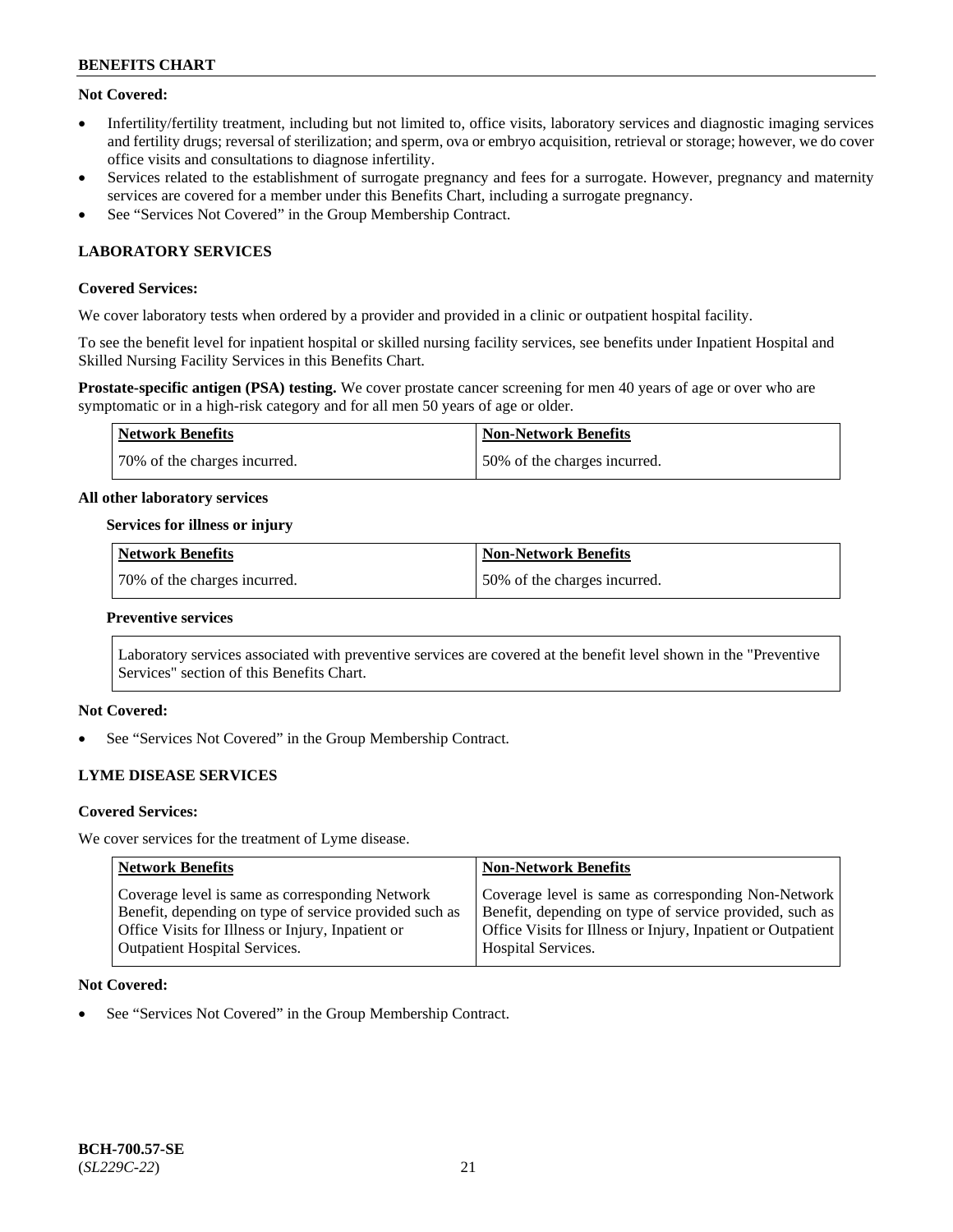# **Not Covered:**

- Infertility/fertility treatment, including but not limited to, office visits, laboratory services and diagnostic imaging services and fertility drugs; reversal of sterilization; and sperm, ova or embryo acquisition, retrieval or storage; however, we do cover office visits and consultations to diagnose infertility.
- Services related to the establishment of surrogate pregnancy and fees for a surrogate. However, pregnancy and maternity services are covered for a member under this Benefits Chart, including a surrogate pregnancy.
- See "Services Not Covered" in the Group Membership Contract.

# **LABORATORY SERVICES**

# **Covered Services:**

We cover laboratory tests when ordered by a provider and provided in a clinic or outpatient hospital facility.

To see the benefit level for inpatient hospital or skilled nursing facility services, see benefits under Inpatient Hospital and Skilled Nursing Facility Services in this Benefits Chart.

**Prostate-specific antigen (PSA) testing.** We cover prostate cancer screening for men 40 years of age or over who are symptomatic or in a high-risk category and for all men 50 years of age or older.

| <b>Network Benefits</b>      | <b>Non-Network Benefits</b>  |
|------------------------------|------------------------------|
| 70% of the charges incurred. | 50% of the charges incurred. |

### **All other laboratory services**

#### **Services for illness or injury**

| Network Benefits             | <b>Non-Network Benefits</b>  |
|------------------------------|------------------------------|
| 70% of the charges incurred. | 50% of the charges incurred. |

#### **Preventive services**

Laboratory services associated with preventive services are covered at the benefit level shown in the "Preventive Services" section of this Benefits Chart.

# **Not Covered:**

See "Services Not Covered" in the Group Membership Contract.

# **LYME DISEASE SERVICES**

#### **Covered Services:**

We cover services for the treatment of Lyme disease.

| <b>Network Benefits</b>                                | <b>Non-Network Benefits</b>                                  |
|--------------------------------------------------------|--------------------------------------------------------------|
| Coverage level is same as corresponding Network        | Coverage level is same as corresponding Non-Network          |
| Benefit, depending on type of service provided such as | Benefit, depending on type of service provided, such as      |
| Office Visits for Illness or Injury, Inpatient or      | Office Visits for Illness or Injury, Inpatient or Outpatient |
| <b>Outpatient Hospital Services.</b>                   | <b>Hospital Services.</b>                                    |

### **Not Covered:**

See "Services Not Covered" in the Group Membership Contract.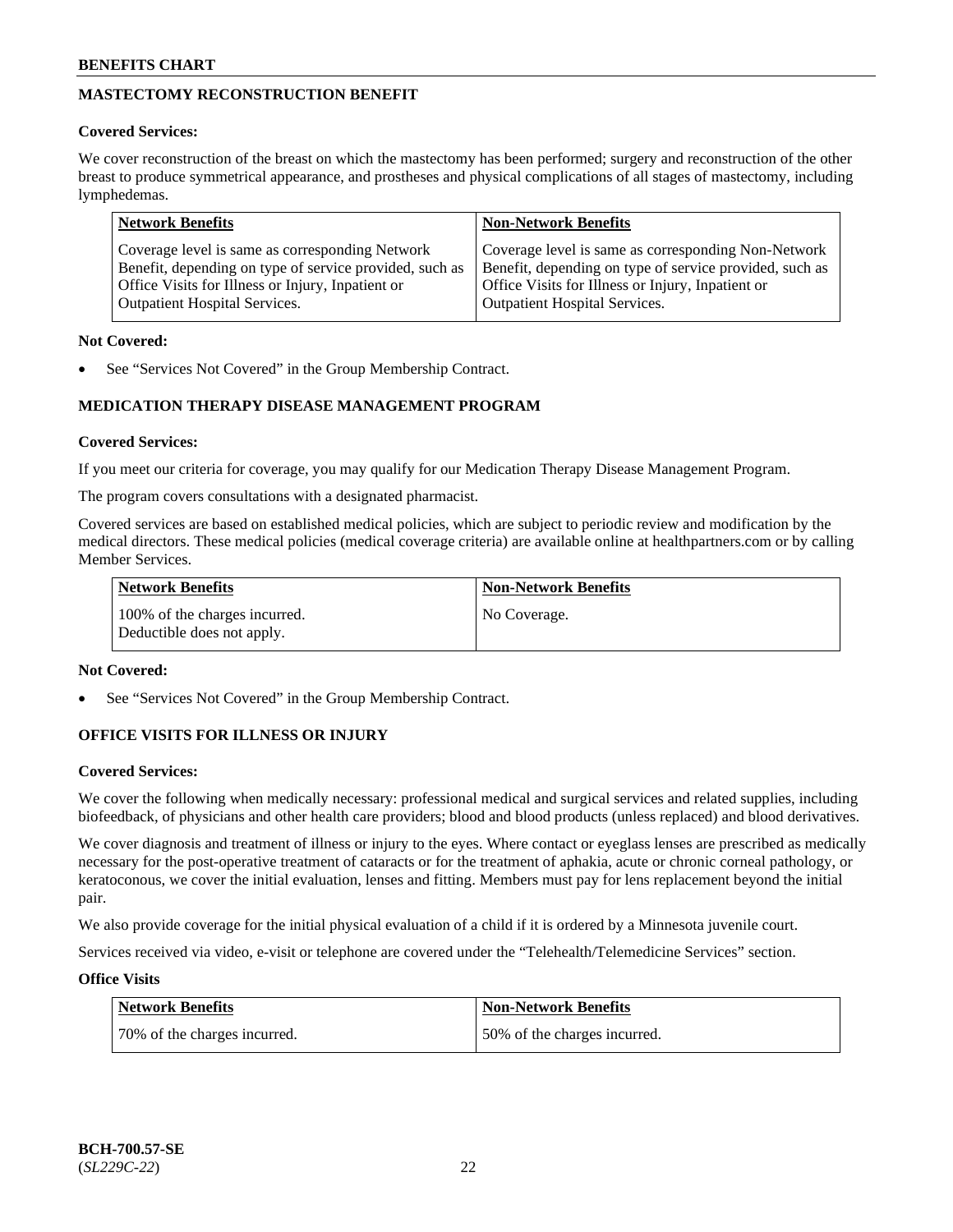# **MASTECTOMY RECONSTRUCTION BENEFIT**

# **Covered Services:**

We cover reconstruction of the breast on which the mastectomy has been performed; surgery and reconstruction of the other breast to produce symmetrical appearance, and prostheses and physical complications of all stages of mastectomy, including lymphedemas.

| <b>Network Benefits</b>                                 | <b>Non-Network Benefits</b>                             |
|---------------------------------------------------------|---------------------------------------------------------|
| Coverage level is same as corresponding Network         | Coverage level is same as corresponding Non-Network     |
| Benefit, depending on type of service provided, such as | Benefit, depending on type of service provided, such as |
| Office Visits for Illness or Injury, Inpatient or       | Office Visits for Illness or Injury, Inpatient or       |
| <b>Outpatient Hospital Services.</b>                    | <b>Outpatient Hospital Services.</b>                    |

# **Not Covered:**

See "Services Not Covered" in the Group Membership Contract.

# **MEDICATION THERAPY DISEASE MANAGEMENT PROGRAM**

# **Covered Services:**

If you meet our criteria for coverage, you may qualify for our Medication Therapy Disease Management Program.

The program covers consultations with a designated pharmacist.

Covered services are based on established medical policies, which are subject to periodic review and modification by the medical directors. These medical policies (medical coverage criteria) are available online at [healthpartners.com](https://www.healthpartners.com/hp/index.html) or by calling Member Services.

| Network Benefits                                            | <b>Non-Network Benefits</b> |
|-------------------------------------------------------------|-----------------------------|
| 100% of the charges incurred.<br>Deductible does not apply. | No Coverage.                |

# **Not Covered:**

See "Services Not Covered" in the Group Membership Contract.

# **OFFICE VISITS FOR ILLNESS OR INJURY**

# **Covered Services:**

We cover the following when medically necessary: professional medical and surgical services and related supplies, including biofeedback, of physicians and other health care providers; blood and blood products (unless replaced) and blood derivatives.

We cover diagnosis and treatment of illness or injury to the eyes. Where contact or eyeglass lenses are prescribed as medically necessary for the post-operative treatment of cataracts or for the treatment of aphakia, acute or chronic corneal pathology, or keratoconous, we cover the initial evaluation, lenses and fitting. Members must pay for lens replacement beyond the initial pair.

We also provide coverage for the initial physical evaluation of a child if it is ordered by a Minnesota juvenile court.

Services received via video, e-visit or telephone are covered under the "Telehealth/Telemedicine Services" section.

# **Office Visits**

| <b>Network Benefits</b>      | <b>Non-Network Benefits</b>  |
|------------------------------|------------------------------|
| 70% of the charges incurred. | 50% of the charges incurred. |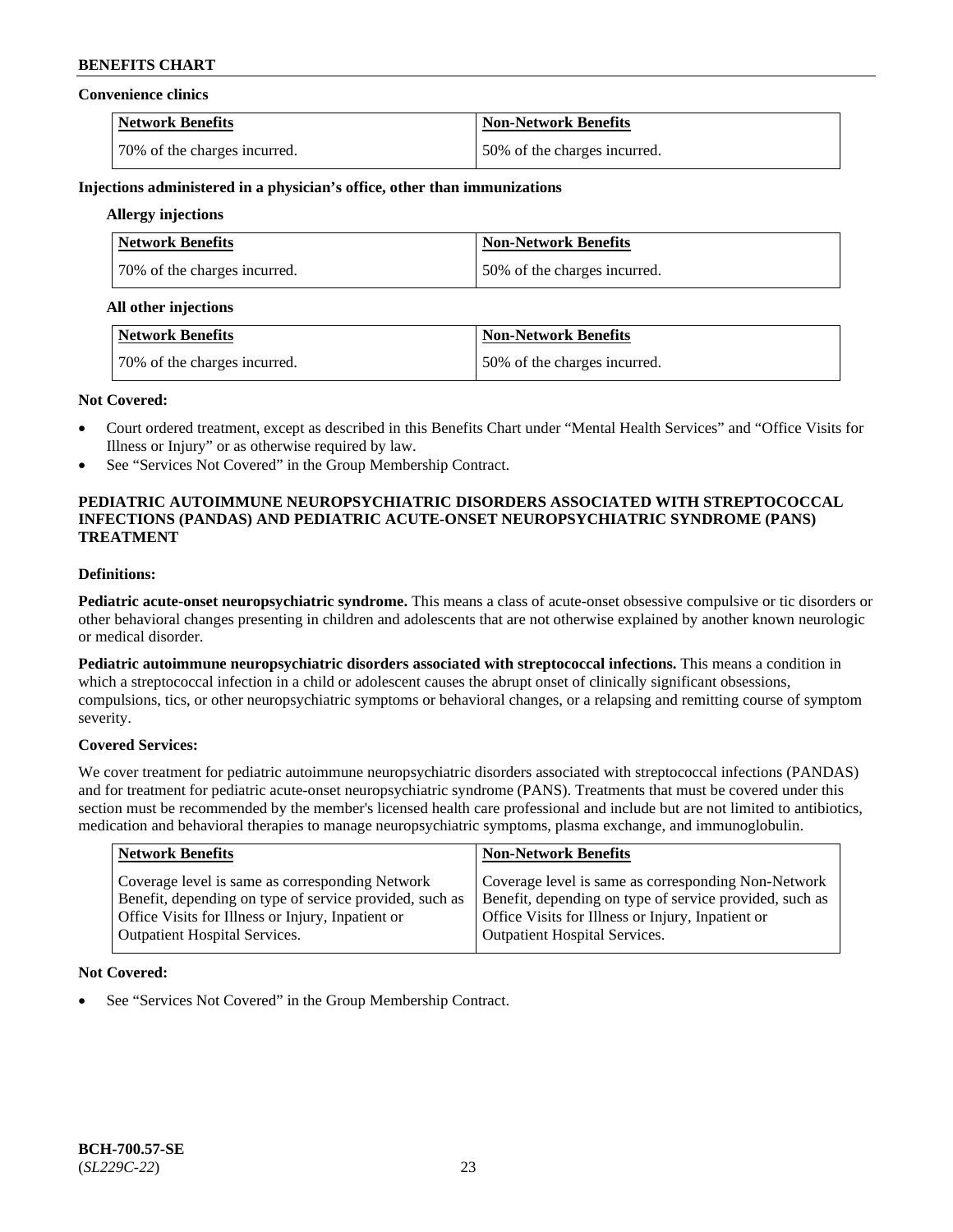#### **Convenience clinics**

| <b>Network Benefits</b>       | <b>Non-Network Benefits</b>  |
|-------------------------------|------------------------------|
| 170% of the charges incurred. | 50% of the charges incurred. |

### **Injections administered in a physician's office, other than immunizations**

# **Allergy injections**

| <b>Network Benefits</b>      | <b>Non-Network Benefits</b>  |
|------------------------------|------------------------------|
| 70% of the charges incurred. | 50% of the charges incurred. |

#### **All other injections**

| Network Benefits             | Non-Network Benefits         |
|------------------------------|------------------------------|
| 70% of the charges incurred. | 50% of the charges incurred. |

#### **Not Covered:**

- Court ordered treatment, except as described in this Benefits Chart under "Mental Health Services" and "Office Visits for Illness or Injury" or as otherwise required by law.
- See "Services Not Covered" in the Group Membership Contract.

# **PEDIATRIC AUTOIMMUNE NEUROPSYCHIATRIC DISORDERS ASSOCIATED WITH STREPTOCOCCAL INFECTIONS (PANDAS) AND PEDIATRIC ACUTE-ONSET NEUROPSYCHIATRIC SYNDROME (PANS) TREATMENT**

# **Definitions:**

**Pediatric acute-onset neuropsychiatric syndrome.** This means a class of acute-onset obsessive compulsive or tic disorders or other behavioral changes presenting in children and adolescents that are not otherwise explained by another known neurologic or medical disorder.

**Pediatric autoimmune neuropsychiatric disorders associated with streptococcal infections.** This means a condition in which a streptococcal infection in a child or adolescent causes the abrupt onset of clinically significant obsessions, compulsions, tics, or other neuropsychiatric symptoms or behavioral changes, or a relapsing and remitting course of symptom severity.

# **Covered Services:**

We cover treatment for pediatric autoimmune neuropsychiatric disorders associated with streptococcal infections (PANDAS) and for treatment for pediatric acute-onset neuropsychiatric syndrome (PANS). Treatments that must be covered under this section must be recommended by the member's licensed health care professional and include but are not limited to antibiotics, medication and behavioral therapies to manage neuropsychiatric symptoms, plasma exchange, and immunoglobulin.

| <b>Network Benefits</b>                                 | <b>Non-Network Benefits</b>                             |
|---------------------------------------------------------|---------------------------------------------------------|
| Coverage level is same as corresponding Network         | Coverage level is same as corresponding Non-Network     |
| Benefit, depending on type of service provided, such as | Benefit, depending on type of service provided, such as |
| Office Visits for Illness or Injury, Inpatient or       | Office Visits for Illness or Injury, Inpatient or       |
| <b>Outpatient Hospital Services.</b>                    | Outpatient Hospital Services.                           |

# **Not Covered:**

See "Services Not Covered" in the Group Membership Contract.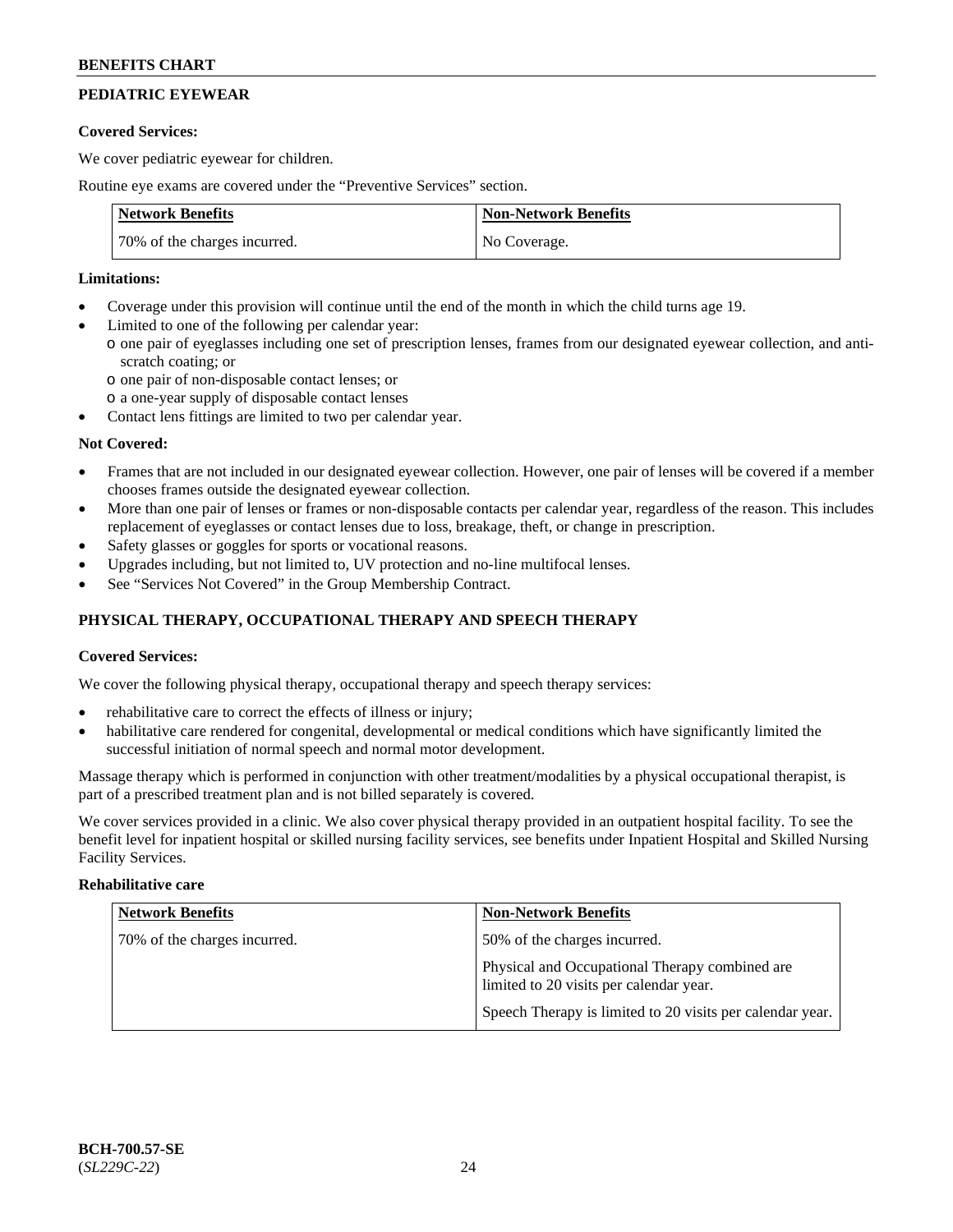# **PEDIATRIC EYEWEAR**

### **Covered Services:**

We cover pediatric eyewear for children.

Routine eye exams are covered under the "Preventive Services" section.

| <b>Network Benefits</b>      | <b>Non-Network Benefits</b> |
|------------------------------|-----------------------------|
| 70% of the charges incurred. | No Coverage.                |

### **Limitations:**

- Coverage under this provision will continue until the end of the month in which the child turns age 19.
- Limited to one of the following per calendar year:
	- o one pair of eyeglasses including one set of prescription lenses, frames from our designated eyewear collection, and antiscratch coating; or
		- o one pair of non-disposable contact lenses; or
		- o a one-year supply of disposable contact lenses
- Contact lens fittings are limited to two per calendar year.

# **Not Covered:**

- Frames that are not included in our designated eyewear collection. However, one pair of lenses will be covered if a member chooses frames outside the designated eyewear collection.
- More than one pair of lenses or frames or non-disposable contacts per calendar year, regardless of the reason. This includes replacement of eyeglasses or contact lenses due to loss, breakage, theft, or change in prescription.
- Safety glasses or goggles for sports or vocational reasons.
- Upgrades including, but not limited to, UV protection and no-line multifocal lenses.
- See "Services Not Covered" in the Group Membership Contract.

# **PHYSICAL THERAPY, OCCUPATIONAL THERAPY AND SPEECH THERAPY**

# **Covered Services:**

We cover the following physical therapy, occupational therapy and speech therapy services:

- rehabilitative care to correct the effects of illness or injury;
- habilitative care rendered for congenital, developmental or medical conditions which have significantly limited the successful initiation of normal speech and normal motor development.

Massage therapy which is performed in conjunction with other treatment/modalities by a physical occupational therapist, is part of a prescribed treatment plan and is not billed separately is covered.

We cover services provided in a clinic. We also cover physical therapy provided in an outpatient hospital facility. To see the benefit level for inpatient hospital or skilled nursing facility services, see benefits under Inpatient Hospital and Skilled Nursing Facility Services.

# **Rehabilitative care**

| <b>Network Benefits</b>      | <b>Non-Network Benefits</b>                                                               |
|------------------------------|-------------------------------------------------------------------------------------------|
| 70% of the charges incurred. | 50% of the charges incurred.                                                              |
|                              | Physical and Occupational Therapy combined are<br>limited to 20 visits per calendar year. |
|                              | Speech Therapy is limited to 20 visits per calendar year.                                 |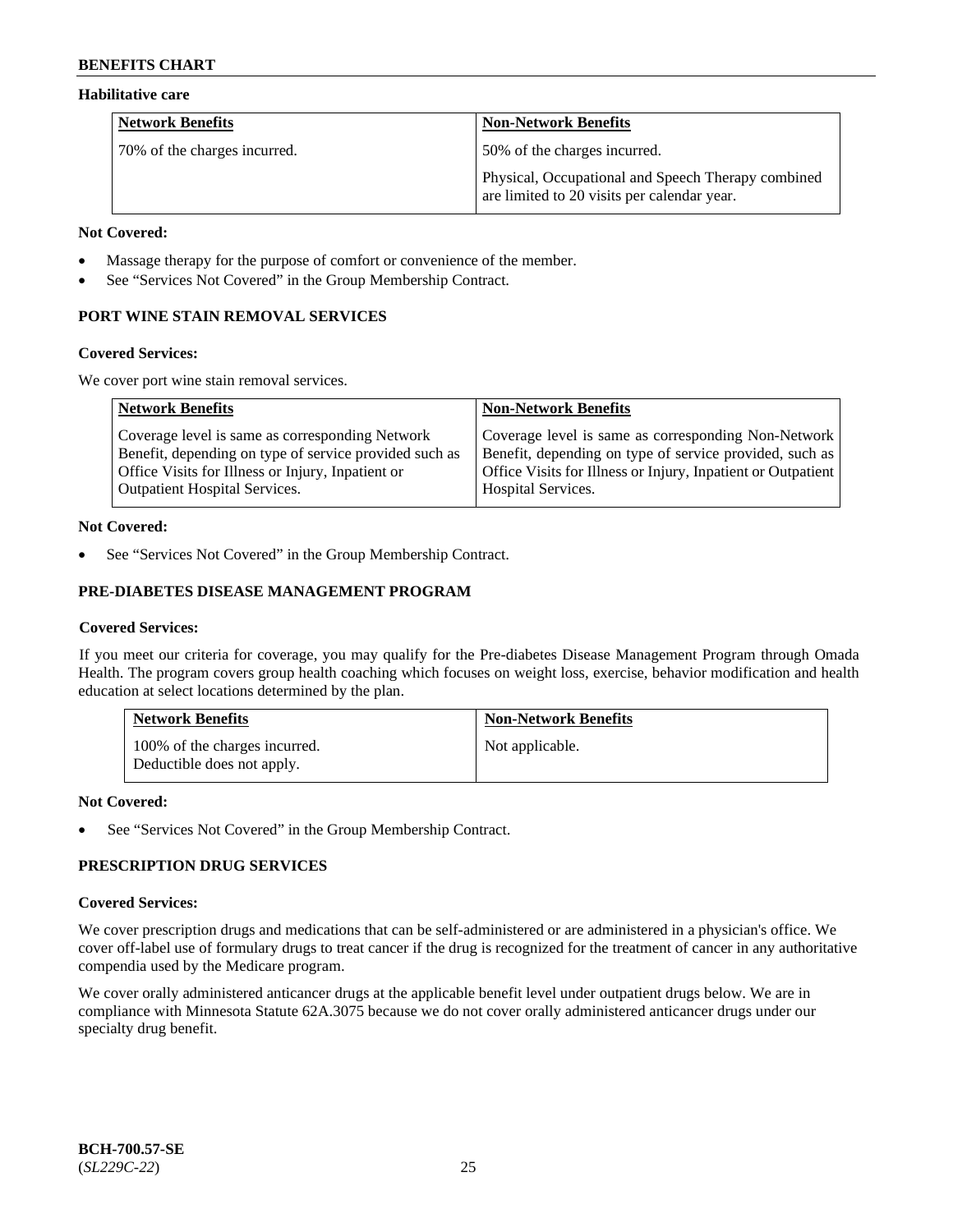### **Habilitative care**

| <b>Network Benefits</b>      | <b>Non-Network Benefits</b>                                                                       |
|------------------------------|---------------------------------------------------------------------------------------------------|
| 70% of the charges incurred. | 50% of the charges incurred.                                                                      |
|                              | Physical, Occupational and Speech Therapy combined<br>are limited to 20 visits per calendar year. |

#### **Not Covered:**

- Massage therapy for the purpose of comfort or convenience of the member.
- See "Services Not Covered" in the Group Membership Contract.

# **PORT WINE STAIN REMOVAL SERVICES**

### **Covered Services:**

We cover port wine stain removal services.

| <b>Network Benefits</b>                                | <b>Non-Network Benefits</b>                                  |
|--------------------------------------------------------|--------------------------------------------------------------|
| Coverage level is same as corresponding Network        | Coverage level is same as corresponding Non-Network          |
| Benefit, depending on type of service provided such as | Benefit, depending on type of service provided, such as      |
| Office Visits for Illness or Injury, Inpatient or      | Office Visits for Illness or Injury, Inpatient or Outpatient |
| Outpatient Hospital Services.                          | <b>Hospital Services.</b>                                    |

# **Not Covered:**

See "Services Not Covered" in the Group Membership Contract.

# **PRE-DIABETES DISEASE MANAGEMENT PROGRAM**

# **Covered Services:**

If you meet our criteria for coverage, you may qualify for the Pre-diabetes Disease Management Program through Omada Health. The program covers group health coaching which focuses on weight loss, exercise, behavior modification and health education at select locations determined by the plan.

| <b>Network Benefits</b>                                     | <b>Non-Network Benefits</b> |
|-------------------------------------------------------------|-----------------------------|
| 100% of the charges incurred.<br>Deductible does not apply. | Not applicable.             |

# **Not Covered:**

See "Services Not Covered" in the Group Membership Contract.

# **PRESCRIPTION DRUG SERVICES**

# **Covered Services:**

We cover prescription drugs and medications that can be self-administered or are administered in a physician's office. We cover off-label use of formulary drugs to treat cancer if the drug is recognized for the treatment of cancer in any authoritative compendia used by the Medicare program.

We cover orally administered anticancer drugs at the applicable benefit level under outpatient drugs below. We are in compliance with Minnesota Statute 62A.3075 because we do not cover orally administered anticancer drugs under our specialty drug benefit.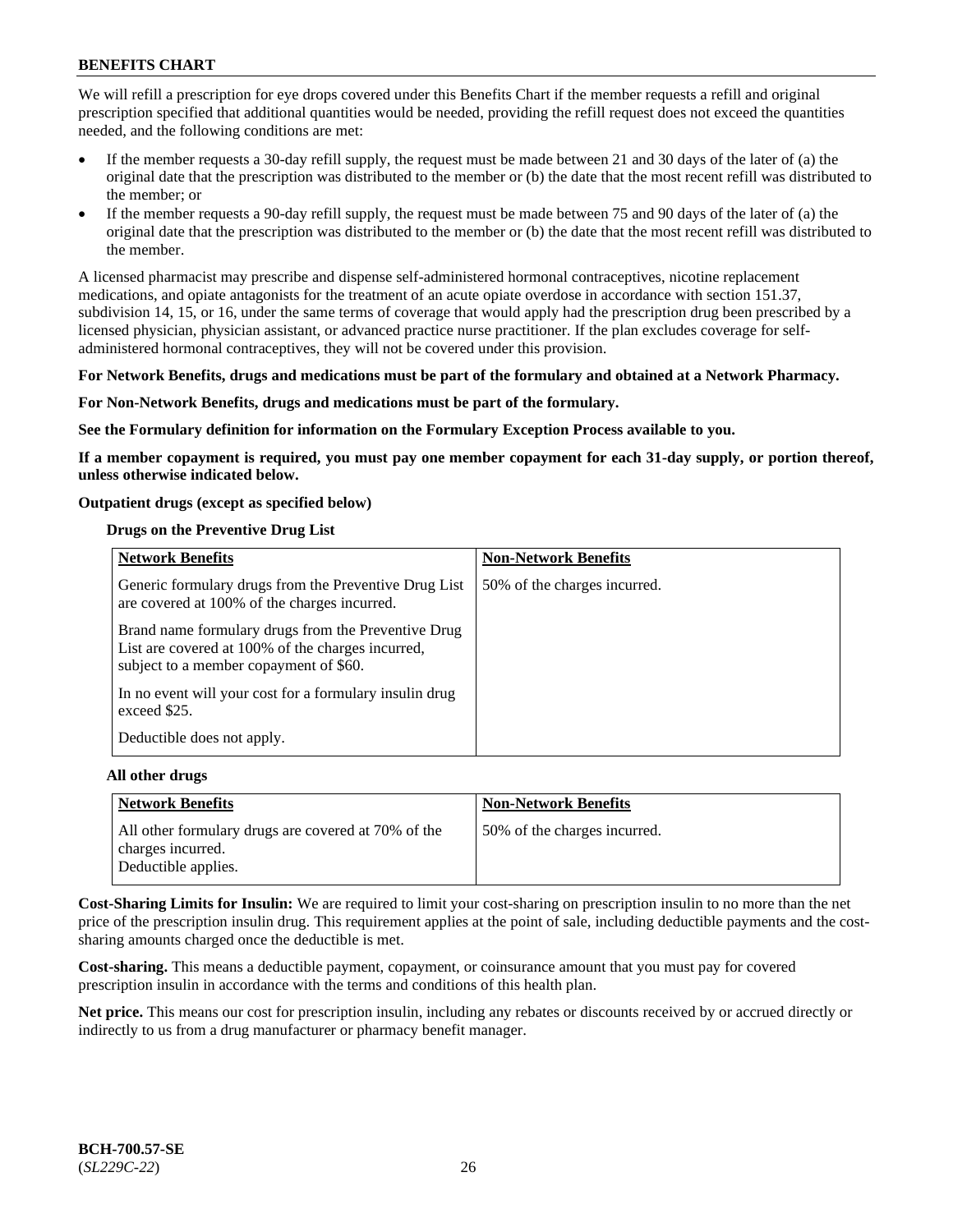We will refill a prescription for eye drops covered under this Benefits Chart if the member requests a refill and original prescription specified that additional quantities would be needed, providing the refill request does not exceed the quantities needed, and the following conditions are met:

- If the member requests a 30-day refill supply, the request must be made between 21 and 30 days of the later of (a) the original date that the prescription was distributed to the member or (b) the date that the most recent refill was distributed to the member; or
- If the member requests a 90-day refill supply, the request must be made between 75 and 90 days of the later of (a) the original date that the prescription was distributed to the member or (b) the date that the most recent refill was distributed to the member.

A licensed pharmacist may prescribe and dispense self-administered hormonal contraceptives, nicotine replacement medications, and opiate antagonists for the treatment of an acute opiate overdose in accordance with section 151.37, subdivision 14, 15, or 16, under the same terms of coverage that would apply had the prescription drug been prescribed by a licensed physician, physician assistant, or advanced practice nurse practitioner. If the plan excludes coverage for selfadministered hormonal contraceptives, they will not be covered under this provision.

### **For Network Benefits, drugs and medications must be part of the formulary and obtained at a Network Pharmacy.**

### **For Non-Network Benefits, drugs and medications must be part of the formulary.**

**See the Formulary definition for information on the Formulary Exception Process available to you.**

**If a member copayment is required, you must pay one member copayment for each 31-day supply, or portion thereof, unless otherwise indicated below.**

### **Outpatient drugs (except as specified below)**

### **Drugs on the Preventive Drug List**

| <b>Network Benefits</b>                                                                                                                            | <b>Non-Network Benefits</b>  |
|----------------------------------------------------------------------------------------------------------------------------------------------------|------------------------------|
| Generic formulary drugs from the Preventive Drug List<br>are covered at 100% of the charges incurred.                                              | 50% of the charges incurred. |
| Brand name formulary drugs from the Preventive Drug<br>List are covered at 100% of the charges incurred,<br>subject to a member copayment of \$60. |                              |
| In no event will your cost for a formulary insulin drug<br>exceed \$25.                                                                            |                              |
| Deductible does not apply.                                                                                                                         |                              |

#### **All other drugs**

| Network Benefits                                                                                | <b>Non-Network Benefits</b>  |
|-------------------------------------------------------------------------------------------------|------------------------------|
| All other formulary drugs are covered at 70% of the<br>charges incurred.<br>Deductible applies. | 50% of the charges incurred. |

**Cost-Sharing Limits for Insulin:** We are required to limit your cost-sharing on prescription insulin to no more than the net price of the prescription insulin drug. This requirement applies at the point of sale, including deductible payments and the costsharing amounts charged once the deductible is met.

**Cost-sharing.** This means a deductible payment, copayment, or coinsurance amount that you must pay for covered prescription insulin in accordance with the terms and conditions of this health plan.

**Net price.** This means our cost for prescription insulin, including any rebates or discounts received by or accrued directly or indirectly to us from a drug manufacturer or pharmacy benefit manager.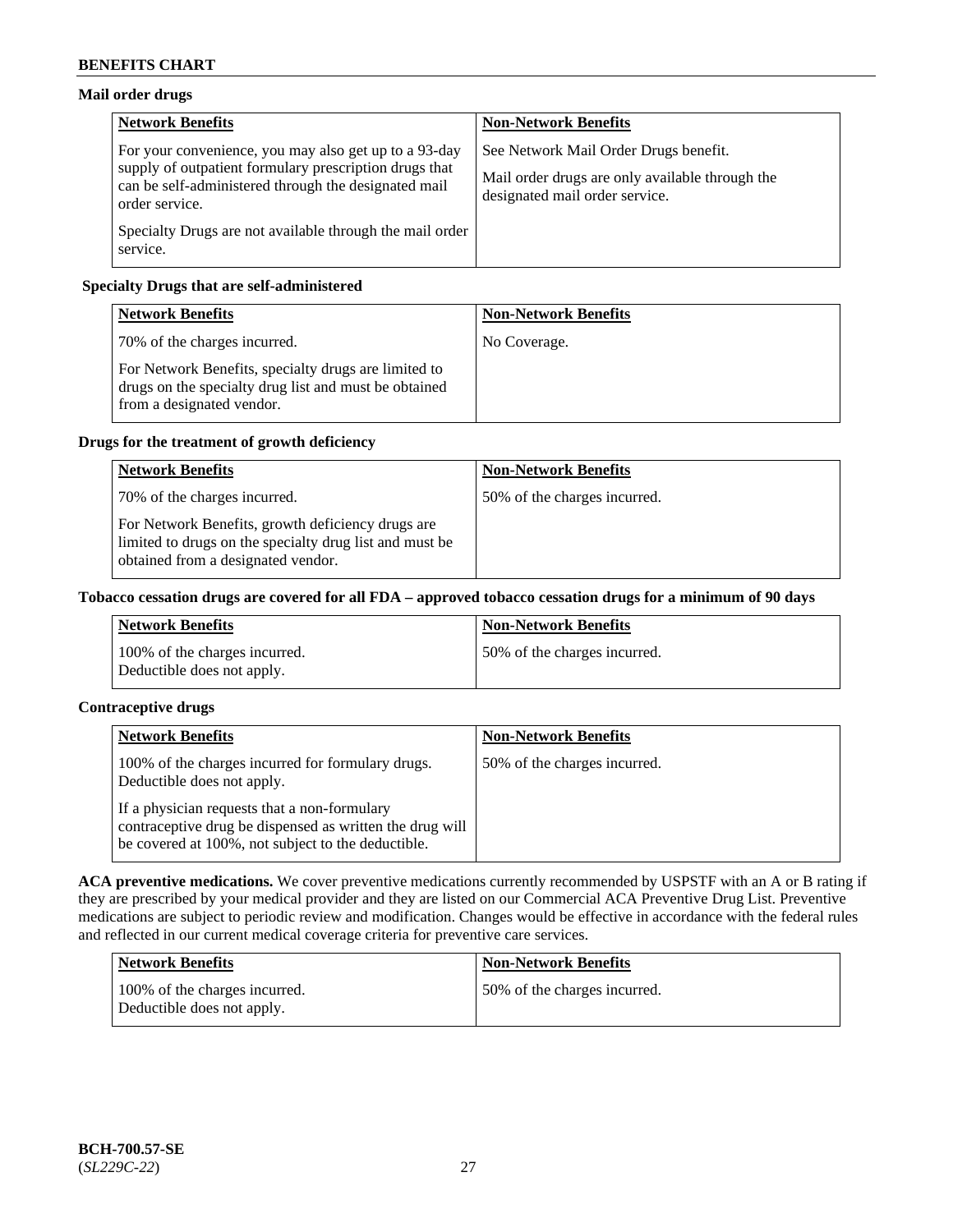# **Mail order drugs**

| <b>Network Benefits</b>                                                                                                                                                                   | <b>Non-Network Benefits</b>                                                                                                |
|-------------------------------------------------------------------------------------------------------------------------------------------------------------------------------------------|----------------------------------------------------------------------------------------------------------------------------|
| For your convenience, you may also get up to a 93-day<br>supply of outpatient formulary prescription drugs that<br>can be self-administered through the designated mail<br>order service. | See Network Mail Order Drugs benefit.<br>Mail order drugs are only available through the<br>designated mail order service. |
| Specialty Drugs are not available through the mail order<br>service.                                                                                                                      |                                                                                                                            |

# **Specialty Drugs that are self-administered**

| <b>Network Benefits</b>                                                                                                                    | <b>Non-Network Benefits</b> |
|--------------------------------------------------------------------------------------------------------------------------------------------|-----------------------------|
| 70% of the charges incurred.                                                                                                               | No Coverage.                |
| For Network Benefits, specialty drugs are limited to<br>drugs on the specialty drug list and must be obtained<br>from a designated vendor. |                             |

# **Drugs for the treatment of growth deficiency**

| <b>Network Benefits</b>                                                                                                                            | <b>Non-Network Benefits</b>  |
|----------------------------------------------------------------------------------------------------------------------------------------------------|------------------------------|
| 70% of the charges incurred.                                                                                                                       | 50% of the charges incurred. |
| For Network Benefits, growth deficiency drugs are<br>limited to drugs on the specialty drug list and must be<br>obtained from a designated vendor. |                              |

# **Tobacco cessation drugs are covered for all FDA – approved tobacco cessation drugs for a minimum of 90 days**

| <b>Network Benefits</b>                                     | Non-Network Benefits         |
|-------------------------------------------------------------|------------------------------|
| 100% of the charges incurred.<br>Deductible does not apply. | 50% of the charges incurred. |

# **Contraceptive drugs**

| <b>Network Benefits</b>                                                                                                                                        | <b>Non-Network Benefits</b>  |
|----------------------------------------------------------------------------------------------------------------------------------------------------------------|------------------------------|
| 100% of the charges incurred for formulary drugs.<br>Deductible does not apply.                                                                                | 50% of the charges incurred. |
| If a physician requests that a non-formulary<br>contraceptive drug be dispensed as written the drug will<br>be covered at 100%, not subject to the deductible. |                              |

**ACA preventive medications.** We cover preventive medications currently recommended by USPSTF with an A or B rating if they are prescribed by your medical provider and they are listed on our Commercial ACA Preventive Drug List. Preventive medications are subject to periodic review and modification. Changes would be effective in accordance with the federal rules and reflected in our current medical coverage criteria for preventive care services.

| Network Benefits                                            | <b>Non-Network Benefits</b>  |
|-------------------------------------------------------------|------------------------------|
| 100% of the charges incurred.<br>Deductible does not apply. | 50% of the charges incurred. |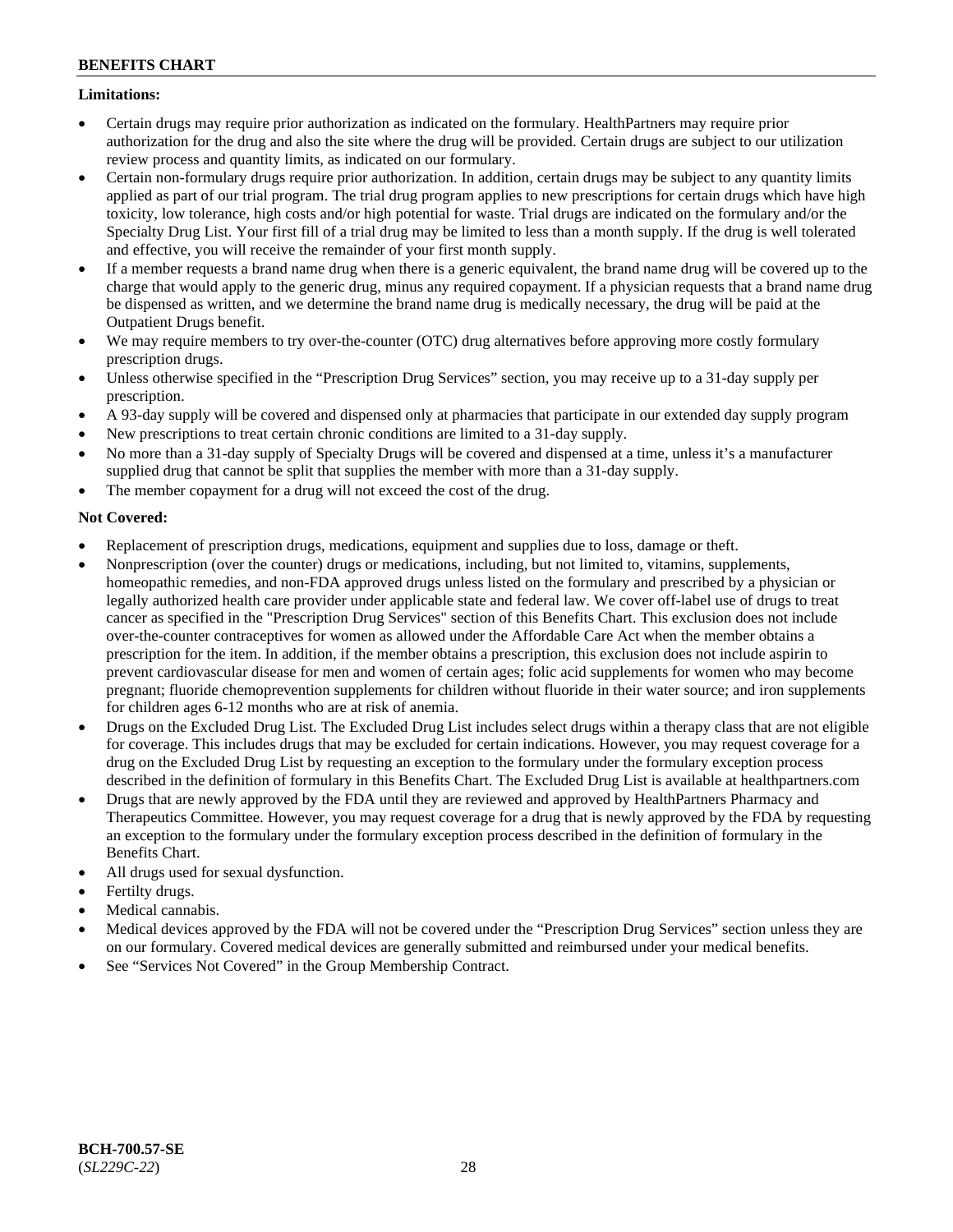# **Limitations:**

- Certain drugs may require prior authorization as indicated on the formulary. HealthPartners may require prior authorization for the drug and also the site where the drug will be provided. Certain drugs are subject to our utilization review process and quantity limits, as indicated on our formulary.
- Certain non-formulary drugs require prior authorization. In addition, certain drugs may be subject to any quantity limits applied as part of our trial program. The trial drug program applies to new prescriptions for certain drugs which have high toxicity, low tolerance, high costs and/or high potential for waste. Trial drugs are indicated on the formulary and/or the Specialty Drug List. Your first fill of a trial drug may be limited to less than a month supply. If the drug is well tolerated and effective, you will receive the remainder of your first month supply.
- If a member requests a brand name drug when there is a generic equivalent, the brand name drug will be covered up to the charge that would apply to the generic drug, minus any required copayment. If a physician requests that a brand name drug be dispensed as written, and we determine the brand name drug is medically necessary, the drug will be paid at the Outpatient Drugs benefit.
- We may require members to try over-the-counter (OTC) drug alternatives before approving more costly formulary prescription drugs.
- Unless otherwise specified in the "Prescription Drug Services" section, you may receive up to a 31-day supply per prescription.
- A 93-day supply will be covered and dispensed only at pharmacies that participate in our extended day supply program
- New prescriptions to treat certain chronic conditions are limited to a 31-day supply.
- No more than a 31-day supply of Specialty Drugs will be covered and dispensed at a time, unless it's a manufacturer supplied drug that cannot be split that supplies the member with more than a 31-day supply.
- The member copayment for a drug will not exceed the cost of the drug.

# **Not Covered:**

- Replacement of prescription drugs, medications, equipment and supplies due to loss, damage or theft.
- Nonprescription (over the counter) drugs or medications, including, but not limited to, vitamins, supplements, homeopathic remedies, and non-FDA approved drugs unless listed on the formulary and prescribed by a physician or legally authorized health care provider under applicable state and federal law. We cover off-label use of drugs to treat cancer as specified in the "Prescription Drug Services" section of this Benefits Chart. This exclusion does not include over-the-counter contraceptives for women as allowed under the Affordable Care Act when the member obtains a prescription for the item. In addition, if the member obtains a prescription, this exclusion does not include aspirin to prevent cardiovascular disease for men and women of certain ages; folic acid supplements for women who may become pregnant; fluoride chemoprevention supplements for children without fluoride in their water source; and iron supplements for children ages 6-12 months who are at risk of anemia.
- Drugs on the Excluded Drug List. The Excluded Drug List includes select drugs within a therapy class that are not eligible for coverage. This includes drugs that may be excluded for certain indications. However, you may request coverage for a drug on the Excluded Drug List by requesting an exception to the formulary under the formulary exception process described in the definition of formulary in this Benefits Chart. The Excluded Drug List is available at [healthpartners.com](http://www.healthpartners.com/)
- Drugs that are newly approved by the FDA until they are reviewed and approved by HealthPartners Pharmacy and Therapeutics Committee. However, you may request coverage for a drug that is newly approved by the FDA by requesting an exception to the formulary under the formulary exception process described in the definition of formulary in the Benefits Chart.
- All drugs used for sexual dysfunction.
- Fertilty drugs.
- Medical cannabis.
- Medical devices approved by the FDA will not be covered under the "Prescription Drug Services" section unless they are on our formulary. Covered medical devices are generally submitted and reimbursed under your medical benefits.
- See "Services Not Covered" in the Group Membership Contract.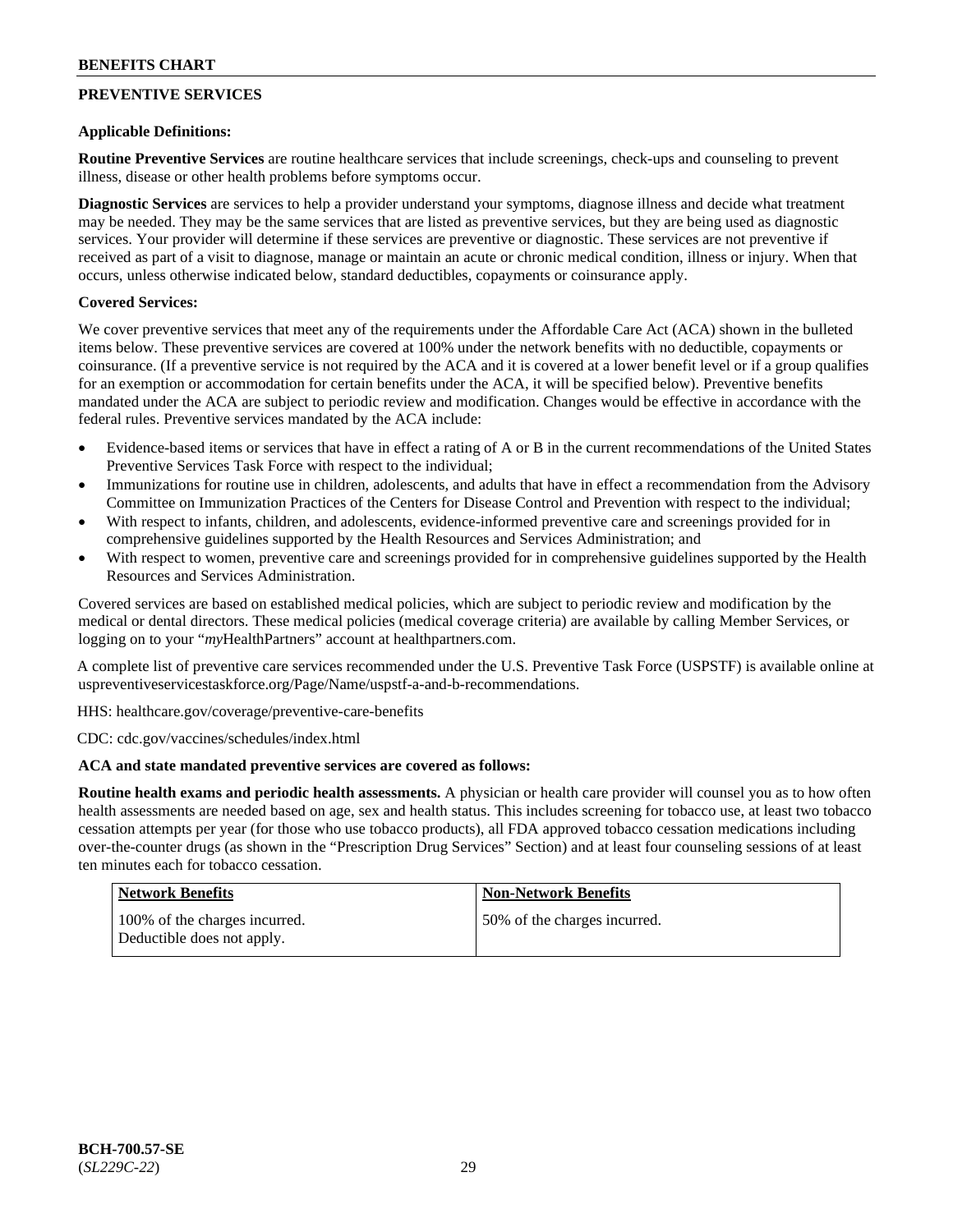# **PREVENTIVE SERVICES**

# **Applicable Definitions:**

**Routine Preventive Services** are routine healthcare services that include screenings, check-ups and counseling to prevent illness, disease or other health problems before symptoms occur.

**Diagnostic Services** are services to help a provider understand your symptoms, diagnose illness and decide what treatment may be needed. They may be the same services that are listed as preventive services, but they are being used as diagnostic services. Your provider will determine if these services are preventive or diagnostic. These services are not preventive if received as part of a visit to diagnose, manage or maintain an acute or chronic medical condition, illness or injury. When that occurs, unless otherwise indicated below, standard deductibles, copayments or coinsurance apply.

# **Covered Services:**

We cover preventive services that meet any of the requirements under the Affordable Care Act (ACA) shown in the bulleted items below. These preventive services are covered at 100% under the network benefits with no deductible, copayments or coinsurance. (If a preventive service is not required by the ACA and it is covered at a lower benefit level or if a group qualifies for an exemption or accommodation for certain benefits under the ACA, it will be specified below). Preventive benefits mandated under the ACA are subject to periodic review and modification. Changes would be effective in accordance with the federal rules. Preventive services mandated by the ACA include:

- Evidence-based items or services that have in effect a rating of A or B in the current recommendations of the United States Preventive Services Task Force with respect to the individual;
- Immunizations for routine use in children, adolescents, and adults that have in effect a recommendation from the Advisory Committee on Immunization Practices of the Centers for Disease Control and Prevention with respect to the individual;
- With respect to infants, children, and adolescents, evidence-informed preventive care and screenings provided for in comprehensive guidelines supported by the Health Resources and Services Administration; and
- With respect to women, preventive care and screenings provided for in comprehensive guidelines supported by the Health Resources and Services Administration.

Covered services are based on established medical policies, which are subject to periodic review and modification by the medical or dental directors. These medical policies (medical coverage criteria) are available by calling Member Services, or logging on to your "*my*HealthPartners" account at [healthpartners.com.](http://www.healthpartners.com/)

A complete list of preventive care services recommended under the U.S. Preventive Task Force (USPSTF) is available online at [uspreventiveservicestaskforce.org/Page/Name/uspstf-a-and-b-recommendations.](https://www.uspreventiveservicestaskforce.org/Page/Name/uspstf-a-and-b-recommendations-by-date/)

HHS: [healthcare.gov/coverage/preventive-care-benefits](https://www.healthcare.gov/coverage/preventive-care-benefits/)

CDC: [cdc.gov/vaccines/schedules/index.html](https://www.cdc.gov/vaccines/schedules/index.html)

# **ACA and state mandated preventive services are covered as follows:**

**Routine health exams and periodic health assessments.** A physician or health care provider will counsel you as to how often health assessments are needed based on age, sex and health status. This includes screening for tobacco use, at least two tobacco cessation attempts per year (for those who use tobacco products), all FDA approved tobacco cessation medications including over-the-counter drugs (as shown in the "Prescription Drug Services" Section) and at least four counseling sessions of at least ten minutes each for tobacco cessation.

| <b>Network Benefits</b>                                     | <b>Non-Network Benefits</b>  |
|-------------------------------------------------------------|------------------------------|
| 100% of the charges incurred.<br>Deductible does not apply. | 50% of the charges incurred. |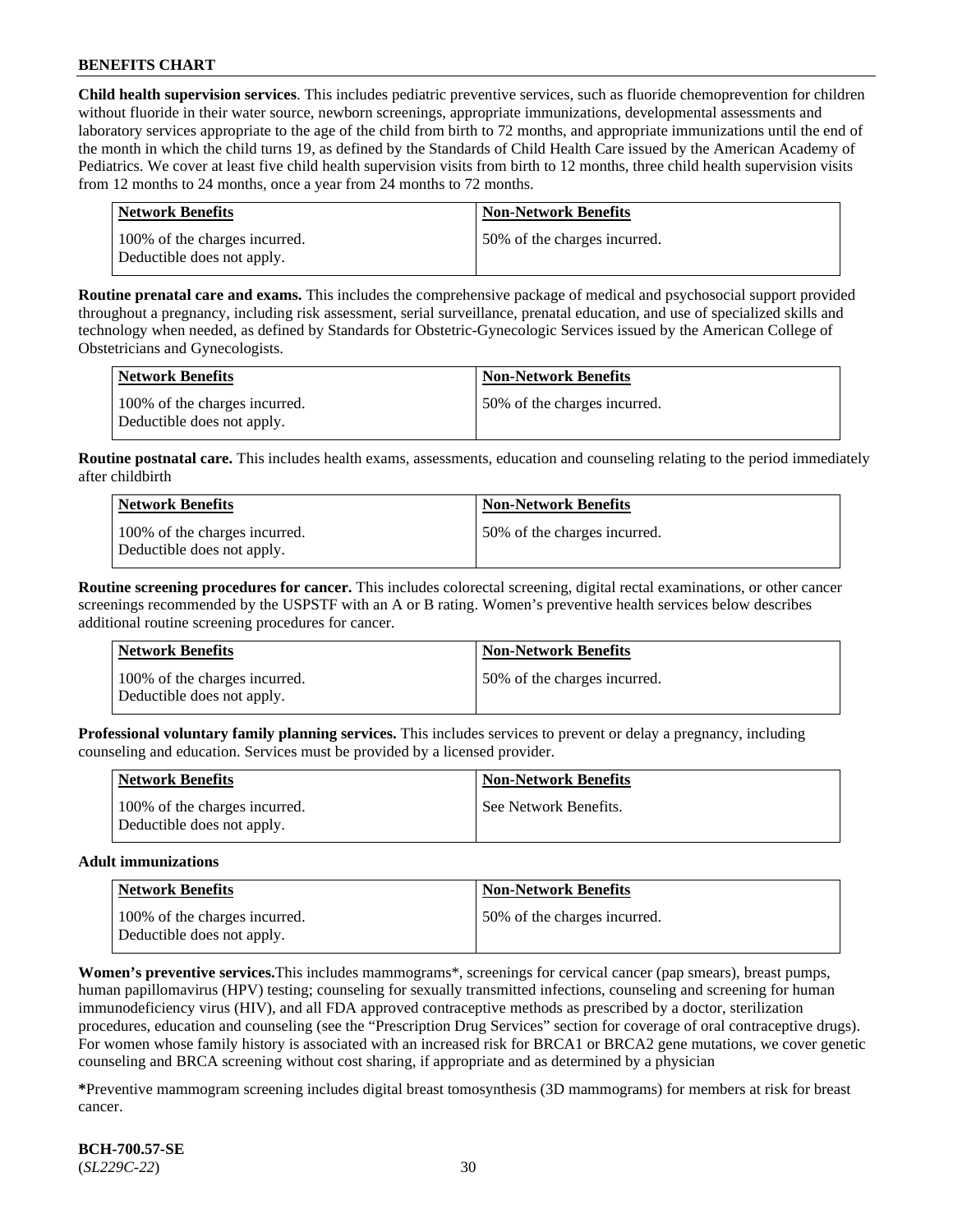**Child health supervision services**. This includes pediatric preventive services, such as fluoride chemoprevention for children without fluoride in their water source, newborn screenings, appropriate immunizations, developmental assessments and laboratory services appropriate to the age of the child from birth to 72 months, and appropriate immunizations until the end of the month in which the child turns 19, as defined by the Standards of Child Health Care issued by the American Academy of Pediatrics. We cover at least five child health supervision visits from birth to 12 months, three child health supervision visits from 12 months to 24 months, once a year from 24 months to 72 months.

| Network Benefits                                            | <b>Non-Network Benefits</b>  |
|-------------------------------------------------------------|------------------------------|
| 100% of the charges incurred.<br>Deductible does not apply. | 50% of the charges incurred. |

**Routine prenatal care and exams.** This includes the comprehensive package of medical and psychosocial support provided throughout a pregnancy, including risk assessment, serial surveillance, prenatal education, and use of specialized skills and technology when needed, as defined by Standards for Obstetric-Gynecologic Services issued by the American College of Obstetricians and Gynecologists.

| Network Benefits                                            | <b>Non-Network Benefits</b>  |
|-------------------------------------------------------------|------------------------------|
| 100% of the charges incurred.<br>Deductible does not apply. | 50% of the charges incurred. |

**Routine postnatal care.** This includes health exams, assessments, education and counseling relating to the period immediately after childbirth

| Network Benefits                                            | <b>Non-Network Benefits</b>  |
|-------------------------------------------------------------|------------------------------|
| 100% of the charges incurred.<br>Deductible does not apply. | 50% of the charges incurred. |

**Routine screening procedures for cancer.** This includes colorectal screening, digital rectal examinations, or other cancer screenings recommended by the USPSTF with an A or B rating. Women's preventive health services below describes additional routine screening procedures for cancer.

| Network Benefits                                            | <b>Non-Network Benefits</b>  |
|-------------------------------------------------------------|------------------------------|
| 100% of the charges incurred.<br>Deductible does not apply. | 50% of the charges incurred. |

**Professional voluntary family planning services.** This includes services to prevent or delay a pregnancy, including counseling and education. Services must be provided by a licensed provider.

| <b>Network Benefits</b>                                     | <b>Non-Network Benefits</b> |
|-------------------------------------------------------------|-----------------------------|
| 100% of the charges incurred.<br>Deductible does not apply. | See Network Benefits.       |

#### **Adult immunizations**

| Network Benefits                                            | <b>Non-Network Benefits</b>  |
|-------------------------------------------------------------|------------------------------|
| 100% of the charges incurred.<br>Deductible does not apply. | 50% of the charges incurred. |

**Women's preventive services.**This includes mammograms\*, screenings for cervical cancer (pap smears), breast pumps, human papillomavirus (HPV) testing; counseling for sexually transmitted infections, counseling and screening for human immunodeficiency virus (HIV), and all FDA approved contraceptive methods as prescribed by a doctor, sterilization procedures, education and counseling (see the "Prescription Drug Services" section for coverage of oral contraceptive drugs). For women whose family history is associated with an increased risk for BRCA1 or BRCA2 gene mutations, we cover genetic counseling and BRCA screening without cost sharing, if appropriate and as determined by a physician

**\***Preventive mammogram screening includes digital breast tomosynthesis (3D mammograms) for members at risk for breast cancer.

**BCH-700.57-SE** (*SL229C-22*) 30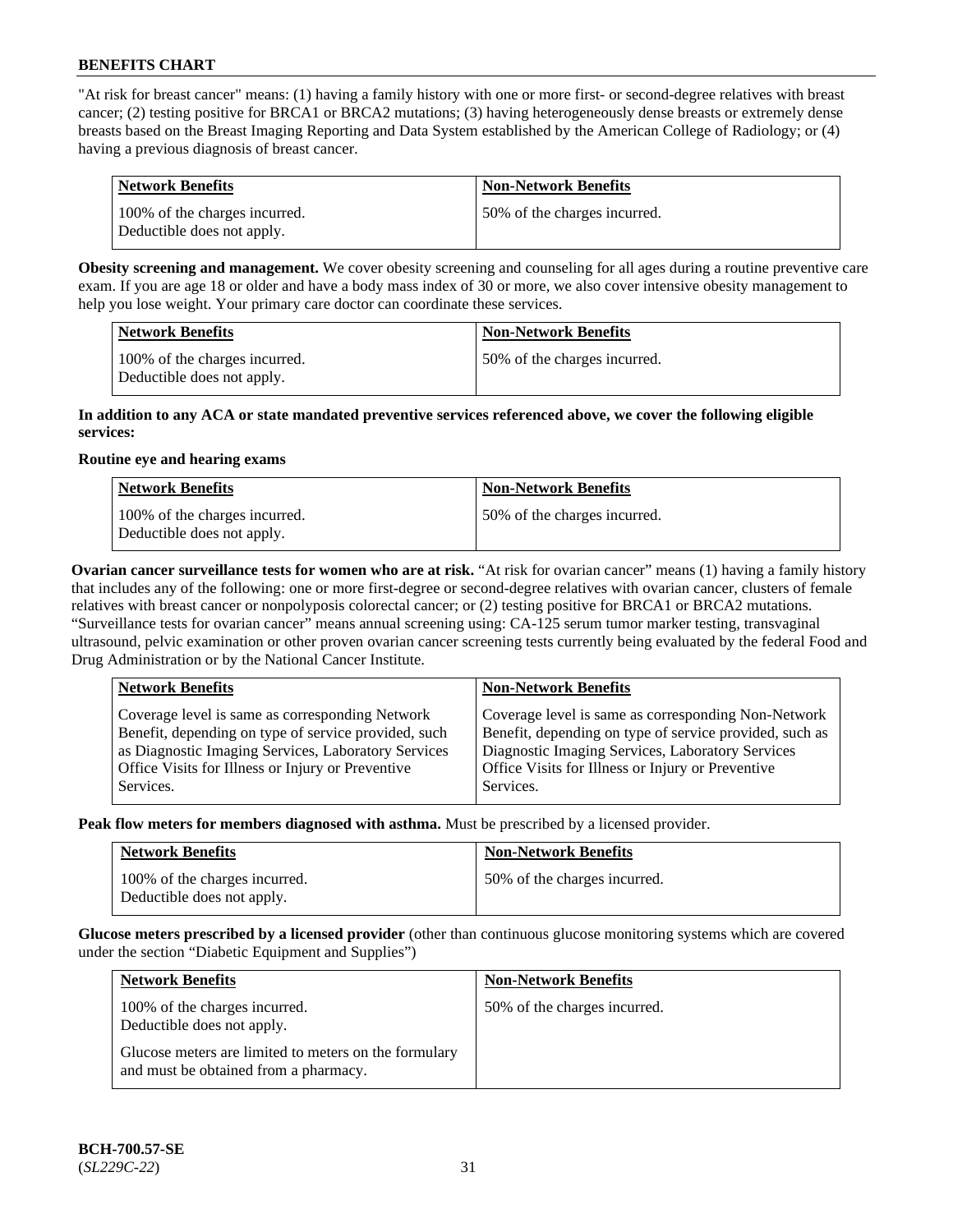"At risk for breast cancer" means: (1) having a family history with one or more first- or second-degree relatives with breast cancer; (2) testing positive for BRCA1 or BRCA2 mutations; (3) having heterogeneously dense breasts or extremely dense breasts based on the Breast Imaging Reporting and Data System established by the American College of Radiology; or (4) having a previous diagnosis of breast cancer.

| Network Benefits                                            | <b>Non-Network Benefits</b>  |
|-------------------------------------------------------------|------------------------------|
| 100% of the charges incurred.<br>Deductible does not apply. | 50% of the charges incurred. |

**Obesity screening and management.** We cover obesity screening and counseling for all ages during a routine preventive care exam. If you are age 18 or older and have a body mass index of 30 or more, we also cover intensive obesity management to help you lose weight. Your primary care doctor can coordinate these services.

| <b>Network Benefits</b>                                     | <b>Non-Network Benefits</b>  |
|-------------------------------------------------------------|------------------------------|
| 100% of the charges incurred.<br>Deductible does not apply. | 50% of the charges incurred. |

### **In addition to any ACA or state mandated preventive services referenced above, we cover the following eligible services:**

#### **Routine eye and hearing exams**

| <b>Network Benefits</b>                                     | <b>Non-Network Benefits</b>  |
|-------------------------------------------------------------|------------------------------|
| 100% of the charges incurred.<br>Deductible does not apply. | 50% of the charges incurred. |

**Ovarian cancer surveillance tests for women who are at risk.** "At risk for ovarian cancer" means (1) having a family history that includes any of the following: one or more first-degree or second-degree relatives with ovarian cancer, clusters of female relatives with breast cancer or nonpolyposis colorectal cancer; or (2) testing positive for BRCA1 or BRCA2 mutations. "Surveillance tests for ovarian cancer" means annual screening using: CA-125 serum tumor marker testing, transvaginal ultrasound, pelvic examination or other proven ovarian cancer screening tests currently being evaluated by the federal Food and Drug Administration or by the National Cancer Institute.

| <b>Network Benefits</b>                                                                                                                                                                                                          | <b>Non-Network Benefits</b>                                                                                                                                                                                                          |
|----------------------------------------------------------------------------------------------------------------------------------------------------------------------------------------------------------------------------------|--------------------------------------------------------------------------------------------------------------------------------------------------------------------------------------------------------------------------------------|
| Coverage level is same as corresponding Network<br>Benefit, depending on type of service provided, such<br>as Diagnostic Imaging Services, Laboratory Services<br>Office Visits for Illness or Injury or Preventive<br>Services. | Coverage level is same as corresponding Non-Network<br>Benefit, depending on type of service provided, such as<br>Diagnostic Imaging Services, Laboratory Services<br>Office Visits for Illness or Injury or Preventive<br>Services. |
|                                                                                                                                                                                                                                  |                                                                                                                                                                                                                                      |

**Peak flow meters for members diagnosed with asthma.** Must be prescribed by a licensed provider.

| <b>Network Benefits</b>                                     | <b>Non-Network Benefits</b>  |
|-------------------------------------------------------------|------------------------------|
| 100% of the charges incurred.<br>Deductible does not apply. | 50% of the charges incurred. |

**Glucose meters prescribed by a licensed provider** (other than continuous glucose monitoring systems which are covered under the section "Diabetic Equipment and Supplies")

| <b>Network Benefits</b>                                                                        | <b>Non-Network Benefits</b>  |
|------------------------------------------------------------------------------------------------|------------------------------|
| 100% of the charges incurred.<br>Deductible does not apply.                                    | 50% of the charges incurred. |
| Glucose meters are limited to meters on the formulary<br>and must be obtained from a pharmacy. |                              |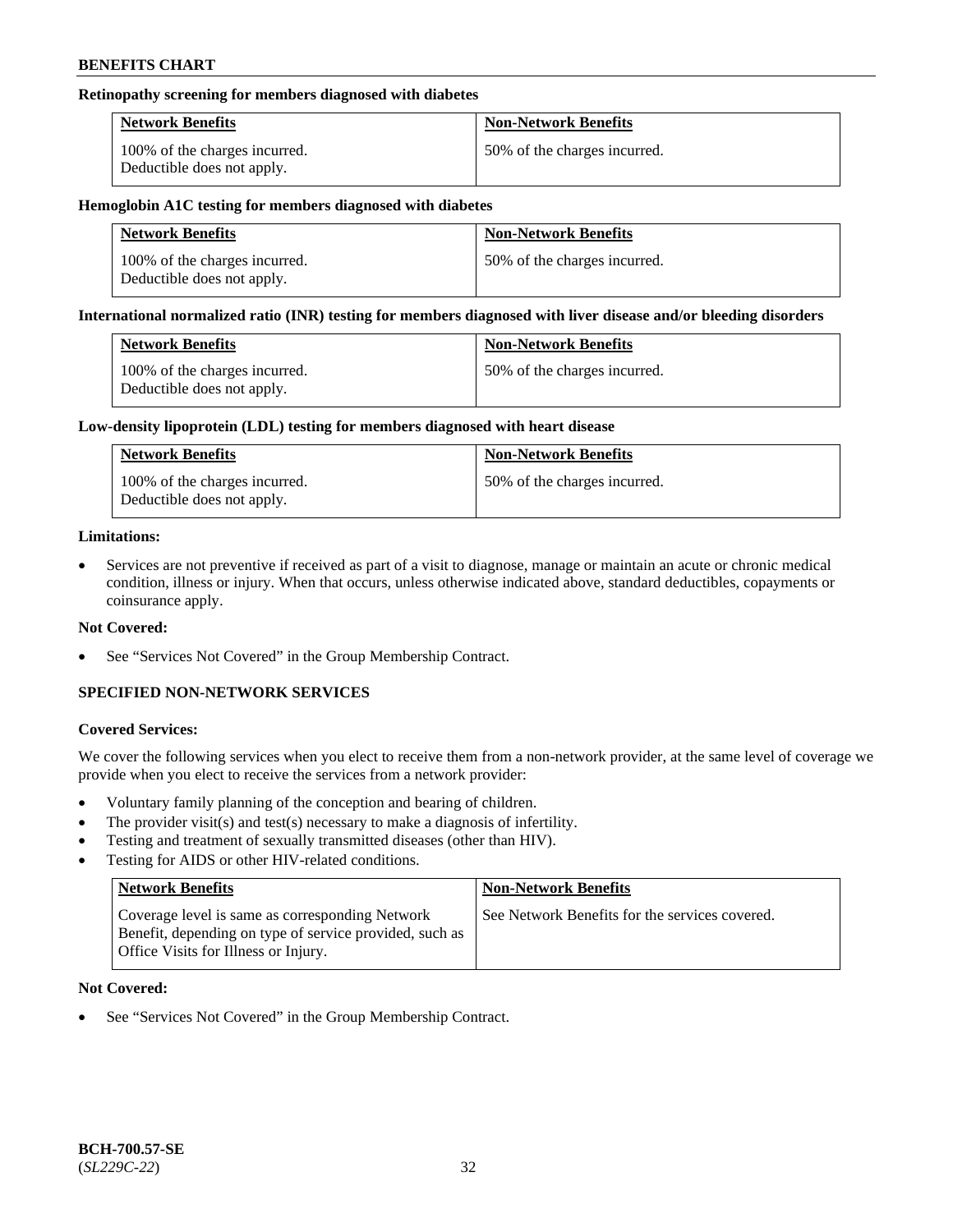### **Retinopathy screening for members diagnosed with diabetes**

| <b>Network Benefits</b>                                     | <b>Non-Network Benefits</b>  |
|-------------------------------------------------------------|------------------------------|
| 100% of the charges incurred.<br>Deductible does not apply. | 50% of the charges incurred. |

### **Hemoglobin A1C testing for members diagnosed with diabetes**

| <b>Network Benefits</b>                                     | <b>Non-Network Benefits</b>  |
|-------------------------------------------------------------|------------------------------|
| 100% of the charges incurred.<br>Deductible does not apply. | 50% of the charges incurred. |

### **International normalized ratio (INR) testing for members diagnosed with liver disease and/or bleeding disorders**

| <b>Network Benefits</b>                                     | <b>Non-Network Benefits</b>  |
|-------------------------------------------------------------|------------------------------|
| 100% of the charges incurred.<br>Deductible does not apply. | 50% of the charges incurred. |

#### **Low-density lipoprotein (LDL) testing for members diagnosed with heart disease**

| <b>Network Benefits</b>                                     | <b>Non-Network Benefits</b>  |
|-------------------------------------------------------------|------------------------------|
| 100% of the charges incurred.<br>Deductible does not apply. | 50% of the charges incurred. |

### **Limitations:**

• Services are not preventive if received as part of a visit to diagnose, manage or maintain an acute or chronic medical condition, illness or injury. When that occurs, unless otherwise indicated above, standard deductibles, copayments or coinsurance apply.

# **Not Covered:**

See "Services Not Covered" in the Group Membership Contract.

# **SPECIFIED NON-NETWORK SERVICES**

# **Covered Services:**

We cover the following services when you elect to receive them from a non-network provider, at the same level of coverage we provide when you elect to receive the services from a network provider:

- Voluntary family planning of the conception and bearing of children.
- The provider visit(s) and test(s) necessary to make a diagnosis of infertility.
- Testing and treatment of sexually transmitted diseases (other than HIV).
- Testing for AIDS or other HIV-related conditions.

| <b>Network Benefits</b>                                                                                                                            | <b>Non-Network Benefits</b>                    |
|----------------------------------------------------------------------------------------------------------------------------------------------------|------------------------------------------------|
| Coverage level is same as corresponding Network<br>Benefit, depending on type of service provided, such as<br>Office Visits for Illness or Injury. | See Network Benefits for the services covered. |

# **Not Covered:**

See "Services Not Covered" in the Group Membership Contract.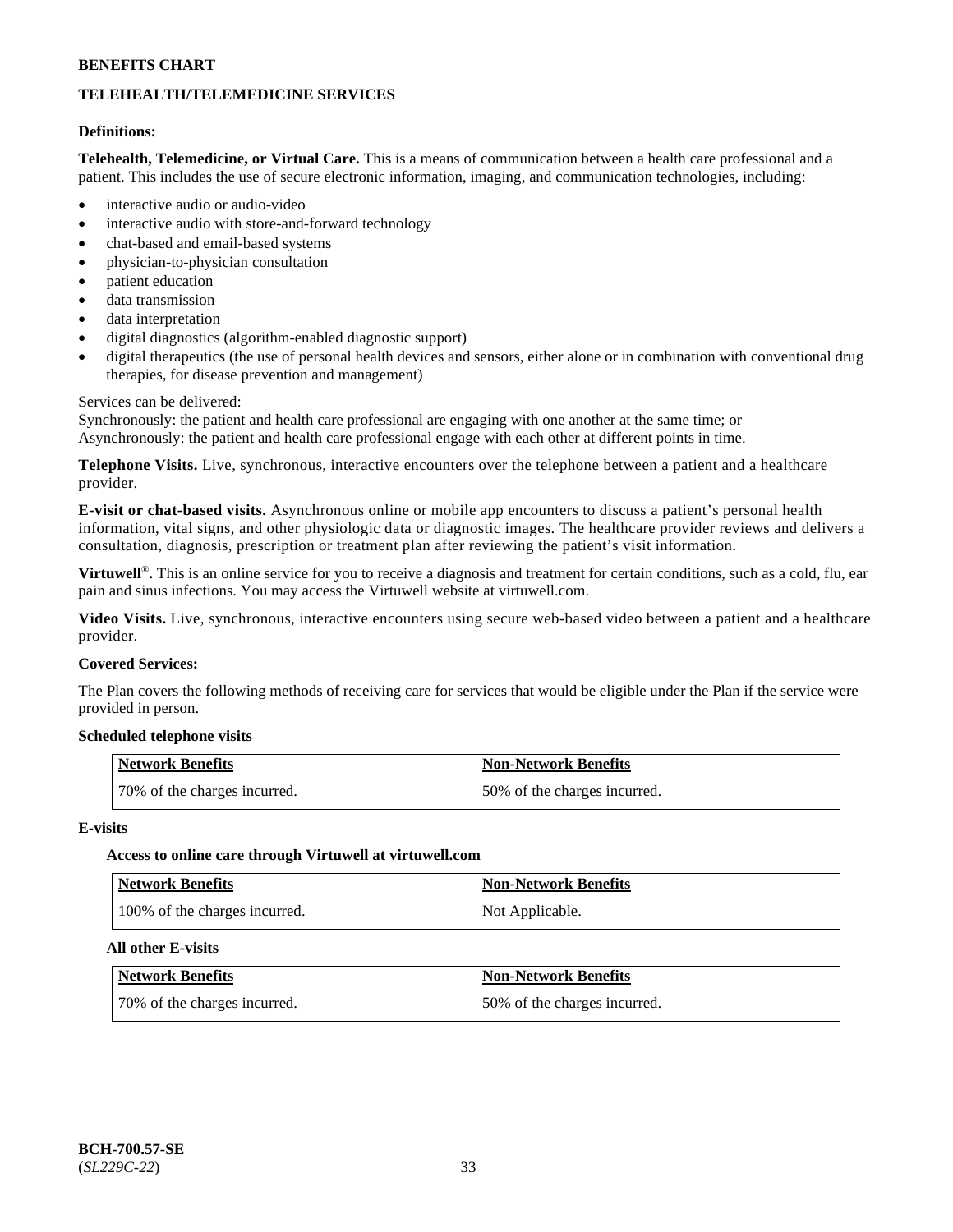# **TELEHEALTH/TELEMEDICINE SERVICES**

### **Definitions:**

**Telehealth, Telemedicine, or Virtual Care.** This is a means of communication between a health care professional and a patient. This includes the use of secure electronic information, imaging, and communication technologies, including:

- interactive audio or audio-video
- interactive audio with store-and-forward technology
- chat-based and email-based systems
- physician-to-physician consultation
- patient education
- data transmission
- data interpretation
- digital diagnostics (algorithm-enabled diagnostic support)
- digital therapeutics (the use of personal health devices and sensors, either alone or in combination with conventional drug therapies, for disease prevention and management)

### Services can be delivered:

Synchronously: the patient and health care professional are engaging with one another at the same time; or Asynchronously: the patient and health care professional engage with each other at different points in time.

**Telephone Visits.** Live, synchronous, interactive encounters over the telephone between a patient and a healthcare provider.

**E-visit or chat-based visits.** Asynchronous online or mobile app encounters to discuss a patient's personal health information, vital signs, and other physiologic data or diagnostic images. The healthcare provider reviews and delivers a consultation, diagnosis, prescription or treatment plan after reviewing the patient's visit information.

**Virtuwell<sup>®</sup>**. This is an online service for you to receive a diagnosis and treatment for certain conditions, such as a cold, flu, ear pain and sinus infections. You may access the Virtuwell website at [virtuwell.com.](https://www.virtuwell.com/)

**Video Visits.** Live, synchronous, interactive encounters using secure web-based video between a patient and a healthcare provider.

### **Covered Services:**

The Plan covers the following methods of receiving care for services that would be eligible under the Plan if the service were provided in person.

### **Scheduled telephone visits**

| Network Benefits             | <b>Non-Network Benefits</b>  |
|------------------------------|------------------------------|
| 70% of the charges incurred. | 50% of the charges incurred. |

#### **E-visits**

### **Access to online care through Virtuwell at [virtuwell.com](https://www.virtuwell.com/)**

| <b>Network Benefits</b>       | <b>Non-Network Benefits</b> |
|-------------------------------|-----------------------------|
| 100% of the charges incurred. | Not Applicable.             |

#### **All other E-visits**

| <b>Network Benefits</b>      | <b>Non-Network Benefits</b>  |
|------------------------------|------------------------------|
| 70% of the charges incurred. | 50% of the charges incurred. |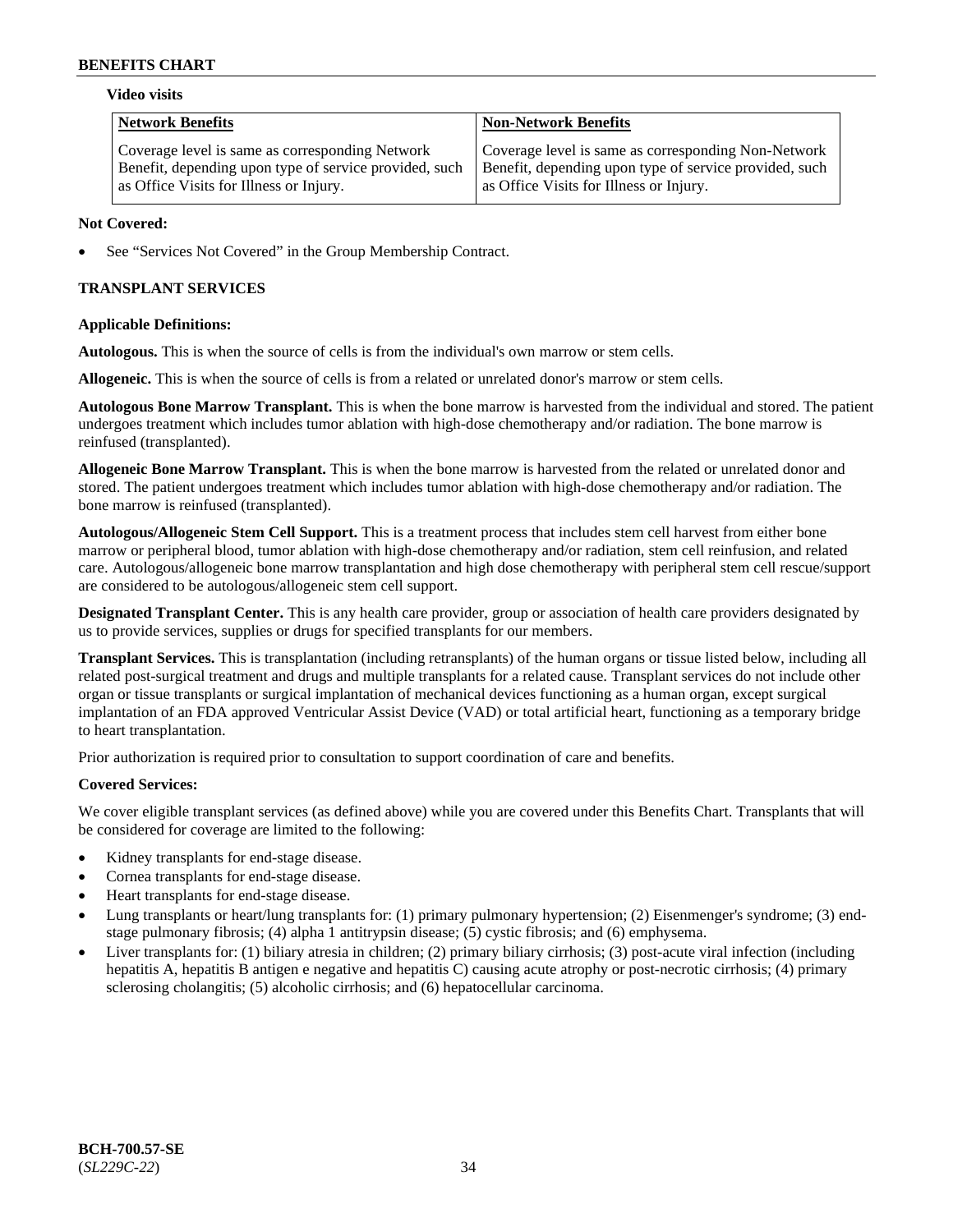#### **Video visits**

| <b>Network Benefits</b>                                | <b>Non-Network Benefits</b>                            |
|--------------------------------------------------------|--------------------------------------------------------|
| Coverage level is same as corresponding Network        | Coverage level is same as corresponding Non-Network    |
| Benefit, depending upon type of service provided, such | Benefit, depending upon type of service provided, such |
| as Office Visits for Illness or Injury.                | as Office Visits for Illness or Injury.                |

### **Not Covered:**

See "Services Not Covered" in the Group Membership Contract.

# **TRANSPLANT SERVICES**

# **Applicable Definitions:**

**Autologous.** This is when the source of cells is from the individual's own marrow or stem cells.

**Allogeneic.** This is when the source of cells is from a related or unrelated donor's marrow or stem cells.

**Autologous Bone Marrow Transplant.** This is when the bone marrow is harvested from the individual and stored. The patient undergoes treatment which includes tumor ablation with high-dose chemotherapy and/or radiation. The bone marrow is reinfused (transplanted).

**Allogeneic Bone Marrow Transplant.** This is when the bone marrow is harvested from the related or unrelated donor and stored. The patient undergoes treatment which includes tumor ablation with high-dose chemotherapy and/or radiation. The bone marrow is reinfused (transplanted).

**Autologous/Allogeneic Stem Cell Support.** This is a treatment process that includes stem cell harvest from either bone marrow or peripheral blood, tumor ablation with high-dose chemotherapy and/or radiation, stem cell reinfusion, and related care. Autologous/allogeneic bone marrow transplantation and high dose chemotherapy with peripheral stem cell rescue/support are considered to be autologous/allogeneic stem cell support.

**Designated Transplant Center.** This is any health care provider, group or association of health care providers designated by us to provide services, supplies or drugs for specified transplants for our members.

**Transplant Services.** This is transplantation (including retransplants) of the human organs or tissue listed below, including all related post-surgical treatment and drugs and multiple transplants for a related cause. Transplant services do not include other organ or tissue transplants or surgical implantation of mechanical devices functioning as a human organ, except surgical implantation of an FDA approved Ventricular Assist Device (VAD) or total artificial heart, functioning as a temporary bridge to heart transplantation.

Prior authorization is required prior to consultation to support coordination of care and benefits.

# **Covered Services:**

We cover eligible transplant services (as defined above) while you are covered under this Benefits Chart. Transplants that will be considered for coverage are limited to the following:

- Kidney transplants for end-stage disease.
- Cornea transplants for end-stage disease.
- Heart transplants for end-stage disease.
- Lung transplants or heart/lung transplants for: (1) primary pulmonary hypertension; (2) Eisenmenger's syndrome; (3) endstage pulmonary fibrosis; (4) alpha 1 antitrypsin disease; (5) cystic fibrosis; and (6) emphysema.
- Liver transplants for: (1) biliary atresia in children; (2) primary biliary cirrhosis; (3) post-acute viral infection (including hepatitis A, hepatitis B antigen e negative and hepatitis C) causing acute atrophy or post-necrotic cirrhosis; (4) primary sclerosing cholangitis; (5) alcoholic cirrhosis; and (6) hepatocellular carcinoma.